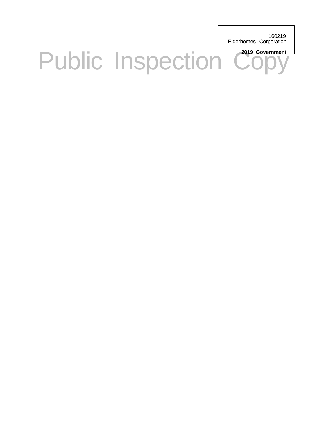160219 Elderhomes Corporation

# Public Inspection Copy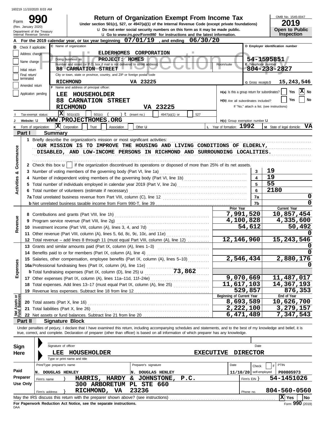### ELDERHOMES CORPORATION<br>
Doing business as **PROJECT: HOMES**<br>
Number and street (or P.O. box if mail is not delivered to street address)<br>
88 CARNATION STREET<br>
City of the Computer Copy of the Copy of the Copy of the Copy of **17** Other expenses (Part IX, column (A), lines 11a–11d, 11f–24e) .................................. Total expenses. Add lines 13–17 (must equal Part IX, column (A), line 25) . . . . . . . . . . . . . . . . . . . . **18** G Gross receipts \$ Check if applicable: **For the 2019 calendar year, or tax year beginning A , and ending 07/01/19 06/30/20** Application pending City or town, state or province, country, and ZIP or foreign postal code Amended return terminated Number and street (or P.O. box if mail is not delivered to street address) **Room/suite** Room/suite Initial return Name change Address change C Name of organization Internal Revenue Service u **Go to** *www.irs.gov/Form990* **for instructions and the latest information.** Department of the Treasury OMB No. 1545-0047 Form **E** Telephone number **B C D Employer identification number D Employer identification number** u **Do not enter social security numbers on this form as it may be made public. Open to Public 990 2000 2019 2019 2019 Depend From Income Tax 2019 Depend Find Conder Section 501(c), 527, or 4947(a)(1) of the Internal Revenue Code (except private foundations) Inspection** Doing business as Name and address of principal officer: **H(a)** Is this a group return for subordinates? **H(b)** Are all subordinates included? H(c) Group exemption number **U** If "No," attach a list. (see instructions) Yes **X** No **Yes No I J K** Tax-exempt status: **Website:** u Form of organization: 501(c) ( ) **t** (insert no.)  $\begin{vmatrix} 1 & 4947(a)(1) & 0 \\ 527 & 527 \end{vmatrix}$ Corporation Trust Association Other u **<sup>L</sup>** Year of formation: **<sup>M</sup>** State of legal domicile: **X 1992 VA Part I Summary 1** Briefly describe the organization's mission or most significant activities: 2 Check this box **u** if the organization discontinued its operations or disposed of more than 25% of its net assets. **3** Number of voting members of the governing body (Part VI, line 1a) . . . . . . . . . . . . . . . . . . . . . . . . . . . . . . . . . . . . . . . . . . . . . . . . . **4** Number of independent voting members of the governing body (Part VI, line 1b) ................................ **5** Total number of individuals employed in calendar year 2019 (Part V, line 2a) . . . . . . . . . . . . . . . . . . . . . . . . . . . . . . . . . . . . . . . **6** Total number of volunteers (estimate if necessary) . . . . . . . . . . . . . . . . . . . . . . . . . . . . . . . . . . . . . . . . . . . . . . . . . . . . . . . . . . . . . . . . . . **7a** Total unrelated business revenue from Part VIII, column (C), line 12 . . . . . . . . . . . . . . . . . . . . . . . . . . . . . . . . . . . . . . . . . . . . . . . **b** Net unrelated business taxable income from Form 990-T, line 39 . . . . . . . . . . . . . . . . . . . . . . . . . . . . . . . . . . . . . . . . . . . . . . . . . . . **7b** . . . . . . . . . . . . . . . . . . . . . . . . . . . . . . . . . . . . . . . . . . . . . . . . . . . . . . . . . . . . . . . . . . . . . . . . . . . . . . . . **7a 6 5 4 3** OUR MISSION IS TO IMPROVE THE HOUSING AND LIVING CONDITIONS OF ELDERLY, DISABLED, AND LOW-INCOME PERSONS IN RICHMOND AND SURROUNDING LOCALITIES. if the organization discontinued its operations or disposed of more than 25% of its net assets. **8** Contributions and grants (Part VIII, line 1h) . . . . . . . . . . . . . . . . . . . . . . . . . . . . . . . . . . . . . . . . . . . . . . . . . . . . . **9** Program service revenue (Part VIII, line 2g) . . . . . . . . . . . . . . . . . . . . . . . . . . . . . . . . . . . . . . . . . . . . . . . . . . . . **10** Investment income (Part VIII, column (A), lines 3, 4, and 7d) ................................. **11** Other revenue (Part VIII, column (A), lines 5, 6d, 8c, 9c, 10c, and 11e) **.................... 12** Total revenue – add lines 8 through 11 (must equal Part VIII, column (A), line 12) ............ **Prior Year Current Year 13** Grants and similar amounts paid (Part IX, column (A), lines 1–3) .............................. **14** Benefits paid to or for members (Part IX, column (A), line 4) . . . . . . . . . . . . . . . . . . . . . . . . . . . . . . . . . . . **15** Salaries, other compensation, employee benefits (Part IX, column (A), lines 5–10) ........... **16a** Professional fundraising fees (Part IX, column (A), line 11e) **b** Total fundraising expenses (Part IX, column (D), line 11e)  $\ldots$  73,862 **19** Revenue less expenses. Subtract line 18 from line 12 . . . . . . . . . . . . . . . . . . . . . . . . . . . . . . . . . . . . . . . . . . **20** Total assets (Part X, line 16) **21** Total liabilities (Part X, line 26) . . . . . . . . . . . . . . . . . . . . . . . . . . . . . . . . . . . . . . . . . . . . . . . . . . . . . . . . . . . . . . . . . . **22** Net assets or fund balances. Subtract line 21 from line 20 . . . . . . . . . . . . . . . . . . . . . . . . . . . . . . . . . . . . . **Beginning of Current Year End of Year** 30. DE ALACHADA NO LAT-190 (11 A TOMERON DE PRESIDENT DE CONTROLLES DE LATERATIES).<br>
31 A Normal de la fin especies de la fin especies de la fin especies de la fin especies de la fin especies de la fin especies de la fi  $\mathbf{X}$  501(c)(3) Final return/ (Rev. January 2020) **ELDERHOMES CORPORATION PROJECT: HOMES 88 CARNATION STREET RICHMOND VA 23225 54-1595851 804-233-2827 LEE HOUSEHOLDER 88 CARNATION STREET RICHMOND VA 23225 15,243,546 WWW.PROJECTHOMES.ORG 19 19 55 2180 0 0 7,991,520 10,857,454 4,100,828 4,335,600 54,612 50,492 0 12,146,960 15,243,546 0 0 2,546,434 2,880,176 0 9,070,669 11,487,017 11,617,103 14,367,193 529,857 876,353 8,693,589 10,626,700 2,222,100 3,279,157 6,471,489 7,347,543** 160219 11/10/2020 8:03 AM

**Part II Signature Block**

Under penalties of perjury, I declare that I have examined this return, including accompanying schedules and statements, and to the best of my knowledge and belief, it is true, correct, and complete. Declaration of preparer (other than officer) is based on all information of which preparer has any knowledge.

|                              |                                                                                                 | Signature of officer |                                                                                   |                  |                   |                                     |  |  |  |              |                          |              |           |  |  |
|------------------------------|-------------------------------------------------------------------------------------------------|----------------------|-----------------------------------------------------------------------------------|------------------|-------------------|-------------------------------------|--|--|--|--------------|--------------------------|--------------|-----------|--|--|
| Sign                         |                                                                                                 |                      |                                                                                   |                  |                   | Date                                |  |  |  |              |                          |              |           |  |  |
| Here                         |                                                                                                 | LEE                  | HOUSEHOLDER                                                                       |                  |                   | <b>EXECUTIVE</b><br><b>DIRECTOR</b> |  |  |  |              |                          |              |           |  |  |
| Type or print name and title |                                                                                                 |                      |                                                                                   |                  |                   |                                     |  |  |  |              |                          |              |           |  |  |
|                              | Print/Type preparer's name<br><b>DOUGLAS HENLEY</b><br>IN.                                      |                      |                                                                                   |                  |                   | Preparer's signature<br>Date        |  |  |  | Check        |                          | <b>PTIN</b>  |           |  |  |
| Paid                         |                                                                                                 |                      |                                                                                   |                  | IN.               | <b>DOUGLAS HENLEY</b>               |  |  |  |              | $11/10/20$ self-employed | P00805973    |           |  |  |
| Preparer                     | Firm's name                                                                                     |                      | <b>HARRIS,</b>                                                                    | <b>HARDY</b>     | &.                | JOHNSTONE, P.C.                     |  |  |  | Firm's $EIN$ |                          | 54-1451026   |           |  |  |
| Use Only                     |                                                                                                 |                      | 300                                                                               | <b>ARBORETUM</b> | <b>PL STE 660</b> |                                     |  |  |  |              |                          |              |           |  |  |
|                              | Firm's address                                                                                  |                      | RICHMOND,                                                                         | VA.              | 23236             |                                     |  |  |  | Phone no.    |                          | 804-560-0560 |           |  |  |
|                              |                                                                                                 |                      | May the IRS discuss this return with the preparer shown above? (see instructions) |                  |                   |                                     |  |  |  |              |                          | Yes          | <b>No</b> |  |  |
|                              | $F_{\text{O}}$ 990 (2019)<br>For Paperwork Reduction Act Notice, see the separate instructions. |                      |                                                                                   |                  |                   |                                     |  |  |  |              |                          |              |           |  |  |

DAA **For Paperwork Reduction Act Notice, see the separate instructions.**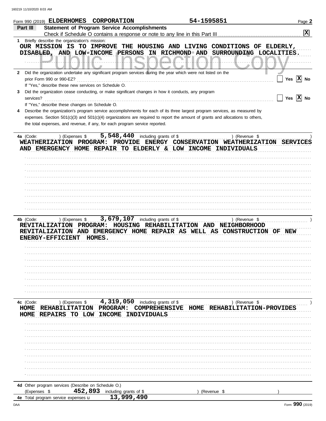|                           | Form 990 (2019) ELDERHOMES CORPORATION                                                                                                                                                                        |                                                                                    |                                                                              | 54-1595851                               | Page 2                  |
|---------------------------|---------------------------------------------------------------------------------------------------------------------------------------------------------------------------------------------------------------|------------------------------------------------------------------------------------|------------------------------------------------------------------------------|------------------------------------------|-------------------------|
| Part III                  | <b>Statement of Program Service Accomplishments</b>                                                                                                                                                           |                                                                                    | Check if Schedule O contains a response or note to any line in this Part III |                                          | $\mathbf{x}$            |
| 1.                        | Briefly describe the organization's mission:                                                                                                                                                                  |                                                                                    |                                                                              |                                          |                         |
|                           | OUR MISSION IS TO IMPROVE THE HOUSING AND LIVING CONDITIONS OF ELDERLY,<br>DISABLED, AND LOW-INCOME PERSONS IN RICHMOND AND SURROUNDING LOCALITIES.                                                           |                                                                                    |                                                                              |                                          |                         |
| 2                         | Did the organization undertake any significant program services during the year which were not listed on the<br>prior Form 990 or 990-EZ?                                                                     |                                                                                    |                                                                              |                                          | Yes $ \overline{X} $ No |
|                           | If "Yes," describe these new services on Schedule O.                                                                                                                                                          |                                                                                    |                                                                              |                                          |                         |
| 3<br>services?            | Did the organization cease conducting, or make significant changes in how it conducts, any program                                                                                                            |                                                                                    |                                                                              |                                          | Yes $ \overline{X} $ No |
|                           | If "Yes," describe these changes on Schedule O.                                                                                                                                                               |                                                                                    |                                                                              |                                          |                         |
|                           | Describe the organization's program service accomplishments for each of its three largest program services, as measured by                                                                                    |                                                                                    |                                                                              |                                          |                         |
|                           | expenses. Section 501(c)(3) and 501(c)(4) organizations are required to report the amount of grants and allocations to others,<br>the total expenses, and revenue, if any, for each program service reported. |                                                                                    |                                                                              |                                          |                         |
| 4a (Code:                 | WEATHERIZATION PROGRAM: PROVIDE ENERGY CONSERVATION WEATHERIZATION SERVICES<br>AND EMERGENCY HOME REPAIR TO ELDERLY & LOW INCOME INDIVIDUALS                                                                  | ) (Expenses $$5,548,440$ including grants of \$                                    |                                                                              | ) (Revenue \$                            |                         |
|                           |                                                                                                                                                                                                               |                                                                                    |                                                                              |                                          |                         |
|                           |                                                                                                                                                                                                               |                                                                                    |                                                                              |                                          |                         |
|                           |                                                                                                                                                                                                               |                                                                                    |                                                                              |                                          |                         |
|                           |                                                                                                                                                                                                               |                                                                                    |                                                                              |                                          |                         |
|                           |                                                                                                                                                                                                               |                                                                                    |                                                                              |                                          |                         |
|                           |                                                                                                                                                                                                               |                                                                                    |                                                                              |                                          |                         |
|                           |                                                                                                                                                                                                               |                                                                                    |                                                                              |                                          |                         |
|                           |                                                                                                                                                                                                               |                                                                                    |                                                                              |                                          |                         |
| 4b (Code:                 | ) (Expenses \$<br>REVITALIZATION PROGRAM: HOUSING REHABILITATION AND NEIGHBORHOOD<br>REVITALIZATION AND EMERGENCY HOME REPAIR AS WELL AS CONSTRUCTION OF NEW<br>ENERGY-EFFICIENT HOMES.                       | 3,679,107 including grants of \$                                                   |                                                                              | ) (Revenue \$                            |                         |
|                           |                                                                                                                                                                                                               |                                                                                    |                                                                              |                                          |                         |
|                           |                                                                                                                                                                                                               |                                                                                    |                                                                              |                                          |                         |
|                           |                                                                                                                                                                                                               |                                                                                    |                                                                              |                                          |                         |
|                           |                                                                                                                                                                                                               |                                                                                    |                                                                              |                                          |                         |
|                           |                                                                                                                                                                                                               |                                                                                    |                                                                              |                                          |                         |
|                           |                                                                                                                                                                                                               |                                                                                    |                                                                              |                                          |                         |
|                           |                                                                                                                                                                                                               |                                                                                    |                                                                              |                                          |                         |
|                           |                                                                                                                                                                                                               |                                                                                    |                                                                              |                                          |                         |
| 4c (Code:<br>HOME<br>HOME | <b>REHABILITATION</b><br><b>REPAIRS</b><br>TO LOW                                                                                                                                                             | ) (Expenses $$ 4,319,050$ including grants of \$<br>PROGRAM:<br>INCOME INDIVIDUALS | COMPREHENSIVE HOME                                                           | ) (Revenue \$<br>REHABILITATION-PROVIDES |                         |
|                           |                                                                                                                                                                                                               |                                                                                    |                                                                              |                                          |                         |
|                           |                                                                                                                                                                                                               |                                                                                    |                                                                              |                                          |                         |
|                           |                                                                                                                                                                                                               |                                                                                    |                                                                              |                                          |                         |
|                           |                                                                                                                                                                                                               |                                                                                    |                                                                              |                                          |                         |
|                           |                                                                                                                                                                                                               |                                                                                    |                                                                              |                                          |                         |
|                           |                                                                                                                                                                                                               |                                                                                    |                                                                              |                                          |                         |
|                           |                                                                                                                                                                                                               |                                                                                    |                                                                              |                                          |                         |
|                           |                                                                                                                                                                                                               |                                                                                    |                                                                              |                                          |                         |
|                           |                                                                                                                                                                                                               |                                                                                    |                                                                              |                                          |                         |
|                           | 4d Other program services (Describe on Schedule O.)                                                                                                                                                           |                                                                                    |                                                                              |                                          |                         |
|                           | 452,893<br>(Expenses \$                                                                                                                                                                                       | including grants of \$                                                             |                                                                              | (Revenue \$                              |                         |
|                           | 4e Total program service expenses u                                                                                                                                                                           | 13,999,490                                                                         |                                                                              |                                          |                         |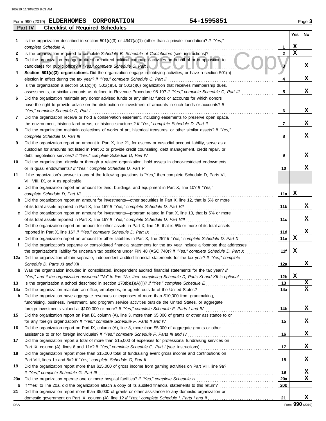| Form 990<br>(2019) | <b>ELDERHOMES</b>                      | <b>CORPORATION</b> | 1595851<br>54- |      | $P$ age $\omega$ |
|--------------------|----------------------------------------|--------------------|----------------|------|------------------|
| Part IV            | <b>Checklist of Required Schedules</b> |                    |                |      |                  |
|                    |                                        |                    |                | $ -$ | --               |

**Yes No**

| 1           | Is the organization described in section 501(c)(3) or 4947(a)(1) (other than a private foundation)? If "Yes,"                                                                                                             |                 |             |   |
|-------------|---------------------------------------------------------------------------------------------------------------------------------------------------------------------------------------------------------------------------|-----------------|-------------|---|
|             | complete Schedule A                                                                                                                                                                                                       | 1               | x           |   |
| 2           | Is the organization required to complete Schedule B, Schedule of Contributors (see instructions)?                                                                                                                         | 2               | $\mathbf x$ |   |
| 3           | Did the organization engage in direct or indirect political campaign activities on behalf of or in opposition to<br>candidates for public office? If "Yes," complete Schedule C, Part I                                   | 3               |             | X |
| 4           | Section 501(c)(3) organizations. Did the organization engage in lobbying activities, or have a section 501(h)                                                                                                             |                 |             | X |
|             | election in effect during the tax year? If "Yes," complete Schedule C, Part II                                                                                                                                            | 4               |             |   |
| 5           | Is the organization a section $501(c)(4)$ , $501(c)(5)$ , or $501(c)(6)$ organization that receives membership dues,                                                                                                      |                 |             | X |
|             | assessments, or similar amounts as defined in Revenue Procedure 98-19? If "Yes," complete Schedule C, Part III<br>Did the organization maintain any donor advised funds or any similar funds or accounts for which donors | 5               |             |   |
| 6           | have the right to provide advice on the distribution or investment of amounts in such funds or accounts? If                                                                                                               |                 |             |   |
|             | "Yes," complete Schedule D, Part I                                                                                                                                                                                        | 6               |             | X |
| 7           | Did the organization receive or hold a conservation easement, including easements to preserve open space,                                                                                                                 |                 |             |   |
|             | the environment, historic land areas, or historic structures? If "Yes," complete Schedule D, Part II                                                                                                                      | 7               |             | X |
| 8           | Did the organization maintain collections of works of art, historical treasures, or other similar assets? If "Yes,"                                                                                                       |                 |             |   |
|             | complete Schedule D, Part III                                                                                                                                                                                             | 8               |             | X |
| 9           | Did the organization report an amount in Part X, line 21, for escrow or custodial account liability, serve as a                                                                                                           |                 |             |   |
|             | custodian for amounts not listed in Part X; or provide credit counseling, debt management, credit repair, or                                                                                                              |                 |             |   |
|             | debt negotiation services? If "Yes," complete Schedule D, Part IV                                                                                                                                                         | 9               |             | X |
| 10          | Did the organization, directly or through a related organization, hold assets in donor-restricted endowments                                                                                                              |                 |             |   |
|             | or in quasi endowments? If "Yes," complete Schedule D, Part V                                                                                                                                                             | 10              |             | x |
| 11          | If the organization's answer to any of the following questions is "Yes," then complete Schedule D, Parts VI,                                                                                                              |                 |             |   |
|             | VII, VIII, IX, or X as applicable.                                                                                                                                                                                        |                 |             |   |
| a           | Did the organization report an amount for land, buildings, and equipment in Part X, line 10? If "Yes,"                                                                                                                    |                 |             |   |
|             | complete Schedule D, Part VI                                                                                                                                                                                              | 11a             | X           |   |
| b           | Did the organization report an amount for investments—other securities in Part X, line 12, that is 5% or more                                                                                                             |                 |             |   |
|             | of its total assets reported in Part X, line 16? If "Yes," complete Schedule D, Part VII                                                                                                                                  | 11b             |             | X |
| c           | Did the organization report an amount for investments—program related in Part X, line 13, that is 5% or more                                                                                                              |                 |             |   |
|             | of its total assets reported in Part X, line 16? If "Yes," complete Schedule D, Part VIII                                                                                                                                 | 11c             |             | X |
| d           | Did the organization report an amount for other assets in Part X, line 15, that is 5% or more of its total assets<br>reported in Part X, line 16? If "Yes," complete Schedule D, Part IX                                  | 11d             |             | х |
|             | Did the organization report an amount for other liabilities in Part X, line 25? If "Yes," complete Schedule D, Part X                                                                                                     | 11e             | x           |   |
| f           | Did the organization's separate or consolidated financial statements for the tax year include a footnote that addresses                                                                                                   |                 |             |   |
|             | the organization's liability for uncertain tax positions under FIN 48 (ASC 740)? If "Yes," complete Schedule D, Part X                                                                                                    | 11f             | X           |   |
|             | 12a Did the organization obtain separate, independent audited financial statements for the tax year? If "Yes," complete                                                                                                   |                 |             |   |
|             | Schedule D, Parts XI and XII                                                                                                                                                                                              | 12a             |             | X |
|             | Was the organization included in consolidated, independent audited financial statements for the tax year? If                                                                                                              |                 |             |   |
|             | "Yes," and if the organization answered "No" to line 12a, then completing Schedule D, Parts XI and XII is optional<br>.                                                                                                   | 12 <sub>b</sub> | X           |   |
| 13          |                                                                                                                                                                                                                           | 13              |             | X |
| 14a         | Did the organization maintain an office, employees, or agents outside of the United States?                                                                                                                               | 14a             |             | x |
| b           | Did the organization have aggregate revenues or expenses of more than \$10,000 from grantmaking,                                                                                                                          |                 |             |   |
|             | fundraising, business, investment, and program service activities outside the United States, or aggregate                                                                                                                 |                 |             |   |
|             | foreign investments valued at \$100,000 or more? If "Yes," complete Schedule F, Parts I and IV                                                                                                                            | 14b             |             | x |
| 15          | Did the organization report on Part IX, column (A), line 3, more than \$5,000 of grants or other assistance to or                                                                                                         |                 |             |   |
|             | for any foreign organization? If "Yes," complete Schedule F, Parts II and IV                                                                                                                                              | 15              |             | X |
| 16          | Did the organization report on Part IX, column (A), line 3, more than \$5,000 of aggregate grants or other<br>assistance to or for foreign individuals? If "Yes," complete Schedule F, Parts III and IV                   | 16              |             | X |
| 17          | Did the organization report a total of more than \$15,000 of expenses for professional fundraising services on                                                                                                            |                 |             |   |
|             |                                                                                                                                                                                                                           | 17              |             | X |
| 18          | Did the organization report more than \$15,000 total of fundraising event gross income and contributions on                                                                                                               |                 |             |   |
|             | Part VIII, lines 1c and 8a? If "Yes," complete Schedule G, Part II                                                                                                                                                        | 18              |             | X |
| 19          | Did the organization report more than \$15,000 of gross income from gaming activities on Part VIII, line 9a?                                                                                                              |                 |             |   |
|             |                                                                                                                                                                                                                           | 19              |             | X |
| 20a         | Did the organization operate one or more hospital facilities? If "Yes," complete Schedule H                                                                                                                               | <b>20a</b>      |             | X |
| $\mathbf b$ |                                                                                                                                                                                                                           | 20b             |             |   |
| 21          | Did the organization report more than \$5,000 of grants or other assistance to any domestic organization or                                                                                                               |                 |             |   |
|             |                                                                                                                                                                                                                           | 21              |             | X |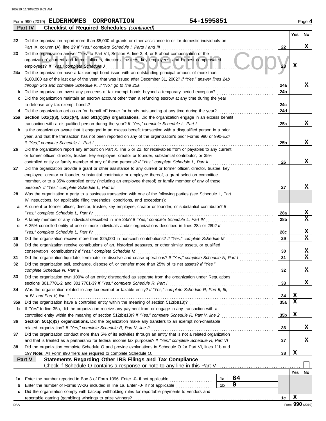|     | <b>Checklist of Required Schedules (continued)</b><br><b>Part IV</b>                                                  |                 |                 |             |  |  |  |  |  |  |  |  |
|-----|-----------------------------------------------------------------------------------------------------------------------|-----------------|-----------------|-------------|--|--|--|--|--|--|--|--|
|     |                                                                                                                       |                 | Yes             | No          |  |  |  |  |  |  |  |  |
| 22  | Did the organization report more than \$5,000 of grants or other assistance to or for domestic individuals on         |                 |                 |             |  |  |  |  |  |  |  |  |
|     | Part IX, column (A), line 2? If "Yes," complete Schedule I, Parts I and III                                           | 22              |                 | x           |  |  |  |  |  |  |  |  |
| 23  | Did the organization answer "Yes" to Part VII, Section A, line 3, 4, or 5 about compensation of the                   |                 |                 |             |  |  |  |  |  |  |  |  |
|     | organization's current and former officers, directors, trustees, key employees, and highest compensated               |                 |                 |             |  |  |  |  |  |  |  |  |
|     | employees? If "Yes," complete Schedule J<br><u>THOIOOOO</u>                                                           | 23              | X               |             |  |  |  |  |  |  |  |  |
| 24a | Did the organization have a tax-exempt bond issue with an outstanding principal amount of more than                   |                 |                 |             |  |  |  |  |  |  |  |  |
|     | \$100,000 as of the last day of the year, that was issued after December 31, 2002? If "Yes," answer lines 24b         |                 |                 |             |  |  |  |  |  |  |  |  |
|     | through 24d and complete Schedule K. If "No," go to line 25a                                                          | 24a             |                 | x           |  |  |  |  |  |  |  |  |
|     | Did the organization invest any proceeds of tax-exempt bonds beyond a temporary period exception?                     | 24b             |                 |             |  |  |  |  |  |  |  |  |
| b   |                                                                                                                       |                 |                 |             |  |  |  |  |  |  |  |  |
| c   | Did the organization maintain an escrow account other than a refunding escrow at any time during the year             |                 |                 |             |  |  |  |  |  |  |  |  |
|     | to defease any tax-exempt bonds?                                                                                      | 24c             |                 |             |  |  |  |  |  |  |  |  |
| d   | Did the organization act as an "on behalf of" issuer for bonds outstanding at any time during the year?               | 24d             |                 |             |  |  |  |  |  |  |  |  |
| 25а | Section 501(c)(3), 501(c)(4), and 501(c)(29) organizations. Did the organization engage in an excess benefit          |                 |                 |             |  |  |  |  |  |  |  |  |
|     | transaction with a disqualified person during the year? If "Yes," complete Schedule L, Part I                         | 25a             |                 | x           |  |  |  |  |  |  |  |  |
| b   | Is the organization aware that it engaged in an excess benefit transaction with a disqualified person in a prior      |                 |                 |             |  |  |  |  |  |  |  |  |
|     | year, and that the transaction has not been reported on any of the organization's prior Forms 990 or 990-EZ?          |                 |                 |             |  |  |  |  |  |  |  |  |
|     | If "Yes," complete Schedule L, Part I                                                                                 | 25b             |                 | х           |  |  |  |  |  |  |  |  |
| 26  | Did the organization report any amount on Part X, line 5 or 22, for receivables from or payables to any current       |                 |                 |             |  |  |  |  |  |  |  |  |
|     | or former officer, director, trustee, key employee, creator or founder, substantial contributor, or 35%               |                 |                 |             |  |  |  |  |  |  |  |  |
|     | controlled entity or family member of any of these persons? If "Yes," complete Schedule L, Part II                    | 26              |                 | х           |  |  |  |  |  |  |  |  |
| 27  | Did the organization provide a grant or other assistance to any current or former officer, director, trustee, key     |                 |                 |             |  |  |  |  |  |  |  |  |
|     | employee, creator or founder, substantial contributor or employee thereof, a grant selection committee                |                 |                 |             |  |  |  |  |  |  |  |  |
|     | member, or to a 35% controlled entity (including an employee thereof) or family member of any of these                |                 |                 |             |  |  |  |  |  |  |  |  |
|     | persons? If "Yes," complete Schedule L, Part III                                                                      | 27              |                 | х           |  |  |  |  |  |  |  |  |
| 28  | Was the organization a party to a business transaction with one of the following parties (see Schedule L, Part        |                 |                 |             |  |  |  |  |  |  |  |  |
|     | IV instructions, for applicable filing thresholds, conditions, and exceptions):                                       |                 |                 |             |  |  |  |  |  |  |  |  |
|     | A current or former officer, director, trustee, key employee, creator or founder, or substantial contributor? If<br>а |                 |                 |             |  |  |  |  |  |  |  |  |
|     |                                                                                                                       |                 |                 |             |  |  |  |  |  |  |  |  |
|     | "Yes," complete Schedule L, Part IV                                                                                   |                 |                 |             |  |  |  |  |  |  |  |  |
|     | A family member of any individual described in line 28a? If "Yes," complete Schedule L, Part IV<br>b                  |                 |                 |             |  |  |  |  |  |  |  |  |
| c   | A 35% controlled entity of one or more individuals and/or organizations described in lines 28a or 28b? If             |                 |                 |             |  |  |  |  |  |  |  |  |
|     | "Yes," complete Schedule L, Part IV                                                                                   | 28c             |                 | X           |  |  |  |  |  |  |  |  |
| 29  | Did the organization receive more than \$25,000 in non-cash contributions? If "Yes," complete Schedule M              | 29              |                 | $\mathbf x$ |  |  |  |  |  |  |  |  |
| 30  | Did the organization receive contributions of art, historical treasures, or other similar assets, or qualified        |                 |                 |             |  |  |  |  |  |  |  |  |
|     | conservation contributions? If "Yes," complete Schedule M                                                             | 30              |                 | x           |  |  |  |  |  |  |  |  |
| 31  | Did the organization liquidate, terminate, or dissolve and cease operations? If "Yes," complete Schedule N, Part I    | 31              |                 | $\mathbf x$ |  |  |  |  |  |  |  |  |
|     | Did the organization sell, exchange, dispose of, or transfer more than 25% of its net assets? If "Yes,"               |                 |                 |             |  |  |  |  |  |  |  |  |
|     | complete Schedule N, Part II                                                                                          | 32              |                 | X           |  |  |  |  |  |  |  |  |
| 33  | Did the organization own 100% of an entity disregarded as separate from the organization under Regulations            |                 |                 |             |  |  |  |  |  |  |  |  |
|     | sections 301.7701-2 and 301.7701-3? If "Yes," complete Schedule R, Part I                                             | 33              |                 | x           |  |  |  |  |  |  |  |  |
| 34  | Was the organization related to any tax-exempt or taxable entity? If "Yes," complete Schedule R, Part II, III,        |                 |                 |             |  |  |  |  |  |  |  |  |
|     | or IV, and Part V, line 1                                                                                             | 34              | X               |             |  |  |  |  |  |  |  |  |
| 35a | Did the organization have a controlled entity within the meaning of section 512(b)(13)?                               | 35a             | X               |             |  |  |  |  |  |  |  |  |
| b   | If "Yes" to line 35a, did the organization receive any payment from or engage in any transaction with a               |                 |                 |             |  |  |  |  |  |  |  |  |
|     |                                                                                                                       | 35 <sub>b</sub> | X               |             |  |  |  |  |  |  |  |  |
|     | controlled entity within the meaning of section 512(b)(13)? If "Yes," complete Schedule R, Part V, line 2             |                 |                 |             |  |  |  |  |  |  |  |  |
| 36  | Section 501(c)(3) organizations. Did the organization make any transfers to an exempt non-charitable                  |                 |                 |             |  |  |  |  |  |  |  |  |
|     | related organization? If "Yes," complete Schedule R, Part V, line 2                                                   | 36              |                 | x           |  |  |  |  |  |  |  |  |
| 37  | Did the organization conduct more than 5% of its activities through an entity that is not a related organization      |                 |                 |             |  |  |  |  |  |  |  |  |
|     | and that is treated as a partnership for federal income tax purposes? If "Yes," complete Schedule R, Part VI          | 37              |                 | x           |  |  |  |  |  |  |  |  |
| 38  | Did the organization complete Schedule O and provide explanations in Schedule O for Part VI, lines 11b and            |                 | X               |             |  |  |  |  |  |  |  |  |
|     | 19? Note: All Form 990 filers are required to complete Schedule O.<br>38                                              |                 |                 |             |  |  |  |  |  |  |  |  |
|     | Statements Regarding Other IRS Filings and Tax Compliance<br>Part V                                                   |                 |                 |             |  |  |  |  |  |  |  |  |
|     |                                                                                                                       |                 |                 |             |  |  |  |  |  |  |  |  |
|     |                                                                                                                       |                 | Yes             | No          |  |  |  |  |  |  |  |  |
| 1а  | 64<br>Enter the number reported in Box 3 of Form 1096. Enter -0- if not applicable<br>1a                              |                 |                 |             |  |  |  |  |  |  |  |  |
| b   | $\mathbf 0$<br>1 <sub>b</sub><br>Enter the number of Forms W-2G included in line 1a. Enter -0- if not applicable      |                 |                 |             |  |  |  |  |  |  |  |  |
| c   | Did the organization comply with backup withholding rules for reportable payments to vendors and                      |                 |                 |             |  |  |  |  |  |  |  |  |
|     |                                                                                                                       | 1c              | X               |             |  |  |  |  |  |  |  |  |
| DAA |                                                                                                                       |                 | Form 990 (2019) |             |  |  |  |  |  |  |  |  |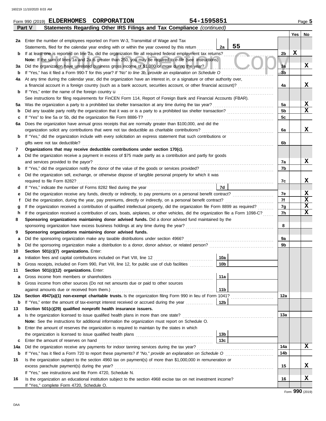|     | Statements Regarding Other IRS Filings and Tax Compliance (continued)<br>Part V                                                                                               |                 |    |                |     |             |  |  |  |  |  |  |  |
|-----|-------------------------------------------------------------------------------------------------------------------------------------------------------------------------------|-----------------|----|----------------|-----|-------------|--|--|--|--|--|--|--|
|     |                                                                                                                                                                               |                 |    |                | Yes | No          |  |  |  |  |  |  |  |
|     | 2a Enter the number of employees reported on Form W-3, Transmittal of Wage and Tax                                                                                            |                 |    |                |     |             |  |  |  |  |  |  |  |
|     | Statements, filed for the calendar year ending with or within the year covered by this return                                                                                 | 2a              | 55 |                |     |             |  |  |  |  |  |  |  |
| b   | If at least one is reported on line 2a, did the organization file all required federal employment tax returns?                                                                |                 |    | 2b             | X   |             |  |  |  |  |  |  |  |
|     | Note: If the sum of lines 1a and 2a is greater than 250, you may be required to e-file (see instructions)                                                                     |                 |    |                |     |             |  |  |  |  |  |  |  |
| За  | Did the organization have unrelated business gross income of \$1,000 or more during the year?                                                                                 |                 |    | 3a             |     | X           |  |  |  |  |  |  |  |
| b   | If "Yes," has it filed a Form 990-T for this year? If "No" to line 3b, provide an explanation on Schedule O                                                                   |                 |    | 3 <sub>b</sub> |     |             |  |  |  |  |  |  |  |
| 4a  | At any time during the calendar year, did the organization have an interest in, or a signature or other authority over,                                                       |                 |    |                |     |             |  |  |  |  |  |  |  |
|     | a financial account in a foreign country (such as a bank account, securities account, or other financial account)?                                                            |                 |    | 4a             |     | x           |  |  |  |  |  |  |  |
| b   | If "Yes," enter the name of the foreign country <b>u</b>                                                                                                                      |                 |    |                |     |             |  |  |  |  |  |  |  |
|     | See instructions for filing requirements for FinCEN Form 114, Report of Foreign Bank and Financial Accounts (FBAR).                                                           |                 |    |                |     |             |  |  |  |  |  |  |  |
| 5a  |                                                                                                                                                                               |                 |    | 5a             |     | X           |  |  |  |  |  |  |  |
| b   |                                                                                                                                                                               |                 |    | 5 <sub>b</sub> |     | $\mathbf x$ |  |  |  |  |  |  |  |
| c   | If "Yes" to line 5a or 5b, did the organization file Form 8886-T?                                                                                                             |                 |    | 5c             |     |             |  |  |  |  |  |  |  |
| 6а  | Does the organization have annual gross receipts that are normally greater than \$100,000, and did the                                                                        |                 |    |                |     |             |  |  |  |  |  |  |  |
|     |                                                                                                                                                                               |                 |    | 6a             |     | X           |  |  |  |  |  |  |  |
| b   | If "Yes," did the organization include with every solicitation an express statement that such contributions or                                                                |                 |    |                |     |             |  |  |  |  |  |  |  |
|     | gifts were not tax deductible?                                                                                                                                                |                 |    | 6b             |     |             |  |  |  |  |  |  |  |
| 7   | Organizations that may receive deductible contributions under section 170(c).                                                                                                 |                 |    |                |     |             |  |  |  |  |  |  |  |
| а   | Did the organization receive a payment in excess of \$75 made partly as a contribution and partly for goods                                                                   |                 |    |                |     | x           |  |  |  |  |  |  |  |
|     | and services provided to the payor?                                                                                                                                           |                 |    | 7a<br>7b       |     |             |  |  |  |  |  |  |  |
| b   |                                                                                                                                                                               |                 |    |                |     |             |  |  |  |  |  |  |  |
| c   | Did the organization sell, exchange, or otherwise dispose of tangible personal property for which it was                                                                      |                 |    |                |     |             |  |  |  |  |  |  |  |
| d   | If "Yes," indicate the number of Forms 8282 filed during the year<br>[[[[[[[[[[[[[[[[[]]]]]]]                                                                                 | 7d              |    | 7c             |     | x           |  |  |  |  |  |  |  |
| е   |                                                                                                                                                                               |                 |    | 7e             |     | X           |  |  |  |  |  |  |  |
|     |                                                                                                                                                                               |                 |    |                |     |             |  |  |  |  |  |  |  |
|     | If the organization received a contribution of qualified intellectual property, did the organization file Form 8899 as required?<br>g                                         |                 |    |                |     |             |  |  |  |  |  |  |  |
|     | If the organization received a contribution of cars, boats, airplanes, or other vehicles, did the organization file a Form 1098-C?<br>h                                       |                 |    |                |     |             |  |  |  |  |  |  |  |
| 8   | Sponsoring organizations maintaining donor advised funds. Did a donor advised fund maintained by the                                                                          |                 |    | 7h             |     | $\mathbf x$ |  |  |  |  |  |  |  |
|     |                                                                                                                                                                               |                 |    | 8              |     |             |  |  |  |  |  |  |  |
| 9   | Sponsoring organizations maintaining donor advised funds.                                                                                                                     |                 |    |                |     |             |  |  |  |  |  |  |  |
| а   | Did the sponsoring organization make any taxable distributions under section 4966?                                                                                            |                 |    | 9a             |     |             |  |  |  |  |  |  |  |
| b   |                                                                                                                                                                               |                 |    | 9b             |     |             |  |  |  |  |  |  |  |
| 10  | Section 501(c)(7) organizations. Enter:                                                                                                                                       |                 |    |                |     |             |  |  |  |  |  |  |  |
| а   |                                                                                                                                                                               | 10a             |    |                |     |             |  |  |  |  |  |  |  |
| b   | Gross receipts, included on Form 990, Part VIII, line 12, for public use of club facilities                                                                                   | 10b             |    |                |     |             |  |  |  |  |  |  |  |
| 11  | Section 501(c)(12) organizations. Enter:                                                                                                                                      |                 |    |                |     |             |  |  |  |  |  |  |  |
| а   | Gross income from members or shareholders                                                                                                                                     | 11a             |    |                |     |             |  |  |  |  |  |  |  |
| b   | Gross income from other sources (Do not net amounts due or paid to other sources                                                                                              |                 |    |                |     |             |  |  |  |  |  |  |  |
|     | against amounts due or received from them.)                                                                                                                                   | 11b             |    |                |     |             |  |  |  |  |  |  |  |
| 12a | Section 4947(a)(1) non-exempt charitable trusts. Is the organization filing Form 990 in lieu of Form 1041?                                                                    |                 |    | 12a            |     |             |  |  |  |  |  |  |  |
| b   | If "Yes," enter the amount of tax-exempt interest received or accrued during the year                                                                                         | 12b             |    |                |     |             |  |  |  |  |  |  |  |
| 13  | Section 501(c)(29) qualified nonprofit health insurance issuers.                                                                                                              |                 |    |                |     |             |  |  |  |  |  |  |  |
| a   | Is the organization licensed to issue qualified health plans in more than one state?                                                                                          |                 |    | 13а            |     |             |  |  |  |  |  |  |  |
|     | Note: See the instructions for additional information the organization must report on Schedule O.                                                                             |                 |    |                |     |             |  |  |  |  |  |  |  |
| b   | Enter the amount of reserves the organization is required to maintain by the states in which                                                                                  |                 |    |                |     |             |  |  |  |  |  |  |  |
|     |                                                                                                                                                                               | 13 <sub>b</sub> |    |                |     |             |  |  |  |  |  |  |  |
| c   | Enter the amount of reserves on hand                                                                                                                                          | 13c             |    |                |     | X           |  |  |  |  |  |  |  |
| 14a |                                                                                                                                                                               |                 |    | 14a            |     |             |  |  |  |  |  |  |  |
| b   |                                                                                                                                                                               |                 |    | 14b            |     |             |  |  |  |  |  |  |  |
| 15  | Is the organization subject to the section 4960 tax on payment(s) of more than \$1,000,000 in remuneration or                                                                 |                 |    | 15             |     | х           |  |  |  |  |  |  |  |
|     |                                                                                                                                                                               |                 |    |                |     |             |  |  |  |  |  |  |  |
| 16  | If "Yes," see instructions and file Form 4720, Schedule N.<br>Is the organization an educational institution subject to the section 4968 excise tax on net investment income? |                 |    | 16             |     | X           |  |  |  |  |  |  |  |
|     | If "Yes," complete Form 4720, Schedule O.                                                                                                                                     |                 |    |                |     |             |  |  |  |  |  |  |  |
|     |                                                                                                                                                                               |                 |    |                |     |             |  |  |  |  |  |  |  |

**Form 990 (2019) ELDERHOMES CORPORATION** 54-1595851 Page 5

Form **990** (2019)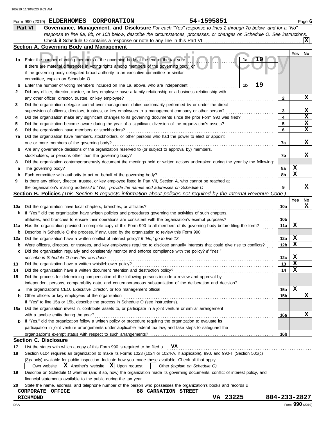|                  | 54-1595851<br>Form 990 (2019) ELDERHOMES CORPORATION                                                                                |                 |     | Page $6$        |
|------------------|-------------------------------------------------------------------------------------------------------------------------------------|-----------------|-----|-----------------|
|                  | Part VI<br>Governance, Management, and Disclosure For each "Yes" response to lines 2 through 7b below, and for a "No"               |                 |     |                 |
|                  | response to line 8a, 8b, or 10b below, describe the circumstances, processes, or changes on Schedule O. See instructions.           |                 |     |                 |
|                  |                                                                                                                                     |                 |     |                 |
|                  | Section A. Governing Body and Management                                                                                            |                 |     |                 |
|                  |                                                                                                                                     |                 | Yes | No              |
| 1а               | Enter the number of voting members of the governing body at the end of the tax year<br>1a                                           |                 |     |                 |
|                  | If there are material differences in voting rights among members of the governing body, or                                          |                 |     |                 |
|                  | if the governing body delegated broad authority to an executive committee or similar                                                |                 |     |                 |
|                  | committee, explain on Schedule O.                                                                                                   |                 |     |                 |
| $\mathbf b$      | 19<br>1b<br>Enter the number of voting members included on line 1a, above, who are independent                                      |                 |     |                 |
| 2                | Did any officer, director, trustee, or key employee have a family relationship or a business relationship with                      |                 |     |                 |
|                  | any other officer, director, trustee, or key employee?                                                                              | 2               |     | х               |
| 3                | Did the organization delegate control over management duties customarily performed by or under the direct                           |                 |     |                 |
|                  | supervision of officers, directors, trustees, or key employees to a management company or other person?                             | 3               |     | X               |
| 4                | Did the organization make any significant changes to its governing documents since the prior Form 990 was filed?                    | 4               |     | X               |
| 5                | Did the organization become aware during the year of a significant diversion of the organization's assets?                          | 5               |     | X               |
| 6                | Did the organization have members or stockholders?                                                                                  | 6               |     | X               |
| 7a               | Did the organization have members, stockholders, or other persons who had the power to elect or appoint                             |                 |     |                 |
|                  | one or more members of the governing body?                                                                                          | 7a              |     | X               |
| b                | Are any governance decisions of the organization reserved to (or subject to approval by) members,                                   |                 |     |                 |
|                  | stockholders, or persons other than the governing body?                                                                             | 7b              |     | x               |
| 8                | Did the organization contemporaneously document the meetings held or written actions undertaken during the year by the following:   |                 |     |                 |
|                  | The governing body?                                                                                                                 | 8а              | X   |                 |
| а                | Each committee with authority to act on behalf of the governing body?                                                               | 8b              | X   |                 |
| $\mathbf b$<br>9 | Is there any officer, director, trustee, or key employee listed in Part VII, Section A, who cannot be reached at                    |                 |     |                 |
|                  |                                                                                                                                     | 9               |     | x               |
|                  | <b>Section B. Policies</b> (This Section B requests information about policies not required by the Internal Revenue Code.)          |                 |     |                 |
|                  |                                                                                                                                     |                 |     |                 |
|                  |                                                                                                                                     |                 | Yes | No<br>х         |
| 10a              | Did the organization have local chapters, branches, or affiliates?                                                                  | 10a             |     |                 |
| b                | If "Yes," did the organization have written policies and procedures governing the activities of such chapters,                      |                 |     |                 |
|                  | affiliates, and branches to ensure their operations are consistent with the organization's exempt purposes?                         | 10b             |     |                 |
| 11a              | Has the organization provided a complete copy of this Form 990 to all members of its governing body before filing the form?         | 11a             | X   |                 |
| b                | Describe in Schedule O the process, if any, used by the organization to review this Form 990.                                       |                 |     |                 |
| 12a              | Did the organization have a written conflict of interest policy? If "No," go to line 13                                             | 12a             | X   |                 |
| b                | Were officers, directors, or trustees, and key employees required to disclose annually interests that could give rise to conflicts? | 12 <sub>b</sub> | X   |                 |
|                  | Did the organization regularly and consistently monitor and enforce compliance with the policy? If "Yes,"                           |                 |     |                 |
|                  | describe in Schedule O how this was done                                                                                            | 12c             | X   |                 |
| 13               | Did the organization have a written whistleblower policy?                                                                           | 13              | X   |                 |
| 14               | Did the organization have a written document retention and destruction policy?                                                      | 14              | х   |                 |
| 15               | Did the process for determining compensation of the following persons include a review and approval by                              |                 |     |                 |
|                  | independent persons, comparability data, and contemporaneous substantiation of the deliberation and decision?                       |                 |     |                 |
| a                |                                                                                                                                     | 15a             | X   |                 |
| b                | Other officers or key employees of the organization                                                                                 | 15b             |     | х               |
|                  | If "Yes" to line 15a or 15b, describe the process in Schedule O (see instructions).                                                 |                 |     |                 |
| 16a              | Did the organization invest in, contribute assets to, or participate in a joint venture or similar arrangement                      |                 |     |                 |
|                  | with a taxable entity during the year?                                                                                              | 16a             |     | х               |
| b                | If "Yes," did the organization follow a written policy or procedure requiring the organization to evaluate its                      |                 |     |                 |
|                  | participation in joint venture arrangements under applicable federal tax law, and take steps to safeguard the                       |                 |     |                 |
|                  |                                                                                                                                     | 16b             |     |                 |
|                  | <b>Section C. Disclosure</b>                                                                                                        |                 |     |                 |
| 17               | List the states with which a copy of this Form 990 is required to be filed $\mathbf{u}$ VA                                          |                 |     |                 |
| 18               | Section 6104 requires an organization to make its Forms 1023 (1024 or 1024-A, if applicable), 990, and 990-T (Section 501(c)        |                 |     |                 |
|                  | (3)s only) available for public inspection. Indicate how you made these available. Check all that apply.                            |                 |     |                 |
|                  | $ \mathbf{X} $ Another's website $ \mathbf{X} $ Upon request<br>Own website<br>Other (explain on Schedule O)                        |                 |     |                 |
| 19               | Describe on Schedule O whether (and if so, how) the organization made its governing documents, conflict of interest policy, and     |                 |     |                 |
|                  | financial statements available to the public during the tax year.                                                                   |                 |     |                 |
| 20               | State the name, address, and telephone number of the person who possesses the organization's books and records u                    |                 |     |                 |
|                  | <b>88 CARNATION STREET</b><br>CORPORATE OFFICE                                                                                      |                 |     |                 |
|                  | VA 23225<br><b>RICHMOND</b>                                                                                                         | 804-233-2827    |     |                 |
| DAA              |                                                                                                                                     |                 |     | Form 990 (2019) |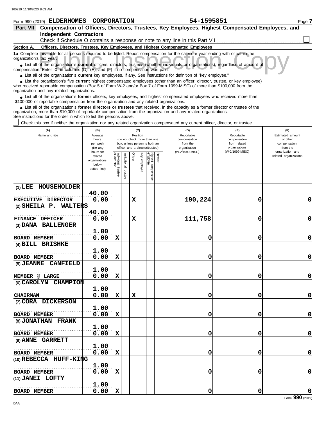**(1) LEE HOUSEHOLDER**

**(2) SHEILA P. WALTERS**

**(3) DANA BALLENGER**

**(5) JEANNE CANFIELD**

**(6) CAROLYN CHAMPION**

. . . . . . . . . . . . . . . . . . . . . . . . . . . . . . . . . . . . . . . . . . . . . . . . . . . . . . . **MEMBER @ LARGE**

. . . . . . . . . . . . . . . . . . . . . . . . . . . . . . . . . . . . . . . . . . . . . . . . . . . . . . . **CHAIRMAN**

**BOARD MEMBER** 0.00

**BOARD MEMBER** 0.00

**BOARD MEMBER** 0.00

**BOARD MEMBER** 0.00

**BOARD MEMBER** 0.00

**BOARD MEMBER** 0.00

**BOARD MEMBER** 0.00

FINANCE OFFICER 0.00

**EXECUTIVE DIRECTOR 0.00** 

**40.00**

**40.00**

**1.00**

**1.00**

**1.00**

**1.00**

**1.00**

**1.00**

**1.00**

**1.00**

**1.00**

**(7) CORA DICKERSON**

**(8) JONATHAN FRANK**

**(10) REBECCA HUFF-KING**

**(9) ANNE GARRETT**

**(11) JANEI LOFTY**

**(4) BILL BRISHKE**

| Form 990 (2019) ELDERHOMES                                                                                                                                                                                                                                                                                                    |                                                                                                                    | CORPORATION                                                                          |                                                                                                                                                                                 | 54-1595851                                                                       |                                                                                                                                                                     | Page 7                                                                                                       |  |  |  |  |  |
|-------------------------------------------------------------------------------------------------------------------------------------------------------------------------------------------------------------------------------------------------------------------------------------------------------------------------------|--------------------------------------------------------------------------------------------------------------------|--------------------------------------------------------------------------------------|---------------------------------------------------------------------------------------------------------------------------------------------------------------------------------|----------------------------------------------------------------------------------|---------------------------------------------------------------------------------------------------------------------------------------------------------------------|--------------------------------------------------------------------------------------------------------------|--|--|--|--|--|
| Part VII                                                                                                                                                                                                                                                                                                                      |                                                                                                                    |                                                                                      |                                                                                                                                                                                 |                                                                                  | Compensation of Officers, Directors, Trustees, Key Employees, Highest Compensated Employees, and                                                                    |                                                                                                              |  |  |  |  |  |
| <b>Independent Contractors</b>                                                                                                                                                                                                                                                                                                |                                                                                                                    |                                                                                      |                                                                                                                                                                                 |                                                                                  |                                                                                                                                                                     |                                                                                                              |  |  |  |  |  |
|                                                                                                                                                                                                                                                                                                                               |                                                                                                                    |                                                                                      |                                                                                                                                                                                 |                                                                                  | Check if Schedule O contains a response or note to any line in this Part VII [11] [11] Check if Schedule O contains a response or note to any line in this Part VII |                                                                                                              |  |  |  |  |  |
| Section A.                                                                                                                                                                                                                                                                                                                    |                                                                                                                    |                                                                                      |                                                                                                                                                                                 | Officers, Directors, Trustees, Key Employees, and Highest Compensated Employees  |                                                                                                                                                                     |                                                                                                              |  |  |  |  |  |
| 1a Complete this table for all persons required to be listed. Report compensation for the calendar year ending with or within the<br>organization's tax year.                                                                                                                                                                 |                                                                                                                    |                                                                                      |                                                                                                                                                                                 |                                                                                  |                                                                                                                                                                     |                                                                                                              |  |  |  |  |  |
| • List all of the organization's current officers, directors, trustees (whether individuals or organizations), regardless of amount of<br>compensation. Enter -0- in columns (D), (E), and (F) if no compensation was paid.                                                                                                   |                                                                                                                    |                                                                                      |                                                                                                                                                                                 |                                                                                  |                                                                                                                                                                     |                                                                                                              |  |  |  |  |  |
| • List all of the organization's <b>current</b> key employees, if any. See instructions for definition of "key employee."                                                                                                                                                                                                     |                                                                                                                    |                                                                                      |                                                                                                                                                                                 |                                                                                  |                                                                                                                                                                     |                                                                                                              |  |  |  |  |  |
| • List the organization's five current highest compensated employees (other than an officer, director, trustee, or key employee)<br>who received reportable compensation (Box 5 of Form W-2 and/or Box 7 of Form 1099-MISC) of more than \$100,000 from the<br>organization and any related organizations.                    |                                                                                                                    |                                                                                      |                                                                                                                                                                                 |                                                                                  |                                                                                                                                                                     |                                                                                                              |  |  |  |  |  |
| List all of the organization's former officers, key employees, and highest compensated employees who received more than<br>\$100,000 of reportable compensation from the organization and any related organizations.                                                                                                          |                                                                                                                    |                                                                                      |                                                                                                                                                                                 |                                                                                  |                                                                                                                                                                     |                                                                                                              |  |  |  |  |  |
| • List all of the organization's former directors or trustees that received, in the capacity as a former director or trustee of the<br>organization, more than \$10,000 of reportable compensation from the organization and any related organizations.<br>See instructions for the order in which to list the persons above. |                                                                                                                    |                                                                                      |                                                                                                                                                                                 |                                                                                  |                                                                                                                                                                     |                                                                                                              |  |  |  |  |  |
| Check this box if neither the organization nor any related organization compensated any current officer, director, or trustee.                                                                                                                                                                                                |                                                                                                                    |                                                                                      |                                                                                                                                                                                 |                                                                                  |                                                                                                                                                                     |                                                                                                              |  |  |  |  |  |
| (A)<br>Name and title                                                                                                                                                                                                                                                                                                         | (B)<br>Average<br>hours<br>per week<br>(list any<br>hours for<br>related<br>organizations<br>below<br>dotted line) | Individual<br>Institutional<br>õ<br><b>Officer</b><br>director<br>trustee<br>trustee | (C)<br>Position<br>(do not check more than one<br>box, unless person is both an<br>officer and a director/trustee)<br>Highest compensatec<br>employee<br>Former<br>Key employee | (D)<br>Reportable<br>compensation<br>from the<br>organization<br>(W-2/1099-MISC) | (E)<br>Reportable<br>compensation<br>from related<br>organizations<br>(W-2/1099-MISC)                                                                               | (F)<br>Estimated amount<br>of other<br>compensation<br>from the<br>organization and<br>related organizations |  |  |  |  |  |

 $X \begin{bmatrix} | & | & | & 190,224 \end{bmatrix}$  0

**0.00 X 111,758 0 0**

**0.00 X 0 0 0**

**0.00 X 0 0 0**

**0.00 X 0 0 0**

**0.00 X X 0 0 0**

**0.00 X 0 0 0**

**0.00 X 0 0 0**

**0.00 X 0 0 0**

**0.00 X 0 0 0**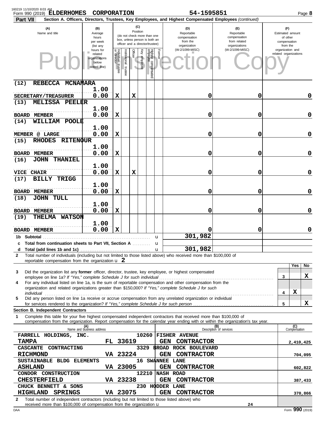| 160219 11/10/2020 8:03 AM<br>Form 990 (2019) ELDERHOMES<br><b>Part VII</b>                                                                                                                                                                                                                        | CORPORATION                                                    |                                      |                      |                 |                  |                                                                                                 |            | 54-1595851                                                    | Section A. Officers, Directors, Trustees, Key Employees, and Highest Compensated Employees (continued) |  |                                                                 |                     | Page 8      |
|---------------------------------------------------------------------------------------------------------------------------------------------------------------------------------------------------------------------------------------------------------------------------------------------------|----------------------------------------------------------------|--------------------------------------|----------------------|-----------------|------------------|-------------------------------------------------------------------------------------------------|------------|---------------------------------------------------------------|--------------------------------------------------------------------------------------------------------|--|-----------------------------------------------------------------|---------------------|-------------|
| (A)<br>Name and title                                                                                                                                                                                                                                                                             | (B)<br>Average<br>hours<br>per week<br>(list any               |                                      |                      | (C)<br>Position |                  | (do not check more than one<br>box, unless person is both an<br>officer and a director/trustee) |            | (D)<br>Reportable<br>compensation<br>from the<br>organization | (E)<br>Reportable<br>compensation<br>from related<br>organizations                                     |  | (F)<br>Estimated amount<br>of other<br>compensation<br>from the |                     |             |
|                                                                                                                                                                                                                                                                                                   | hours for<br>related<br>organizations<br>below<br>dotted line) | Individual<br>or director<br>trustee | nstitutional trustee | Officer         | Ķey<br>vemployee | Highest compensated<br>employee                                                                 | Former     | (W-2/1099-MISC)                                               | (W-2/1099-MISC)                                                                                        |  | organization and<br>related organizations                       |                     |             |
| REBECCA MCNAMARA<br>(12)                                                                                                                                                                                                                                                                          | 1.00                                                           |                                      |                      |                 |                  |                                                                                                 |            |                                                               |                                                                                                        |  |                                                                 |                     |             |
| SECRETARY/TREASURER<br><b>MELISSA PEELER</b><br>(13)                                                                                                                                                                                                                                              | 0.00                                                           | X                                    |                      | х               |                  |                                                                                                 |            | 0                                                             | 0                                                                                                      |  |                                                                 |                     | 0           |
| <b>BOARD MEMBER</b>                                                                                                                                                                                                                                                                               | 1.00<br>0.00                                                   | X                                    |                      |                 |                  |                                                                                                 |            | 0                                                             | 0                                                                                                      |  |                                                                 |                     | 0           |
| WILLIAM<br>(14)<br>POOLE<br>MEMBER @ LARGE                                                                                                                                                                                                                                                        | 1.00<br>0.00                                                   | X                                    |                      |                 |                  |                                                                                                 |            | 0                                                             | 0                                                                                                      |  |                                                                 |                     | 0           |
| <b>RHODES</b><br><b>RITENQUR</b><br>(15)                                                                                                                                                                                                                                                          | 1.00                                                           |                                      |                      |                 |                  |                                                                                                 |            |                                                               |                                                                                                        |  |                                                                 |                     |             |
| <b>BOARD MEMBER</b><br>(16)<br>JOHN<br><b>THANIEL</b>                                                                                                                                                                                                                                             | 0.00                                                           | X                                    |                      |                 |                  |                                                                                                 |            | 0                                                             | 0                                                                                                      |  |                                                                 |                     | 0           |
| VICE CHAIR                                                                                                                                                                                                                                                                                        | 1.00<br>0.00                                                   | х                                    |                      | х               |                  |                                                                                                 |            | 0                                                             | 0                                                                                                      |  |                                                                 |                     | 0           |
| <b>BILLY</b><br>(17)<br><b>TRIGG</b><br><b>BOARD MEMBER</b>                                                                                                                                                                                                                                       | 1.00<br>0.00                                                   | х                                    |                      |                 |                  |                                                                                                 |            | 0                                                             | 0                                                                                                      |  |                                                                 |                     | $\mathbf 0$ |
| JOHN TULL<br>(18)                                                                                                                                                                                                                                                                                 | 1.00                                                           |                                      |                      |                 |                  |                                                                                                 |            |                                                               |                                                                                                        |  |                                                                 |                     |             |
| <b>BOARD MEMBER</b><br>(19)<br><b>THELMA</b><br><b>WATSON</b>                                                                                                                                                                                                                                     | 0.00                                                           | х                                    |                      |                 |                  |                                                                                                 |            | 0                                                             | 0                                                                                                      |  |                                                                 |                     | $\mathbf 0$ |
| <b>BOARD MEMBER</b>                                                                                                                                                                                                                                                                               | 1.00<br>0.00                                                   | X                                    |                      |                 |                  |                                                                                                 |            | 0                                                             | 0                                                                                                      |  |                                                                 |                     | 0           |
| 1b Subtotal<br>c Total from continuation sheets to Part VII, Section A                                                                                                                                                                                                                            |                                                                |                                      |                      |                 |                  | u<br>u                                                                                          |            | 301,982                                                       |                                                                                                        |  |                                                                 |                     |             |
| d<br>Total number of individuals (including but not limited to those listed above) who received more than \$100,000 of<br>$\mathbf{2}$                                                                                                                                                            |                                                                |                                      |                      |                 |                  | $\mathbf{u}$                                                                                    |            | 301,982                                                       |                                                                                                        |  |                                                                 |                     |             |
| reportable compensation from the organization $\mathbf{u}$ 2                                                                                                                                                                                                                                      |                                                                |                                      |                      |                 |                  |                                                                                                 |            |                                                               |                                                                                                        |  |                                                                 | Yes                 | No          |
| Did the organization list any former officer, director, trustee, key employee, or highest compensated<br>3<br>For any individual listed on line 1a, is the sum of reportable compensation and other compensation from the<br>4                                                                    |                                                                |                                      |                      |                 |                  |                                                                                                 |            |                                                               |                                                                                                        |  | 3                                                               |                     | X           |
| organization and related organizations greater than \$150,000? If "Yes," complete Schedule J for such<br>individual                                                                                                                                                                               |                                                                |                                      |                      |                 |                  |                                                                                                 |            |                                                               |                                                                                                        |  | 4                                                               | X                   |             |
| Did any person listed on line 1a receive or accrue compensation from any unrelated organization or individual<br>5                                                                                                                                                                                |                                                                |                                      |                      |                 |                  |                                                                                                 |            |                                                               |                                                                                                        |  | 5                                                               |                     | x           |
| Section B. Independent Contractors<br>Complete this table for your five highest compensated independent contractors that received more than \$100,000 of<br>1<br>compensation from the organization. Report compensation for the calendar year ending with or within the organization's tax year. |                                                                |                                      |                      |                 |                  |                                                                                                 |            |                                                               |                                                                                                        |  |                                                                 |                     |             |
|                                                                                                                                                                                                                                                                                                   | (A)<br>Name and business address                               |                                      |                      |                 |                  |                                                                                                 |            |                                                               | (B)<br>Description of services                                                                         |  |                                                                 | (C)<br>Compensation |             |
| FARRELL HOLDINGS, INC.<br><b>TAMPA</b>                                                                                                                                                                                                                                                            |                                                                |                                      | FL 33619             |                 |                  |                                                                                                 |            | 10260 FISHER AVENUE<br><b>GEN CONTRACTOR</b>                  |                                                                                                        |  |                                                                 | 2,410,425           |             |
| CASCANTE CONTRACTING<br><b>RICHMOND</b>                                                                                                                                                                                                                                                           |                                                                |                                      | VA 23224             |                 |                  |                                                                                                 |            | 3329 BROAD ROCK BOULEVARD<br>GEN CONTRACTOR                   |                                                                                                        |  |                                                                 |                     | 704,095     |
| SUSTAINABLE BLDG ELEMENTS<br><b>ASHLAND</b>                                                                                                                                                                                                                                                       |                                                                |                                      | <b>VA 23005</b>      |                 |                  |                                                                                                 |            | 16 SWANNEE LANE<br>GEN CONTRACTOR                             |                                                                                                        |  |                                                                 |                     | 602,822     |
| 12210 NASH ROAD<br>CONDOR CONSTRUCTION<br><b>CHESTERFIELD</b><br>VA 23238<br>GEN CONTRACTOR                                                                                                                                                                                                       |                                                                |                                      |                      |                 |                  |                                                                                                 |            |                                                               |                                                                                                        |  |                                                                 | 387,433             |             |
| CHUCK BENNETT & SONS<br><b>HIGHLAND</b><br><b>SPRINGS</b>                                                                                                                                                                                                                                         |                                                                |                                      | VA 23075             |                 |                  |                                                                                                 | <b>GEN</b> | 230 HODDER LANE<br><b>CONTRACTOR</b>                          |                                                                                                        |  |                                                                 |                     | 370,866     |
| Total number of independent contractors (including but not limited to those listed above) who<br>2<br>received more than \$100,000 of compensation from the organization <b>u</b>                                                                                                                 |                                                                |                                      |                      |                 |                  |                                                                                                 |            |                                                               | 24                                                                                                     |  |                                                                 |                     |             |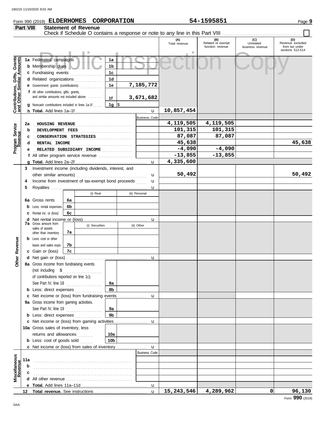|                                                                  | Part VIII |                                                                                                |    | <b>Statement of Revenue</b> |                 |              |                      | Check if Schedule O contains a response or note to any line in this Part VIII |                                              |                                      |                                           |
|------------------------------------------------------------------|-----------|------------------------------------------------------------------------------------------------|----|-----------------------------|-----------------|--------------|----------------------|-------------------------------------------------------------------------------|----------------------------------------------|--------------------------------------|-------------------------------------------|
|                                                                  |           |                                                                                                |    |                             |                 |              |                      | (A)<br>Total revenue                                                          | (B)<br>Related or exempt<br>function revenue | (C)<br>Unrelated<br>business revenue | (D)<br>Revenue excluded<br>from tax under |
|                                                                  |           |                                                                                                |    |                             |                 |              |                      | r.                                                                            |                                              |                                      | sections 512-514                          |
| <b>Contributions, Gifts, Grants</b><br>and Other Similar Amounts |           | 1a Federated campaigns                                                                         |    |                             | 1a              |              |                      |                                                                               |                                              |                                      |                                           |
|                                                                  |           | <b>b</b> Membership dues                                                                       |    |                             | 1b              |              |                      |                                                                               |                                              |                                      |                                           |
|                                                                  |           | c Fundraising events                                                                           |    |                             | 1 <sub>c</sub>  |              |                      |                                                                               |                                              |                                      |                                           |
|                                                                  |           | d Related organizations                                                                        |    |                             | 1 <sub>d</sub>  |              |                      |                                                                               |                                              |                                      |                                           |
|                                                                  |           | e Government grants (contributions)                                                            |    |                             | 1e              |              | 7,185,772            |                                                                               |                                              |                                      |                                           |
|                                                                  |           | f All other contributions, gifts, grants,<br>and similar amounts not included above            |    |                             |                 |              |                      |                                                                               |                                              |                                      |                                           |
|                                                                  |           |                                                                                                |    |                             | 1f              |              | 3,671,682            |                                                                               |                                              |                                      |                                           |
|                                                                  |           | <b>g</b> Noncash contributions included in lines 1a-1f                                         |    |                             | 1g $\sqrt{3}$   |              | $\mathbf{u}$         | 10,857,454                                                                    |                                              |                                      |                                           |
|                                                                  |           |                                                                                                |    |                             |                 |              | <b>Business Code</b> |                                                                               |                                              |                                      |                                           |
|                                                                  | 2a        | HOUSING REVENUE                                                                                |    |                             |                 |              |                      | 4,119,505                                                                     | 4,119,505                                    |                                      |                                           |
|                                                                  | b         | DEVELOPMENT FEES                                                                               |    |                             |                 |              |                      | 101,315                                                                       | 101,315                                      |                                      |                                           |
|                                                                  | c         | CONSERVATION STRATEGIES                                                                        |    |                             |                 |              |                      | 87,087                                                                        | 87,087                                       |                                      |                                           |
|                                                                  | d         | RENTAL INCOME                                                                                  |    |                             |                 |              |                      | 45,638                                                                        |                                              |                                      | 45,638                                    |
| Program Service<br>Revenue                                       | е         | RELATED SUBSIDIARY INCOME                                                                      |    |                             |                 | . <b>.</b> . |                      | $-4,090$                                                                      | $-4,090$                                     |                                      |                                           |
|                                                                  |           | f All other program service revenue                                                            |    |                             |                 |              |                      | $-13,855$                                                                     | $-13,855$                                    |                                      |                                           |
|                                                                  |           |                                                                                                |    |                             |                 |              | u                    | 4,335,600                                                                     |                                              |                                      |                                           |
|                                                                  | 3         | Investment income (including dividends, interest, and                                          |    |                             |                 |              |                      |                                                                               |                                              |                                      |                                           |
|                                                                  |           |                                                                                                |    |                             |                 |              | u                    | 50,492                                                                        |                                              |                                      | 50,492                                    |
|                                                                  | 4         | Income from investment of tax-exempt bond proceeds                                             |    |                             |                 |              | u                    |                                                                               |                                              |                                      |                                           |
|                                                                  | 5         |                                                                                                |    |                             |                 |              | u                    |                                                                               |                                              |                                      |                                           |
|                                                                  |           |                                                                                                |    | (i) Real                    |                 |              | (ii) Personal        |                                                                               |                                              |                                      |                                           |
|                                                                  |           | <b>6a</b> Gross rents                                                                          | 6а |                             |                 |              |                      |                                                                               |                                              |                                      |                                           |
|                                                                  |           | Less: rental expenses                                                                          | 6b |                             |                 |              |                      |                                                                               |                                              |                                      |                                           |
|                                                                  |           | Rental inc. or (loss)                                                                          | 6c |                             |                 |              |                      |                                                                               |                                              |                                      |                                           |
|                                                                  |           | <b>7a</b> Gross amount from                                                                    |    | (i) Securities              |                 |              | u<br>(ii) Other      |                                                                               |                                              |                                      |                                           |
|                                                                  |           | sales of assets                                                                                | 7a |                             |                 |              |                      |                                                                               |                                              |                                      |                                           |
|                                                                  |           | other than inventory<br><b>b</b> Less: cost or other                                           |    |                             |                 |              |                      |                                                                               |                                              |                                      |                                           |
|                                                                  |           | basis and sales exps.                                                                          | 7b |                             |                 |              |                      |                                                                               |                                              |                                      |                                           |
| Revenue                                                          |           | c Gain or (loss)                                                                               | 7c |                             |                 |              |                      |                                                                               |                                              |                                      |                                           |
|                                                                  |           |                                                                                                |    |                             |                 |              | u                    |                                                                               |                                              |                                      |                                           |
| Other                                                            |           | 8a Gross income from fundraising events                                                        |    |                             |                 |              |                      |                                                                               |                                              |                                      |                                           |
|                                                                  |           | (not including \$                                                                              |    | .                           |                 |              |                      |                                                                               |                                              |                                      |                                           |
|                                                                  |           | of contributions reported on line 1c).                                                         |    |                             |                 |              |                      |                                                                               |                                              |                                      |                                           |
|                                                                  |           | See Part IV, line 18 $\ldots$                                                                  |    |                             | 8а              |              |                      |                                                                               |                                              |                                      |                                           |
|                                                                  |           | <b>b</b> Less: direct expenses <i>minimum</i>                                                  |    |                             | 8b              |              |                      |                                                                               |                                              |                                      |                                           |
|                                                                  |           | <b>c</b> Net income or (loss) from fundraising events                                          |    |                             |                 |              | u                    |                                                                               |                                              |                                      |                                           |
|                                                                  |           | 9a Gross income from gaming activities.                                                        |    |                             |                 |              |                      |                                                                               |                                              |                                      |                                           |
|                                                                  |           | See Part IV, line 19                                                                           |    |                             | 9а              |              |                      |                                                                               |                                              |                                      |                                           |
|                                                                  |           | <b>b</b> Less: direct expenses <i>minimum</i><br>c Net income or (loss) from gaming activities |    |                             | 9 <sub>b</sub>  |              |                      |                                                                               |                                              |                                      |                                           |
|                                                                  |           | 10a Gross sales of inventory, less                                                             |    |                             |                 |              | u                    |                                                                               |                                              |                                      |                                           |
|                                                                  |           | returns and allowances                                                                         |    |                             | 10a             |              |                      |                                                                               |                                              |                                      |                                           |
|                                                                  |           | <b>b</b> Less: cost of goods sold                                                              |    |                             | 10 <sub>b</sub> |              |                      |                                                                               |                                              |                                      |                                           |
|                                                                  |           | c Net income or (loss) from sales of inventory                                                 |    |                             |                 |              | $\mathbf{u}$         |                                                                               |                                              |                                      |                                           |
|                                                                  |           |                                                                                                |    |                             |                 |              | <b>Business Code</b> |                                                                               |                                              |                                      |                                           |
|                                                                  | 11a       |                                                                                                |    |                             |                 |              |                      |                                                                               |                                              |                                      |                                           |
|                                                                  | b         |                                                                                                |    |                             |                 |              |                      |                                                                               |                                              |                                      |                                           |
| Miscellaneous<br>Revenue                                         |           |                                                                                                |    |                             |                 |              |                      |                                                                               |                                              |                                      |                                           |
|                                                                  |           | All other revenue <i>containal containant all</i>                                              |    |                             |                 |              |                      |                                                                               |                                              |                                      |                                           |
|                                                                  |           |                                                                                                |    |                             |                 |              | $\mathbf{u}$         |                                                                               |                                              |                                      |                                           |
|                                                                  | 12        |                                                                                                |    |                             |                 |              | $\mathbf{u}$         | 15,243,546                                                                    | 4,289,962                                    | 0                                    | 96,130                                    |

# **Form 990 (2019) ELDERHOMES CORPORATION** 54-1595851 Page 9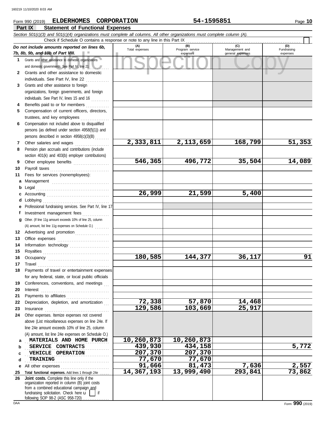## nd 10b of Part VIII.<br>
dother assistance to domestic organizations<br>
and other assistance to domestic<br>
and other assistance to domestic **Part IX Statement of Functional Expenses Form 990 (2019) ELDERHOMES CORPORATION** 54-1595851 Page 10 *Section 501(c)(3) and 501(c)(4) organizations must complete all columns. All other organizations must complete column (A). Do not include amounts reported on lines 6b, 7b, 8b, 9b, and 10b of Part VIII.* **1 2 3 4 5 6 7 8 9 10 11 a** Management ................................. **b** Legal . . . . . . . . . . . . . . . . . . . . . . . . . . . . . . . . . . . . . . . . . **c** Accounting . . . . . . . . . . . . . . . . . . . . . . . . . . . . . . . . . . . **d** Lobbying . . . . . . . . . . . . . . . . . . . . . . . . . . . . . . . . . . . . . **e** Professional fundraising services. See Part IV, line 17 **f g** Other. (If line 11g amount exceeds 10% of line 25, column **12** Advertising and promotion . . . . . . . . . . . . . . . . . **13 14 15 16 17 18 19 20 21 22 23 24 a b c d e** All other expenses . . . . . . . . . . . . . . . . . . . . . . . . . . . **25 Total functional expenses.** Add lines 1 through 24e . . . . . **26** Grants and other assistance to domestic organizations and domestic governments. See Part IV, line 21 Grants and other assistance to domestic individuals. See Part IV, line 22 Grants and other assistance to foreign organizations, foreign governments, and foreign individuals. See Part IV, lines 15 and 16 Benefits paid to or for members ............. Compensation of current officers, directors, trustees, and key employees . . . . . . . . . . . . . . . . Compensation not included above to disqualified persons (as defined under section 4958(f)(1)) and persons described in section 4958(c)(3)(B) . . . . . . . . Other salaries and wages ................... Pension plan accruals and contributions (include section 401(k) and 403(b) employer contributions) Other employee benefits .................... Payroll taxes . . . . . . . . . . . . . . . . . . . . . . . . . . . . . . . . . Fees for services (nonemployees): Investment management fees ................ Office expenses ................................ Information technology ..................... Royalties . . . . . . . . . . . . . . . . . . . . . . . . . . . . . . . . . . . . . Occupancy . . . . . . . . . . . . . . . . . . . . . . . . . . . . . . . . . . Travel . . . . . . . . . . . . . . . . . . . . . . . . . . . . . . . . . . . . . . . . Payments of travel or entertainment expenses for any federal, state, or local public officials Conferences, conventions, and meetings Interest . . . . . . . . . . . . . . . . . . . . . . . . . . . . . . . . . . . . . . Payments to affiliates . . . . . . . . . . . . . . . . . . . . . . . . Depreciation, depletion, and amortization Insurance . . . . . . . . . . . . . . . . . . . . . . . . . . . . . . . . . . . . Other expenses. Itemize expenses not covered above (List miscellaneous expenses on line 24e. If line 24e amount exceeds 10% of line 25, column (A) amount, list line 24e expenses on Schedule O.) organization reported in column (B) joint costs **(A) (B) (C) (D)** Management and expenses and general expenses (D)<br>Fundraising expenses **MATERIALS AND HOME PURCH 10,260,873 10,260,873** . . . . . . . . . . . . . . . . . . . . . . . . . . . . . . . . . . . . . . . . . . . . . . . **SERVICE CONTRACTS 439,930 434,158 5,772 VEHICLE OPERATION 1207,370** 207,370 . . . . . . . . . . . . . . . . . . . . . . . . . . . . . . . . . . . . . . . . . . . . . . . **TRAINING 77,670 77,670** Check if Schedule O contains a response or note to any line in this Part IX **Joint costs.** Complete this line only if the (A) amount, list line 11g expenses on Schedule O.) ....... **2,333,811 2,113,659 168,799 51,353 546,365 496,772 35,504 14,089 26,999 21,599 5,400 180,585 144,377 36,117 91 72,338 57,870 14,468 129,586 103,669 25,917 91,666 81,473 7,636 2,557 14,367,193 13,999,490 293,841 73,862**

fundraising solicitation. Check here  $\mathbf{u}$  | if

from a combined educational campaign and

following SOP 98-2 (ASC 958-720)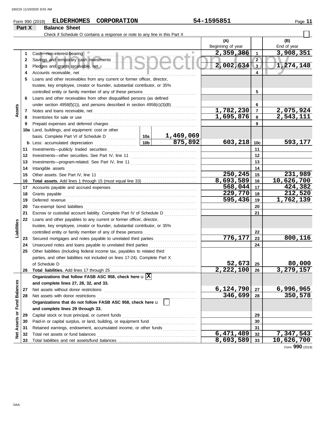|                         |        | <b>ELDERHOMES</b><br><b>CORPORATION</b><br>Form 990 (2019)                                                                                 |                    |                                                      | 54-1595851             |                 | Page 11          |
|-------------------------|--------|--------------------------------------------------------------------------------------------------------------------------------------------|--------------------|------------------------------------------------------|------------------------|-----------------|------------------|
|                         | Part X | <b>Balance Sheet</b>                                                                                                                       |                    |                                                      |                        |                 |                  |
|                         |        |                                                                                                                                            |                    |                                                      |                        |                 |                  |
|                         |        |                                                                                                                                            |                    |                                                      | (A)                    |                 | (B)              |
|                         |        |                                                                                                                                            |                    |                                                      | Beginning of year      |                 | End of year      |
|                         | 1      | Cash-non-interest-bearing                                                                                                                  |                    |                                                      | 2,359,386              | $\mathbf{1}$    | 3,908,351        |
|                         | 2      | Savings and temporary cash investments <b>ANGLOM</b>                                                                                       |                    |                                                      |                        | $\overline{2}$  |                  |
|                         | 3      | Pledges and grants receivable, net <b>All Please and School and School and School and School and School and School</b>                     |                    |                                                      | 2,002,634              | 3               | 1,274,148        |
|                         | 4      | Accounts receivable, net                                                                                                                   |                    |                                                      |                        | 4               |                  |
|                         | 5      | Loans and other receivables from any current or former officer, director,                                                                  |                    |                                                      |                        |                 |                  |
|                         |        | trustee, key employee, creator or founder, substantial contributor, or 35%                                                                 |                    |                                                      |                        |                 |                  |
|                         |        | controlled entity or family member of any of these persons                                                                                 |                    |                                                      |                        | 5               |                  |
|                         | 6      | Loans and other receivables from other disqualified persons (as defined                                                                    |                    |                                                      |                        |                 |                  |
|                         |        | under section $4958(f)(1)$ , and persons described in section $4958(c)(3)(B)$                                                              |                    |                                                      |                        | 6               |                  |
| Assets                  | 7      |                                                                                                                                            |                    |                                                      | 1,782,230              | $\overline{7}$  | 2,075,924        |
|                         | 8      | Inventories for sale or use                                                                                                                |                    |                                                      | 1,695,876              | 8               | 2,543,111        |
|                         | 9      | Prepaid expenses and deferred charges                                                                                                      |                    |                                                      |                        | 9               |                  |
|                         |        | 10a Land, buildings, and equipment: cost or other                                                                                          |                    |                                                      |                        |                 |                  |
|                         |        |                                                                                                                                            |                    | 1,469,069                                            |                        |                 |                  |
|                         |        | <b>b</b> Less: accumulated depreciation<br>.                                                                                               | 10 <sub>b</sub>    | 875,892                                              | 603, 218               | 10 <sub>c</sub> | 593,177          |
|                         | 11     | Investments-publicly traded securities                                                                                                     |                    |                                                      |                        | 11              |                  |
|                         | 12     |                                                                                                                                            |                    |                                                      | 12                     |                 |                  |
|                         | 13     |                                                                                                                                            |                    |                                                      | 13                     |                 |                  |
|                         | 14     | Intangible assets                                                                                                                          |                    |                                                      | 14                     |                 |                  |
|                         | 15     | Other assets. See Part IV, line 11                                                                                                         |                    |                                                      | $250, 245$ 15          |                 | 231,989          |
|                         | 16     |                                                                                                                                            |                    |                                                      | 8,693,589              | 16              | 10,626,700       |
|                         | 17     |                                                                                                                                            | 568,044            | 17                                                   | 424,382                |                 |                  |
|                         | 18     | Grants payable                                                                                                                             |                    |                                                      | $\overline{229,770}$   | 18              | 212,520          |
|                         | 19     | Deferred revenue                                                                                                                           |                    |                                                      | 595,436                | 19              | 1,762,139        |
|                         | 20     |                                                                                                                                            |                    |                                                      |                        | 20              |                  |
|                         | 21     | Escrow or custodial account liability. Complete Part IV of Schedule D                                                                      |                    |                                                      |                        | 21              |                  |
|                         | 22     | Loans and other payables to any current or former officer, director,                                                                       |                    |                                                      |                        |                 |                  |
| Liabilities             |        | trustee, key employee, creator or founder, substantial contributor, or 35%                                                                 |                    |                                                      |                        |                 |                  |
|                         |        | controlled entity or family member of any of these persons                                                                                 |                    |                                                      | 776, 177               | 22              | 800,116          |
|                         | 23     | Secured mortgages and notes payable to unrelated third parties                                                                             |                    |                                                      |                        | 23              |                  |
|                         | 24     | Unsecured notes and loans payable to unrelated third parties<br>Other liabilities (including federal income tax, payables to related third |                    |                                                      |                        | 24              |                  |
|                         | 25     |                                                                                                                                            |                    |                                                      |                        |                 |                  |
|                         |        | parties, and other liabilities not included on lines 17-24). Complete Part X                                                               |                    |                                                      | 52,673                 | 25              | 80,000           |
|                         | 26     | of Schedule D                                                                                                                              |                    |                                                      | $\overline{2,222,100}$ | 26              | 3,279,157        |
|                         |        | Organizations that follow FASB ASC 958, check here $\mathbf{u} \times$                                                                     |                    |                                                      |                        |                 |                  |
|                         |        | and complete lines 27, 28, 32, and 33.                                                                                                     |                    |                                                      |                        |                 |                  |
|                         | 27     | Net assets without donor restrictions                                                                                                      |                    |                                                      | 6,124,790              | 27              | <u>6,996,965</u> |
|                         | 28     | Net assets with donor restrictions                                                                                                         |                    |                                                      | 346,699                | 28              | 350,578          |
|                         |        | Organizations that do not follow FASB ASC 958, check here u                                                                                |                    |                                                      |                        |                 |                  |
|                         |        | and complete lines 29 through 33.                                                                                                          |                    |                                                      |                        |                 |                  |
|                         | 29     | Capital stock or trust principal, or current funds                                                                                         |                    |                                                      |                        | 29              |                  |
| Assets or Fund Balances | 30     | Paid-in or capital surplus, or land, building, or equipment fund                                                                           |                    | <u> 1986 - Johann Stoff, Amerikaansk politiker (</u> |                        | 30              |                  |
|                         | 31     | Retained earnings, endowment, accumulated income, or other funds                                                                           |                    |                                                      |                        | 31              |                  |
| <b>Net</b>              | 32     | Total net assets or fund balances                                                                                                          |                    |                                                      | $\overline{6,471,489}$ | 32              | <u>7,347,543</u> |
|                         |        |                                                                                                                                            | $\epsilon$ 02. EQQ |                                                      |                        |                 |                  |

Total liabilities and net assets/fund balances . . . . . . . . . . . . . . . . . . . . . . . . . . . . . . . . . . . . . . . . . . . .

**33**

**8,693,589 10,626,700**

**33**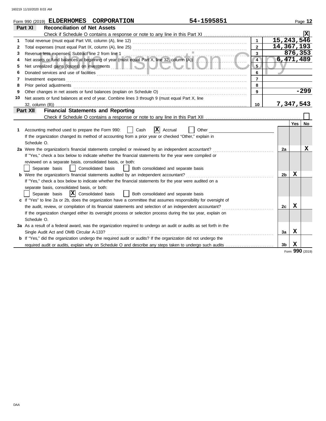| Form 990 (2019) ELDERHOMES<br><b>Reconciliation of Net Assets</b><br>Part XI<br>Check if Schedule O contains a response or note to any line in this Part XI<br>15, 243, 546<br>$\mathbf{1}$<br>Total revenue (must equal Part VIII, column (A), line 12)<br>1<br>14,367,193<br>$\overline{2}$<br>Total expenses (must equal Part IX, column (A), line 25)<br>2<br>876,353<br>3<br>Revenue less expenses. Subtract line 2 from line 1<br>3<br>Revenue less expenses. Subtract line 2 from line 1<br>Net assets or fund balances at beginning of year (must equal Part X, line 32, column (A))<br>6,471,489<br>$\overline{4}$<br>4<br>5<br>Net unrealized gains (losses) on investments <b>Alternative and the contract of the contract of the contract of the contract of the contract of the contract of the contract of the contract of the contract of the contract of </b><br>5<br>Donated services and use of facilities <b>constructed and all construction</b> and all constructions of the service of facilities<br>6<br>6<br>$\overline{7}$<br>Investment expenses<br>7<br>8<br>Prior period adjustments<br>8<br>$-299$<br>Other changes in net assets or fund balances (explain on Schedule O)<br>9<br>9<br>Net assets or fund balances at end of year. Combine lines 3 through 9 (must equal Part X, line<br>10<br>7,347,543<br>32, column (B))<br>10<br><b>Financial Statements and Reporting</b><br>Part XII<br>Check if Schedule O contains a response or note to any line in this Part XII<br>Yes  <br>ΙXΙ<br>Accounting method used to prepare the Form 990:<br>Cash<br>Accrual<br>Other<br>1<br>If the organization changed its method of accounting from a prior year or checked "Other," explain in | Page 12 |
|-----------------------------------------------------------------------------------------------------------------------------------------------------------------------------------------------------------------------------------------------------------------------------------------------------------------------------------------------------------------------------------------------------------------------------------------------------------------------------------------------------------------------------------------------------------------------------------------------------------------------------------------------------------------------------------------------------------------------------------------------------------------------------------------------------------------------------------------------------------------------------------------------------------------------------------------------------------------------------------------------------------------------------------------------------------------------------------------------------------------------------------------------------------------------------------------------------------------------------------------------------------------------------------------------------------------------------------------------------------------------------------------------------------------------------------------------------------------------------------------------------------------------------------------------------------------------------------------------------------------------------------------------------------------------------------------------------------------------|---------|
|                                                                                                                                                                                                                                                                                                                                                                                                                                                                                                                                                                                                                                                                                                                                                                                                                                                                                                                                                                                                                                                                                                                                                                                                                                                                                                                                                                                                                                                                                                                                                                                                                                                                                                                       |         |
|                                                                                                                                                                                                                                                                                                                                                                                                                                                                                                                                                                                                                                                                                                                                                                                                                                                                                                                                                                                                                                                                                                                                                                                                                                                                                                                                                                                                                                                                                                                                                                                                                                                                                                                       |         |
|                                                                                                                                                                                                                                                                                                                                                                                                                                                                                                                                                                                                                                                                                                                                                                                                                                                                                                                                                                                                                                                                                                                                                                                                                                                                                                                                                                                                                                                                                                                                                                                                                                                                                                                       |         |
|                                                                                                                                                                                                                                                                                                                                                                                                                                                                                                                                                                                                                                                                                                                                                                                                                                                                                                                                                                                                                                                                                                                                                                                                                                                                                                                                                                                                                                                                                                                                                                                                                                                                                                                       |         |
|                                                                                                                                                                                                                                                                                                                                                                                                                                                                                                                                                                                                                                                                                                                                                                                                                                                                                                                                                                                                                                                                                                                                                                                                                                                                                                                                                                                                                                                                                                                                                                                                                                                                                                                       |         |
|                                                                                                                                                                                                                                                                                                                                                                                                                                                                                                                                                                                                                                                                                                                                                                                                                                                                                                                                                                                                                                                                                                                                                                                                                                                                                                                                                                                                                                                                                                                                                                                                                                                                                                                       |         |
|                                                                                                                                                                                                                                                                                                                                                                                                                                                                                                                                                                                                                                                                                                                                                                                                                                                                                                                                                                                                                                                                                                                                                                                                                                                                                                                                                                                                                                                                                                                                                                                                                                                                                                                       |         |
|                                                                                                                                                                                                                                                                                                                                                                                                                                                                                                                                                                                                                                                                                                                                                                                                                                                                                                                                                                                                                                                                                                                                                                                                                                                                                                                                                                                                                                                                                                                                                                                                                                                                                                                       |         |
|                                                                                                                                                                                                                                                                                                                                                                                                                                                                                                                                                                                                                                                                                                                                                                                                                                                                                                                                                                                                                                                                                                                                                                                                                                                                                                                                                                                                                                                                                                                                                                                                                                                                                                                       |         |
|                                                                                                                                                                                                                                                                                                                                                                                                                                                                                                                                                                                                                                                                                                                                                                                                                                                                                                                                                                                                                                                                                                                                                                                                                                                                                                                                                                                                                                                                                                                                                                                                                                                                                                                       |         |
|                                                                                                                                                                                                                                                                                                                                                                                                                                                                                                                                                                                                                                                                                                                                                                                                                                                                                                                                                                                                                                                                                                                                                                                                                                                                                                                                                                                                                                                                                                                                                                                                                                                                                                                       |         |
|                                                                                                                                                                                                                                                                                                                                                                                                                                                                                                                                                                                                                                                                                                                                                                                                                                                                                                                                                                                                                                                                                                                                                                                                                                                                                                                                                                                                                                                                                                                                                                                                                                                                                                                       |         |
|                                                                                                                                                                                                                                                                                                                                                                                                                                                                                                                                                                                                                                                                                                                                                                                                                                                                                                                                                                                                                                                                                                                                                                                                                                                                                                                                                                                                                                                                                                                                                                                                                                                                                                                       |         |
|                                                                                                                                                                                                                                                                                                                                                                                                                                                                                                                                                                                                                                                                                                                                                                                                                                                                                                                                                                                                                                                                                                                                                                                                                                                                                                                                                                                                                                                                                                                                                                                                                                                                                                                       |         |
|                                                                                                                                                                                                                                                                                                                                                                                                                                                                                                                                                                                                                                                                                                                                                                                                                                                                                                                                                                                                                                                                                                                                                                                                                                                                                                                                                                                                                                                                                                                                                                                                                                                                                                                       |         |
|                                                                                                                                                                                                                                                                                                                                                                                                                                                                                                                                                                                                                                                                                                                                                                                                                                                                                                                                                                                                                                                                                                                                                                                                                                                                                                                                                                                                                                                                                                                                                                                                                                                                                                                       | No      |
|                                                                                                                                                                                                                                                                                                                                                                                                                                                                                                                                                                                                                                                                                                                                                                                                                                                                                                                                                                                                                                                                                                                                                                                                                                                                                                                                                                                                                                                                                                                                                                                                                                                                                                                       |         |
|                                                                                                                                                                                                                                                                                                                                                                                                                                                                                                                                                                                                                                                                                                                                                                                                                                                                                                                                                                                                                                                                                                                                                                                                                                                                                                                                                                                                                                                                                                                                                                                                                                                                                                                       |         |
| Schedule O.                                                                                                                                                                                                                                                                                                                                                                                                                                                                                                                                                                                                                                                                                                                                                                                                                                                                                                                                                                                                                                                                                                                                                                                                                                                                                                                                                                                                                                                                                                                                                                                                                                                                                                           |         |
| 2a Were the organization's financial statements compiled or reviewed by an independent accountant?<br>2a                                                                                                                                                                                                                                                                                                                                                                                                                                                                                                                                                                                                                                                                                                                                                                                                                                                                                                                                                                                                                                                                                                                                                                                                                                                                                                                                                                                                                                                                                                                                                                                                              | х       |
| If "Yes," check a box below to indicate whether the financial statements for the year were compiled or                                                                                                                                                                                                                                                                                                                                                                                                                                                                                                                                                                                                                                                                                                                                                                                                                                                                                                                                                                                                                                                                                                                                                                                                                                                                                                                                                                                                                                                                                                                                                                                                                |         |
| reviewed on a separate basis, consolidated basis, or both:                                                                                                                                                                                                                                                                                                                                                                                                                                                                                                                                                                                                                                                                                                                                                                                                                                                                                                                                                                                                                                                                                                                                                                                                                                                                                                                                                                                                                                                                                                                                                                                                                                                            |         |
| Separate basis<br>Consolidated basis<br>Both consolidated and separate basis                                                                                                                                                                                                                                                                                                                                                                                                                                                                                                                                                                                                                                                                                                                                                                                                                                                                                                                                                                                                                                                                                                                                                                                                                                                                                                                                                                                                                                                                                                                                                                                                                                          |         |
| X<br>b Were the organization's financial statements audited by an independent accountant?<br>2 <sub>b</sub>                                                                                                                                                                                                                                                                                                                                                                                                                                                                                                                                                                                                                                                                                                                                                                                                                                                                                                                                                                                                                                                                                                                                                                                                                                                                                                                                                                                                                                                                                                                                                                                                           |         |
| If "Yes," check a box below to indicate whether the financial statements for the year were audited on a                                                                                                                                                                                                                                                                                                                                                                                                                                                                                                                                                                                                                                                                                                                                                                                                                                                                                                                                                                                                                                                                                                                                                                                                                                                                                                                                                                                                                                                                                                                                                                                                               |         |
| separate basis, consolidated basis, or both:                                                                                                                                                                                                                                                                                                                                                                                                                                                                                                                                                                                                                                                                                                                                                                                                                                                                                                                                                                                                                                                                                                                                                                                                                                                                                                                                                                                                                                                                                                                                                                                                                                                                          |         |
| $ X $ Consolidated basis<br>Both consolidated and separate basis<br>Separate basis                                                                                                                                                                                                                                                                                                                                                                                                                                                                                                                                                                                                                                                                                                                                                                                                                                                                                                                                                                                                                                                                                                                                                                                                                                                                                                                                                                                                                                                                                                                                                                                                                                    |         |
| c If "Yes" to line 2a or 2b, does the organization have a committee that assumes responsibility for oversight of<br>X                                                                                                                                                                                                                                                                                                                                                                                                                                                                                                                                                                                                                                                                                                                                                                                                                                                                                                                                                                                                                                                                                                                                                                                                                                                                                                                                                                                                                                                                                                                                                                                                 |         |
| the audit, review, or compilation of its financial statements and selection of an independent accountant?<br>2c                                                                                                                                                                                                                                                                                                                                                                                                                                                                                                                                                                                                                                                                                                                                                                                                                                                                                                                                                                                                                                                                                                                                                                                                                                                                                                                                                                                                                                                                                                                                                                                                       |         |
| If the organization changed either its oversight process or selection process during the tax year, explain on                                                                                                                                                                                                                                                                                                                                                                                                                                                                                                                                                                                                                                                                                                                                                                                                                                                                                                                                                                                                                                                                                                                                                                                                                                                                                                                                                                                                                                                                                                                                                                                                         |         |
| Schedule O.                                                                                                                                                                                                                                                                                                                                                                                                                                                                                                                                                                                                                                                                                                                                                                                                                                                                                                                                                                                                                                                                                                                                                                                                                                                                                                                                                                                                                                                                                                                                                                                                                                                                                                           |         |
| 3a As a result of a federal award, was the organization required to undergo an audit or audits as set forth in the<br>X                                                                                                                                                                                                                                                                                                                                                                                                                                                                                                                                                                                                                                                                                                                                                                                                                                                                                                                                                                                                                                                                                                                                                                                                                                                                                                                                                                                                                                                                                                                                                                                               |         |
| Single Audit Act and OMB Circular A-133?<br>За<br><b>b</b> If "Yes," did the organization undergo the required audit or audits? If the organization did not undergo the                                                                                                                                                                                                                                                                                                                                                                                                                                                                                                                                                                                                                                                                                                                                                                                                                                                                                                                                                                                                                                                                                                                                                                                                                                                                                                                                                                                                                                                                                                                                               |         |
| х<br>required audit or audits, explain why on Schedule O and describe any steps taken to undergo such audits<br>3b                                                                                                                                                                                                                                                                                                                                                                                                                                                                                                                                                                                                                                                                                                                                                                                                                                                                                                                                                                                                                                                                                                                                                                                                                                                                                                                                                                                                                                                                                                                                                                                                    |         |
| Form 990 (2019)                                                                                                                                                                                                                                                                                                                                                                                                                                                                                                                                                                                                                                                                                                                                                                                                                                                                                                                                                                                                                                                                                                                                                                                                                                                                                                                                                                                                                                                                                                                                                                                                                                                                                                       |         |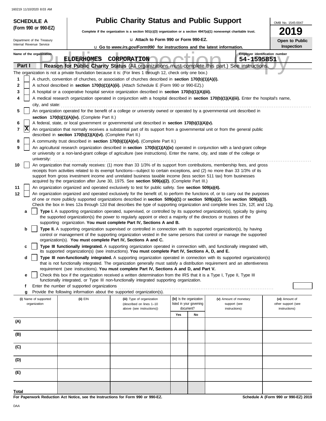|       | <b>SCHEDULE A</b>                                                                                                                                                                                                                               |                                                            | <b>Public Charity Status and Public Support</b>                                                                                                                                                                                                                 |                                                                                                                                  |                                        | OMB No. 1545-0047                    |  |  |  |
|-------|-------------------------------------------------------------------------------------------------------------------------------------------------------------------------------------------------------------------------------------------------|------------------------------------------------------------|-----------------------------------------------------------------------------------------------------------------------------------------------------------------------------------------------------------------------------------------------------------------|----------------------------------------------------------------------------------------------------------------------------------|----------------------------------------|--------------------------------------|--|--|--|
|       | (Form 990 or 990-EZ)                                                                                                                                                                                                                            |                                                            |                                                                                                                                                                                                                                                                 | 2019<br>Complete if the organization is a section $501(c)(3)$ organization or a section $4947(a)(1)$ nonexempt charitable trust. |                                        |                                      |  |  |  |
|       | Department of the Treasury                                                                                                                                                                                                                      |                                                            | La Attach to Form 990 or Form 990-EZ.<br>Open to Public                                                                                                                                                                                                         |                                                                                                                                  |                                        |                                      |  |  |  |
|       | Internal Revenue Service                                                                                                                                                                                                                        |                                                            | <b>u</b> Go to <i>www.irs.gov/Form990</i> for instructions and the latest information.                                                                                                                                                                          |                                                                                                                                  |                                        | Inspection                           |  |  |  |
|       | Name of the organization                                                                                                                                                                                                                        | ш                                                          |                                                                                                                                                                                                                                                                 |                                                                                                                                  |                                        | Employer identification number       |  |  |  |
|       | Part I                                                                                                                                                                                                                                          | <b>ELDERHOMES</b>                                          | CORPORATION<br>Reason for Public Charity Status (All organizations must complete this part.) See instructions.                                                                                                                                                  |                                                                                                                                  | 54-1595851                             |                                      |  |  |  |
|       |                                                                                                                                                                                                                                                 |                                                            | The organization is not a private foundation because it is: (For lines 1 through 12, check only one box.)                                                                                                                                                       |                                                                                                                                  |                                        |                                      |  |  |  |
| 1     |                                                                                                                                                                                                                                                 |                                                            | A church, convention of churches, or association of churches described in section 170(b)(1)(A)(i).                                                                                                                                                              |                                                                                                                                  |                                        |                                      |  |  |  |
| 2     |                                                                                                                                                                                                                                                 |                                                            | A school described in section 170(b)(1)(A)(ii). (Attach Schedule E (Form 990 or 990-EZ).)                                                                                                                                                                       |                                                                                                                                  |                                        |                                      |  |  |  |
| 3     | A hospital or a cooperative hospital service organization described in section 170(b)(1)(A)(iii).<br>A medical research organization operated in conjunction with a hospital described in section 170(b)(1)(A)(iii). Enter the hospital's name, |                                                            |                                                                                                                                                                                                                                                                 |                                                                                                                                  |                                        |                                      |  |  |  |
| 4     | city, and state:                                                                                                                                                                                                                                |                                                            |                                                                                                                                                                                                                                                                 |                                                                                                                                  |                                        |                                      |  |  |  |
| 5     |                                                                                                                                                                                                                                                 |                                                            | An organization operated for the benefit of a college or university owned or operated by a governmental unit described in                                                                                                                                       |                                                                                                                                  |                                        |                                      |  |  |  |
|       |                                                                                                                                                                                                                                                 | section 170(b)(1)(A)(iv). (Complete Part II.)              |                                                                                                                                                                                                                                                                 |                                                                                                                                  |                                        |                                      |  |  |  |
| 6     | X                                                                                                                                                                                                                                               |                                                            | A federal, state, or local government or governmental unit described in section 170(b)(1)(A)(v).                                                                                                                                                                |                                                                                                                                  |                                        |                                      |  |  |  |
| 7     |                                                                                                                                                                                                                                                 | described in section 170(b)(1)(A)(vi). (Complete Part II.) | An organization that normally receives a substantial part of its support from a governmental unit or from the general public                                                                                                                                    |                                                                                                                                  |                                        |                                      |  |  |  |
| 8     |                                                                                                                                                                                                                                                 |                                                            | A community trust described in section 170(b)(1)(A)(vi). (Complete Part II.)                                                                                                                                                                                    |                                                                                                                                  |                                        |                                      |  |  |  |
| 9     |                                                                                                                                                                                                                                                 |                                                            | An agricultural research organization described in section 170(b)(1)(A)(ix) operated in conjunction with a land-grant college<br>or university or a non-land-grant college of agriculture (see instructions). Enter the name, city, and state of the college or |                                                                                                                                  |                                        |                                      |  |  |  |
| 10    | university:                                                                                                                                                                                                                                     |                                                            | An organization that normally receives: (1) more than 33 1/3% of its support from contributions, membership fees, and gross                                                                                                                                     |                                                                                                                                  |                                        |                                      |  |  |  |
|       |                                                                                                                                                                                                                                                 |                                                            | receipts from activities related to its exempt functions—subject to certain exceptions, and (2) no more than 33 1/3% of its                                                                                                                                     |                                                                                                                                  |                                        |                                      |  |  |  |
|       |                                                                                                                                                                                                                                                 |                                                            | support from gross investment income and unrelated business taxable income (less section 511 tax) from businesses<br>acquired by the organization after June 30, 1975. See section 509(a)(2). (Complete Part III.)                                              |                                                                                                                                  |                                        |                                      |  |  |  |
| 11    |                                                                                                                                                                                                                                                 |                                                            | An organization organized and operated exclusively to test for public safety. See section 509(a)(4).                                                                                                                                                            |                                                                                                                                  |                                        |                                      |  |  |  |
| 12    |                                                                                                                                                                                                                                                 |                                                            | An organization organized and operated exclusively for the benefit of, to perform the functions of, or to carry out the purposes                                                                                                                                |                                                                                                                                  |                                        |                                      |  |  |  |
|       |                                                                                                                                                                                                                                                 |                                                            | of one or more publicly supported organizations described in section 509(a)(1) or section 509(a)(2). See section 509(a)(3).<br>Check the box in lines 12a through 12d that describes the type of supporting organization and complete lines 12e, 12f, and 12g.  |                                                                                                                                  |                                        |                                      |  |  |  |
|       | a                                                                                                                                                                                                                                               |                                                            | Type I. A supporting organization operated, supervised, or controlled by its supported organization(s), typically by giving                                                                                                                                     |                                                                                                                                  |                                        |                                      |  |  |  |
|       |                                                                                                                                                                                                                                                 |                                                            | the supported organization(s) the power to regularly appoint or elect a majority of the directors or trustees of the<br>supporting organization. You must complete Part IV, Sections A and B.                                                                   |                                                                                                                                  |                                        |                                      |  |  |  |
|       | b                                                                                                                                                                                                                                               |                                                            | Type II. A supporting organization supervised or controlled in connection with its supported organization(s), by having                                                                                                                                         |                                                                                                                                  |                                        |                                      |  |  |  |
|       |                                                                                                                                                                                                                                                 |                                                            | control or management of the supporting organization vested in the same persons that control or manage the supported<br>organization(s). You must complete Part IV, Sections A and C.                                                                           |                                                                                                                                  |                                        |                                      |  |  |  |
|       | c                                                                                                                                                                                                                                               |                                                            | Type III functionally integrated. A supporting organization operated in connection with, and functionally integrated with,                                                                                                                                      |                                                                                                                                  |                                        |                                      |  |  |  |
|       |                                                                                                                                                                                                                                                 |                                                            | its supported organization(s) (see instructions). You must complete Part IV, Sections A, D, and E.                                                                                                                                                              |                                                                                                                                  |                                        |                                      |  |  |  |
|       | d                                                                                                                                                                                                                                               |                                                            | Type III non-functionally integrated. A supporting organization operated in connection with its supported organization(s)<br>that is not functionally integrated. The organization generally must satisfy a distribution requirement and an attentiveness       |                                                                                                                                  |                                        |                                      |  |  |  |
|       |                                                                                                                                                                                                                                                 |                                                            | requirement (see instructions). You must complete Part IV, Sections A and D, and Part V.                                                                                                                                                                        |                                                                                                                                  |                                        |                                      |  |  |  |
|       | е                                                                                                                                                                                                                                               |                                                            | Check this box if the organization received a written determination from the IRS that it is a Type I, Type II, Type III<br>functionally integrated, or Type III non-functionally integrated supporting organization.                                            |                                                                                                                                  |                                        |                                      |  |  |  |
|       | f                                                                                                                                                                                                                                               | Enter the number of supported organizations                |                                                                                                                                                                                                                                                                 |                                                                                                                                  |                                        |                                      |  |  |  |
|       | g                                                                                                                                                                                                                                               |                                                            | Provide the following information about the supported organization(s).                                                                                                                                                                                          |                                                                                                                                  |                                        |                                      |  |  |  |
|       | (i) Name of supported<br>organization                                                                                                                                                                                                           | $(ii)$ $EIN$                                               | (iii) Type of organization<br>(described on lines 1-10                                                                                                                                                                                                          | (iv) Is the organization<br>listed in your governing                                                                             | (v) Amount of monetary<br>support (see | (vi) Amount of<br>other support (see |  |  |  |
|       |                                                                                                                                                                                                                                                 |                                                            | above (see instructions))                                                                                                                                                                                                                                       | document?                                                                                                                        | instructions)                          | instructions)                        |  |  |  |
|       |                                                                                                                                                                                                                                                 |                                                            |                                                                                                                                                                                                                                                                 | Yes<br>No                                                                                                                        |                                        |                                      |  |  |  |
| (A)   |                                                                                                                                                                                                                                                 |                                                            |                                                                                                                                                                                                                                                                 |                                                                                                                                  |                                        |                                      |  |  |  |
| (B)   |                                                                                                                                                                                                                                                 |                                                            |                                                                                                                                                                                                                                                                 |                                                                                                                                  |                                        |                                      |  |  |  |
| (C)   |                                                                                                                                                                                                                                                 |                                                            |                                                                                                                                                                                                                                                                 |                                                                                                                                  |                                        |                                      |  |  |  |
| (D)   |                                                                                                                                                                                                                                                 |                                                            |                                                                                                                                                                                                                                                                 |                                                                                                                                  |                                        |                                      |  |  |  |
| (E)   |                                                                                                                                                                                                                                                 |                                                            |                                                                                                                                                                                                                                                                 |                                                                                                                                  |                                        |                                      |  |  |  |
|       |                                                                                                                                                                                                                                                 |                                                            |                                                                                                                                                                                                                                                                 |                                                                                                                                  |                                        |                                      |  |  |  |
| Total |                                                                                                                                                                                                                                                 |                                                            |                                                                                                                                                                                                                                                                 |                                                                                                                                  |                                        |                                      |  |  |  |

**For Paperwork Reduction Act Notice, see the Instructions for Form 990 or 990-EZ.**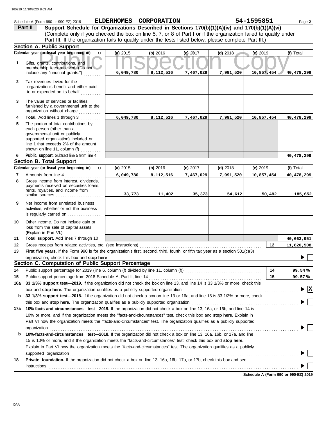|              | Schedule A (Form 990 or 990-EZ) 2019                                                                                                                                                                               |           | ELDERHOMES CORPORATION |            |            | 54-1595851 | Page 2                                        |
|--------------|--------------------------------------------------------------------------------------------------------------------------------------------------------------------------------------------------------------------|-----------|------------------------|------------|------------|------------|-----------------------------------------------|
|              | Support Schedule for Organizations Described in Sections 170(b)(1)(A)(iv) and 170(b)(1)(A)(vi)<br>Part II                                                                                                          |           |                        |            |            |            |                                               |
|              | (Complete only if you checked the box on line 5, 7, or 8 of Part I or if the organization failed to qualify under                                                                                                  |           |                        |            |            |            |                                               |
|              | Part III. If the organization fails to qualify under the tests listed below, please complete Part III.)                                                                                                            |           |                        |            |            |            |                                               |
|              | <b>Section A. Public Support</b>                                                                                                                                                                                   |           |                        |            |            |            |                                               |
|              | Calendar year (or fiscal year beginning in)<br>$\mathbf{u}$                                                                                                                                                        | (a) 2015  | (b) 2016               | $(c)$ 2017 | $(d)$ 2018 | (e) 2019   | (f) Total                                     |
| 1            | Gifts, grants, contributions, and<br>membership fees received. (Do not                                                                                                                                             |           |                        |            |            |            |                                               |
|              | include any "unusual grants.")                                                                                                                                                                                     | 6,049,780 | 8,112,516              | 7,467,029  | 7,991,520  | 10,857,454 | 40,478,299                                    |
| $\mathbf{2}$ | Tax revenues levied for the<br>organization's benefit and either paid<br>to or expended on its behalf                                                                                                              |           |                        |            |            |            |                                               |
| 3            | The value of services or facilities<br>furnished by a governmental unit to the<br>organization without charge                                                                                                      |           |                        |            |            |            |                                               |
| 4            | Total. Add lines 1 through 3                                                                                                                                                                                       | 6,049,780 | 8,112,516              | 7,467,029  | 7,991,520  | 10,857,454 | 40,478,299                                    |
| 5            | The portion of total contributions by<br>each person (other than a<br>governmental unit or publicly<br>supported organization) included on<br>line 1 that exceeds 2% of the amount<br>shown on line 11, column (f) |           |                        |            |            |            |                                               |
| 6            | Public support. Subtract line 5 from line 4                                                                                                                                                                        |           |                        |            |            |            | 40,478,299                                    |
|              | <b>Section B. Total Support</b>                                                                                                                                                                                    |           |                        |            |            |            |                                               |
|              | Calendar year (or fiscal year beginning in)<br>$\mathbf{u}$                                                                                                                                                        | (a) 2015  | (b) 2016               | $(c)$ 2017 | $(d)$ 2018 | $(e)$ 2019 | (f) Total                                     |
| 7            | Amounts from line 4                                                                                                                                                                                                | 6,049,780 | 8,112,516              | 7,467,029  | 7,991,520  | 10,857,454 | 40,478,299                                    |
| 8            | Gross income from interest, dividends,<br>payments received on securities loans,<br>rents, royalties, and income from                                                                                              | 33,773    | 11,402                 | 35,373     | 54,612     | 50,492     | 185,652                                       |
| 9            | Net income from unrelated business<br>activities, whether or not the business<br>is regularly carried on                                                                                                           |           |                        |            |            |            |                                               |
| 10           | Other income. Do not include gain or<br>loss from the sale of capital assets<br>(Explain in Part VI.)                                                                                                              |           |                        |            |            |            |                                               |
| 11           | Total support. Add lines 7 through 10                                                                                                                                                                              |           |                        |            |            |            | 40,663,951                                    |
| 12           | Gross receipts from related activities, etc. (see instructions)                                                                                                                                                    |           |                        |            |            | 12         | 11,820,508                                    |
| 13           | First five years. If the Form 990 is for the organization's first, second, third, fourth, or fifth tax year as a section 501(c)(3)                                                                                 |           |                        |            |            |            |                                               |
|              | organization, check this box and stop here                                                                                                                                                                         |           |                        |            |            |            |                                               |
|              | Section C. Computation of Public Support Percentage                                                                                                                                                                |           |                        |            |            |            |                                               |
| 14           | Public support percentage for 2019 (line 6, column (f) divided by line 11, column (f)) [[[[[[[[[[[[[[[[[[[[[[                                                                                                      |           |                        |            |            | 14         | 99.54%                                        |
| 15           | Public support percentage from 2018 Schedule A, Part II, line 14                                                                                                                                                   |           |                        |            |            | 15         | 99.57%                                        |
| 16a          | 33 1/3% support test-2019. If the organization did not check the box on line 13, and line 14 is 33 1/3% or more, check this                                                                                        |           |                        |            |            |            |                                               |
|              | box and stop here. The organization qualifies as a publicly supported organization                                                                                                                                 |           |                        |            |            |            | $\blacktriangleright$ $\overline{\mathbf{X}}$ |
| b            | 33 1/3% support test-2018. If the organization did not check a box on line 13 or 16a, and line 15 is 33 1/3% or more, check                                                                                        |           |                        |            |            |            |                                               |
|              | this box and stop here. The organization qualifies as a publicly supported organization                                                                                                                            |           |                        |            |            |            |                                               |
| 17a          | 10%-facts-and-circumstances test-2019. If the organization did not check a box on line 13, 16a, or 16b, and line 14 is                                                                                             |           |                        |            |            |            |                                               |
|              | 10% or more, and if the organization meets the "facts-and-circumstances" test, check this box and stop here. Explain in                                                                                            |           |                        |            |            |            |                                               |
|              | Part VI how the organization meets the "facts-and-circumstances" test. The organization qualifies as a publicly supported                                                                                          |           |                        |            |            |            |                                               |
| b            | organization<br>10%-facts-and-circumstances test-2018. If the organization did not check a box on line 13, 16a, 16b, or 17a, and line                                                                              |           |                        |            |            |            |                                               |
|              | 15 is 10% or more, and if the organization meets the "facts-and-circumstances" test, check this box and stop here.                                                                                                 |           |                        |            |            |            |                                               |
|              | Explain in Part VI how the organization meets the "facts-and-circumstances" test. The organization qualifies as a publicly<br>supported organization                                                               |           |                        |            |            |            |                                               |
| 18           | Private foundation. If the organization did not check a box on line 13, 16a, 16b, 17a, or 17b, check this box and see                                                                                              |           |                        |            |            |            |                                               |
|              | instructions                                                                                                                                                                                                       |           |                        |            |            |            |                                               |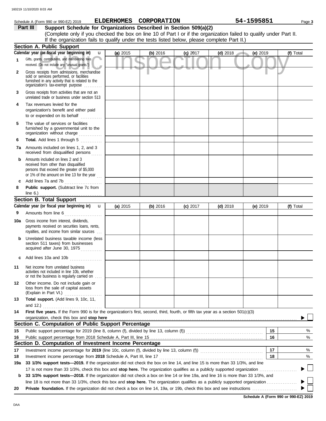|              | Schedule A (Form 990 or 990-EZ) 2019                                                                                                                                              | ELDERHOMES CORPORATION   |          |            |            | 54-1595851 | Page 3    |
|--------------|-----------------------------------------------------------------------------------------------------------------------------------------------------------------------------------|--------------------------|----------|------------|------------|------------|-----------|
|              | Support Schedule for Organizations Described in Section 509(a)(2)<br>Part III                                                                                                     |                          |          |            |            |            |           |
|              | (Complete only if you checked the box on line 10 of Part I or if the organization failed to qualify under Part II.                                                                |                          |          |            |            |            |           |
|              | If the organization fails to qualify under the tests listed below, please complete Part II.)                                                                                      |                          |          |            |            |            |           |
|              | <b>Section A. Public Support</b>                                                                                                                                                  |                          |          |            |            |            |           |
|              | Calendar year (or fiscal year beginning in)                                                                                                                                       | (a) 2015<br>$\mathbf{u}$ | (b) 2016 | $(c)$ 2017 | $(d)$ 2018 | (e) 2019   | (f) Total |
| 1            | Gifts, grants, contributions, and membership fees<br>received. (Do not include any "unusual grants.")                                                                             |                          |          |            |            |            |           |
| $\mathbf{2}$ | Gross receipts from admissions, merchandise<br>sold or services performed, or facilities<br>furnished in any activity that is related to the<br>organization's fax-exempt purpose |                          |          |            |            |            |           |
| 3            | Gross receipts from activities that are not an<br>unrelated trade or business under section 513                                                                                   |                          |          |            |            |            |           |
| 4            | Tax revenues levied for the<br>organization's benefit and either paid<br>to or expended on its behalf                                                                             |                          |          |            |            |            |           |
| 5            | The value of services or facilities<br>furnished by a governmental unit to the<br>organization without charge                                                                     |                          |          |            |            |            |           |
| 6            | Total. Add lines 1 through 5                                                                                                                                                      |                          |          |            |            |            |           |
| 7a           | Amounts included on lines 1, 2, and 3<br>received from disqualified persons                                                                                                       |                          |          |            |            |            |           |
| b            | Amounts included on lines 2 and 3<br>received from other than disqualified<br>persons that exceed the greater of \$5,000<br>or 1% of the amount on line 13 for the year $\ldots$  |                          |          |            |            |            |           |
| c            | Add lines 7a and 7b                                                                                                                                                               |                          |          |            |            |            |           |
| 8            | Public support. (Subtract line 7c from<br>line $6.$ )                                                                                                                             |                          |          |            |            |            |           |
|              | <b>Section B. Total Support</b>                                                                                                                                                   |                          |          |            |            |            |           |
|              | Calendar year (or fiscal year beginning in) $\mathbf u$                                                                                                                           | (a) 2015                 | (b) 2016 | $(c)$ 2017 | $(d)$ 2018 | (e) 2019   | (f) Total |
| 9            | Amounts from line 6                                                                                                                                                               |                          |          |            |            |            |           |
| 10a          | Gross income from interest, dividends,<br>payments received on securities loans, rents,<br>royalties, and income from similar sources                                             |                          |          |            |            |            |           |
| b            | Unrelated business taxable income (less<br>section 511 taxes) from businesses<br>acquired after June 30, 1975                                                                     |                          |          |            |            |            |           |
| c            | Add lines 10a and 10b                                                                                                                                                             |                          |          |            |            |            |           |
| 11           | Net income from unrelated business<br>activities not included in line 10b, whether<br>or not the business is regularly carried on                                                 |                          |          |            |            |            |           |
| 12           | Other income. Do not include gain or<br>loss from the sale of capital assets<br>(Explain in Part VI.)                                                                             |                          |          |            |            |            |           |
| 13           | Total support. (Add lines 9, 10c, 11,                                                                                                                                             |                          |          |            |            |            |           |
| 14           | and 12.) $\ldots$<br>First five years. If the Form 990 is for the organization's first, second, third, fourth, or fifth tax year as a section 501(c)(3)                           |                          |          |            |            |            |           |
|              | organization, check this box and stop here<br>Section C. Computation of Public Support Percentage                                                                                 |                          |          |            |            |            |           |
|              |                                                                                                                                                                                   |                          |          |            |            | 15         | %         |
| 15           |                                                                                                                                                                                   |                          |          |            |            | 16         | %         |
| 16           | Section D. Computation of Investment Income Percentage                                                                                                                            |                          |          |            |            |            |           |
| 17           | Investment income percentage for 2019 (line 10c, column (f), divided by line 13, column (f)) [[[[[[[[[[[[[[[[[                                                                    |                          |          |            |            | 17         | %         |
| 18           |                                                                                                                                                                                   |                          |          |            |            | 18         | %         |
| 19a          | 33 1/3% support tests-2019. If the organization did not check the box on line 14, and line 15 is more than 33 1/3%, and line                                                      |                          |          |            |            |            |           |
|              | 17 is not more than 33 1/3%, check this box and stop here. The organization qualifies as a publicly supported organization <i>commension</i> .                                    |                          |          |            |            |            |           |
| b            | 33 1/3% support tests-2018. If the organization did not check a box on line 14 or line 19a, and line 16 is more than 33 1/3%, and                                                 |                          |          |            |            |            |           |
|              |                                                                                                                                                                                   |                          |          |            |            |            |           |
| 20           |                                                                                                                                                                                   |                          |          |            |            |            |           |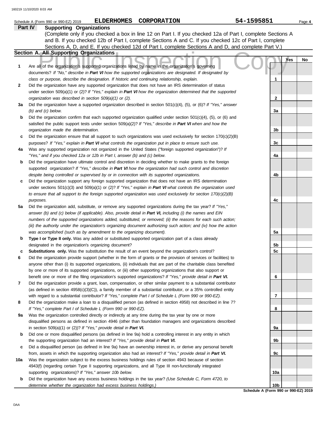|         | <b>ELDERHOMES</b><br>CORPORATION<br>Schedule A (Form 990 or 990-EZ) 2019                                                                                                                                                              | 54-1595851                           | Page 4 |
|---------|---------------------------------------------------------------------------------------------------------------------------------------------------------------------------------------------------------------------------------------|--------------------------------------|--------|
| Part IV | <b>Supporting Organizations</b>                                                                                                                                                                                                       |                                      |        |
|         | (Complete only if you checked a box in line 12 on Part I. If you checked 12a of Part I, complete Sections A                                                                                                                           |                                      |        |
|         | and B. If you checked 12b of Part I, complete Sections A and C. If you checked 12c of Part I, complete                                                                                                                                |                                      |        |
|         | Sections A, D, and E. If you checked 12d of Part I, complete Sections A and D, and complete Part V.)                                                                                                                                  |                                      |        |
|         | Section A. All Supporting Organizations                                                                                                                                                                                               |                                      |        |
|         |                                                                                                                                                                                                                                       | Yes                                  | No     |
| 1       | Are all of the organization's supported organizations listed by name in the organization's governing                                                                                                                                  |                                      |        |
|         | documents? If "No," describe in Part VI how the supported organizations are designated. If designated by                                                                                                                              |                                      |        |
|         | class or purpose, describe the designation. If historic and continuing relationship, explain.                                                                                                                                         | 1                                    |        |
| 2       | Did the organization have any supported organization that does not have an IRS determination of status                                                                                                                                |                                      |        |
|         | under section 509(a)(1) or (2)? If "Yes," explain in Part VI how the organization determined that the supported                                                                                                                       |                                      |        |
|         | organization was described in section 509(a)(1) or (2).                                                                                                                                                                               | $\mathbf{2}$                         |        |
| За      | Did the organization have a supported organization described in section $501(c)(4)$ , (5), or (6)? If "Yes," answer                                                                                                                   |                                      |        |
|         | $(b)$ and $(c)$ below.                                                                                                                                                                                                                | 3a                                   |        |
| b       | Did the organization confirm that each supported organization qualified under section $501(c)(4)$ , $(5)$ , or $(6)$ and                                                                                                              |                                      |        |
|         | satisfied the public support tests under section 509(a)(2)? If "Yes," describe in Part VI when and how the<br>organization made the determination.                                                                                    | 3 <sub>b</sub>                       |        |
|         | Did the organization ensure that all support to such organizations was used exclusively for section $170(c)(2)(B)$                                                                                                                    |                                      |        |
| c       | purposes? If "Yes," explain in Part VI what controls the organization put in place to ensure such use.                                                                                                                                | 3c                                   |        |
| 4a      | Was any supported organization not organized in the United States ("foreign supported organization")? If                                                                                                                              |                                      |        |
|         | "Yes," and if you checked 12a or 12b in Part I, answer (b) and (c) below.                                                                                                                                                             | 4a                                   |        |
| b       | Did the organization have ultimate control and discretion in deciding whether to make grants to the foreign                                                                                                                           |                                      |        |
|         | supported organization? If "Yes," describe in Part VI how the organization had such control and discretion                                                                                                                            |                                      |        |
|         | despite being controlled or supervised by or in connection with its supported organizations.                                                                                                                                          | 4b                                   |        |
| c       | Did the organization support any foreign supported organization that does not have an IRS determination                                                                                                                               |                                      |        |
|         | under sections $501(c)(3)$ and $509(a)(1)$ or (2)? If "Yes," explain in Part VI what controls the organization used                                                                                                                   |                                      |        |
|         | to ensure that all support to the foreign supported organization was used exclusively for section $170(c)(2)(B)$                                                                                                                      |                                      |        |
|         | purposes.                                                                                                                                                                                                                             | 4c                                   |        |
| 5a      | Did the organization add, substitute, or remove any supported organizations during the tax year? If "Yes,"                                                                                                                            |                                      |        |
|         | answer (b) and (c) below (if applicable). Also, provide detail in Part VI, including (i) the names and EIN                                                                                                                            |                                      |        |
|         | numbers of the supported organizations added, substituted, or removed; (ii) the reasons for each such action;                                                                                                                         |                                      |        |
|         | (iii) the authority under the organization's organizing document authorizing such action; and (iv) how the action                                                                                                                     |                                      |        |
|         | was accomplished (such as by amendment to the organizing document).                                                                                                                                                                   | 5a                                   |        |
| b       | Type I or Type II only. Was any added or substituted supported organization part of a class already                                                                                                                                   |                                      |        |
|         | designated in the organization's organizing document?                                                                                                                                                                                 | 5b                                   |        |
| c       | Substitutions only. Was the substitution the result of an event beyond the organization's control?                                                                                                                                    | 5c                                   |        |
|         | Did the organization provide support (whether in the form of grants or the provision of services or facilities) to                                                                                                                    |                                      |        |
|         | anyone other than (i) its supported organizations, (ii) individuals that are part of the charitable class benefited                                                                                                                   |                                      |        |
|         | by one or more of its supported organizations, or (iii) other supporting organizations that also support or                                                                                                                           |                                      |        |
|         | benefit one or more of the filing organization's supported organizations? If "Yes," provide detail in Part VI.                                                                                                                        | 6                                    |        |
| 7       | Did the organization provide a grant, loan, compensation, or other similar payment to a substantial contributor<br>(as defined in section $4958(c)(3)(C)$ ), a family member of a substantial contributor, or a 35% controlled entity |                                      |        |
|         | with regard to a substantial contributor? If "Yes," complete Part I of Schedule L (Form 990 or 990-EZ).                                                                                                                               | 7                                    |        |
| 8       | Did the organization make a loan to a disqualified person (as defined in section 4958) not described in line 7?                                                                                                                       |                                      |        |
|         | If "Yes," complete Part I of Schedule L (Form 990 or 990-EZ).                                                                                                                                                                         | 8                                    |        |
| 9а      | Was the organization controlled directly or indirectly at any time during the tax year by one or more                                                                                                                                 |                                      |        |
|         | disqualified persons as defined in section 4946 (other than foundation managers and organizations described                                                                                                                           |                                      |        |
|         | in section 509(a)(1) or (2))? If "Yes," provide detail in Part VI.                                                                                                                                                                    | 9а                                   |        |
| b       | Did one or more disqualified persons (as defined in line 9a) hold a controlling interest in any entity in which                                                                                                                       |                                      |        |
|         | the supporting organization had an interest? If "Yes," provide detail in Part VI.                                                                                                                                                     | 9b                                   |        |
| c       | Did a disqualified person (as defined in line 9a) have an ownership interest in, or derive any personal benefit                                                                                                                       |                                      |        |
|         | from, assets in which the supporting organization also had an interest? If "Yes," provide detail in Part VI.                                                                                                                          | 9с                                   |        |
| 10a     | Was the organization subject to the excess business holdings rules of section 4943 because of section                                                                                                                                 |                                      |        |
|         | 4943(f) (regarding certain Type II supporting organizations, and all Type III non-functionally integrated                                                                                                                             |                                      |        |
|         | supporting organizations)? If "Yes," answer 10b below.                                                                                                                                                                                | 10a                                  |        |
| b       | Did the organization have any excess business holdings in the tax year? (Use Schedule C, Form 4720, to                                                                                                                                |                                      |        |
|         | determine whether the organization had excess business holdings.)                                                                                                                                                                     | 10 <sub>b</sub>                      |        |
|         |                                                                                                                                                                                                                                       | Schedule A (Form 990 or 990-EZ) 2019 |        |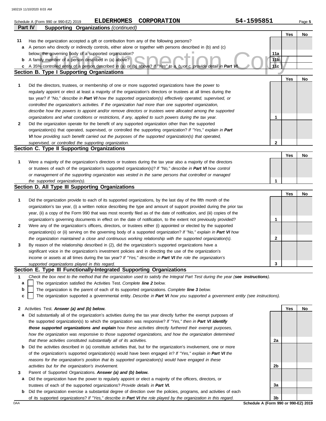|    | <b>ELDERHOMES</b><br>CORPORATION<br>Schedule A (Form 990 or 990-EZ) 2019                                                          | 54-1595851      |     | Page 5 |
|----|-----------------------------------------------------------------------------------------------------------------------------------|-----------------|-----|--------|
|    | <b>Supporting Organizations (continued)</b><br><b>Part IV</b>                                                                     |                 |     |        |
|    |                                                                                                                                   |                 | Yes | No     |
| 11 | Has the organization accepted a gift or contribution from any of the following persons?                                           |                 |     |        |
| a  | A person who directly or indirectly controls, either alone or together with persons described in (b) and (c)                      |                 |     |        |
|    | below, the governing body of a supported organization?                                                                            | 11a             |     |        |
| b  | A family member of a person described in (a) above?                                                                               | 11 <sub>b</sub> |     |        |
| c  | A 35% controlled entity of a person described in (a) or (b) above? If "Yes" to a, b, or c, provide detail in Part V               | 11c             |     |        |
|    | <b>Section B. Type I Supporting Organizations</b>                                                                                 |                 |     |        |
|    |                                                                                                                                   |                 | Yes | No     |
| 1  | Did the directors, trustees, or membership of one or more supported organizations have the power to                               |                 |     |        |
|    | regularly appoint or elect at least a majority of the organization's directors or trustees at all times during the                |                 |     |        |
|    | tax year? If "No," describe in Part VI how the supported organization(s) effectively operated, supervised, or                     |                 |     |        |
|    | controlled the organization's activities. If the organization had more than one supported organization,                           |                 |     |        |
|    | describe how the powers to appoint and/or remove directors or trustees were allocated among the supported                         |                 |     |        |
|    | organizations and what conditions or restrictions, if any, applied to such powers during the tax year.                            | 1               |     |        |
| 2  | Did the organization operate for the benefit of any supported organization other than the supported                               |                 |     |        |
|    | organization(s) that operated, supervised, or controlled the supporting organization? If "Yes," explain in Part                   |                 |     |        |
|    | VI how providing such benefit carried out the purposes of the supported organization(s) that operated,                            | 2               |     |        |
|    | supervised, or controlled the supporting organization.<br>Section C. Type II Supporting Organizations                             |                 |     |        |
|    |                                                                                                                                   |                 | Yes | No     |
| 1  | Were a majority of the organization's directors or trustees during the tax year also a majority of the directors                  |                 |     |        |
|    | or trustees of each of the organization's supported organization(s)? If "No," describe in Part VI how control                     |                 |     |        |
|    | or management of the supporting organization was vested in the same persons that controlled or managed                            |                 |     |        |
|    | the supported organization(s).                                                                                                    | 1               |     |        |
|    | Section D. All Type III Supporting Organizations                                                                                  |                 |     |        |
|    |                                                                                                                                   |                 | Yes | No     |
| 1  | Did the organization provide to each of its supported organizations, by the last day of the fifth month of the                    |                 |     |        |
|    | organization's tax year, (i) a written notice describing the type and amount of support provided during the prior tax             |                 |     |        |
|    | year, (ii) a copy of the Form 990 that was most recently filed as of the date of notification, and (iii) copies of the            |                 |     |        |
|    | organization's governing documents in effect on the date of notification, to the extent not previously provided?                  | 1               |     |        |
| 2  | Were any of the organization's officers, directors, or trustees either (i) appointed or elected by the supported                  |                 |     |        |
|    | organization(s) or (ii) serving on the governing body of a supported organization? If "No," explain in Part VI how                |                 |     |        |
|    | the organization maintained a close and continuous working relationship with the supported organization(s).                       | 2               |     |        |
| 3  | By reason of the relationship described in (2), did the organization's supported organizations have a                             |                 |     |        |
|    | significant voice in the organization's investment policies and in directing the use of the organization's                        |                 |     |        |
|    | income or assets at all times during the tax year? If "Yes," describe in Part VI the role the organization's                      |                 |     |        |
|    | supported organizations played in this regard.                                                                                    | 3               |     |        |
|    | Section E. Type III Functionally-Integrated Supporting Organizations                                                              |                 |     |        |
| 1  | Check the box next to the method that the organization used to satisfy the Integral Part Test during the year (see instructions). |                 |     |        |
| a  | The organization satisfied the Activities Test. Complete line 2 below.                                                            |                 |     |        |
| b  | The organization is the parent of each of its supported organizations. Complete line 3 below.                                     |                 |     |        |
| c  | The organization supported a governmental entity. Describe in Part VI how you supported a government entity (see instructions).   |                 |     |        |
|    |                                                                                                                                   |                 |     |        |
| 2  | Activities Test. Answer (a) and (b) below.                                                                                        |                 | Yes | No     |
| а  | Did substantially all of the organization's activities during the tax year directly further the exempt purposes of                |                 |     |        |
|    | the supported organization(s) to which the organization was responsive? If "Yes," then in Part VI identify                        |                 |     |        |
|    | those supported organizations and explain how these activities directly furthered their exempt purposes,                          |                 |     |        |
|    | how the organization was responsive to those supported organizations, and how the organization determined                         |                 |     |        |
|    | that these activities constituted substantially all of its activities.                                                            | 2a              |     |        |
| b  | Did the activities described in (a) constitute activities that, but for the organization's involvement, one or more               |                 |     |        |
|    | of the organization's supported organization(s) would have been engaged in? If "Yes," explain in Part VI the                      |                 |     |        |
|    | reasons for the organization's position that its supported organization(s) would have engaged in these                            |                 |     |        |
|    | activities but for the organization's involvement.<br>Parent of Supported Organizations. Answer (a) and (b) below.                | 2b              |     |        |
| 3  | Did the organization have the nower to requierly appoint or elect a majority of the officers directors or                         |                 |     |        |

DAA **Schedule A (Form 990 or 990-EZ) 2019 3b**

**3a**

**b** Did the organization exercise a substantial degree of direction over the policies, programs, and activities of each of its supported organizations? *If "Yes," describe in Part VI the role played by the organization in this regard.*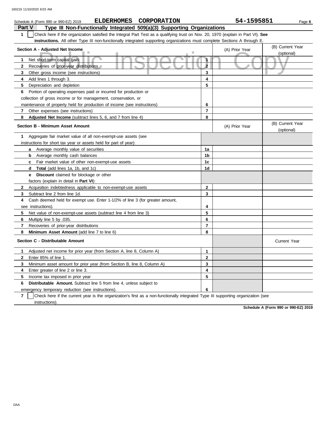| <b>ELDERHOMES</b><br><b>CORPORATION</b><br>Schedule A (Form 990 or 990-EZ) 2019                                                                  |                     | 54-1595851     | Page 6                         |
|--------------------------------------------------------------------------------------------------------------------------------------------------|---------------------|----------------|--------------------------------|
| Type III Non-Functionally Integrated 509(a)(3) Supporting Organizations<br><b>Part V</b>                                                         |                     |                |                                |
| $\mathbf{1}$<br>Check here if the organization satisfied the Integral Part Test as a qualifying trust on Nov. 20, 1970 (explain in Part VI). See |                     |                |                                |
| <b>instructions.</b> All other Type III non-functionally integrated supporting organizations must complete Sections A through E.                 |                     |                |                                |
| Section A - Adjusted Net Income                                                                                                                  |                     | (A) Prior Year | (B) Current Year               |
|                                                                                                                                                  |                     |                | (optional)                     |
| 1<br>Net short-term capital gain                                                                                                                 | $\ddot{\mathbf{1}}$ |                |                                |
| $\mathbf{2}$<br>Recoveries of prior-year distributions                                                                                           | $\overline{2}$      |                |                                |
| 3<br>Other gross income (see instructions)                                                                                                       | 3                   |                |                                |
| Add lines 1 through 3.<br>4                                                                                                                      | 4                   |                |                                |
| 5<br>Depreciation and depletion                                                                                                                  | 5                   |                |                                |
| Portion of operating expenses paid or incurred for production or<br>6                                                                            |                     |                |                                |
| collection of gross income or for management, conservation, or                                                                                   |                     |                |                                |
| maintenance of property held for production of income (see instructions)                                                                         | 6                   |                |                                |
| 7<br>Other expenses (see instructions)                                                                                                           | $\overline{7}$      |                |                                |
| Adjusted Net Income (subtract lines 5, 6, and 7 from line 4)<br>8                                                                                | 8                   |                |                                |
| <b>Section B - Minimum Asset Amount</b>                                                                                                          |                     | (A) Prior Year | (B) Current Year<br>(optional) |
| 1<br>Aggregate fair market value of all non-exempt-use assets (see                                                                               |                     |                |                                |
| instructions for short tax year or assets held for part of year):                                                                                |                     |                |                                |
| <b>a</b> Average monthly value of securities                                                                                                     | 1a                  |                |                                |
| Average monthly cash balances<br>b                                                                                                               | 1b                  |                |                                |
| Fair market value of other non-exempt-use assets<br>c                                                                                            | 1c                  |                |                                |
| <b>Total</b> (add lines 1a, 1b, and 1c)<br>d                                                                                                     | 1d                  |                |                                |
| <b>Discount</b> claimed for blockage or other<br>е                                                                                               |                     |                |                                |
| factors (explain in detail in Part VI):                                                                                                          |                     |                |                                |
| $\mathbf{2}$<br>Acquisition indebtedness applicable to non-exempt-use assets                                                                     | $\overline{2}$      |                |                                |
| 3<br>Subtract line 2 from line 1d.                                                                                                               | 3                   |                |                                |
| Cash deemed held for exempt use. Enter 1-1/2% of line 3 (for greater amount,<br>4                                                                |                     |                |                                |
| see instructions).                                                                                                                               | 4                   |                |                                |
| 5<br>Net value of non-exempt-use assets (subtract line 4 from line 3)                                                                            | 5                   |                |                                |
| 6<br>Multiply line 5 by .035.                                                                                                                    | 6                   |                |                                |
| 7<br>Recoveries of prior-year distributions                                                                                                      | $\overline{7}$      |                |                                |
| 8<br>Minimum Asset Amount (add line 7 to line 6)                                                                                                 | 8                   |                |                                |
| Section C - Distributable Amount                                                                                                                 |                     |                | Current Year                   |
| Adjusted net income for prior year (from Section A, line 8, Column A)<br>1                                                                       | $\mathbf{1}$        |                |                                |
| 2<br>Enter 85% of line 1.                                                                                                                        | $\mathbf{2}$        |                |                                |
| 3<br>Minimum asset amount for prior year (from Section B, line 8, Column A)                                                                      | 3                   |                |                                |
| 4<br>Enter greater of line 2 or line 3.                                                                                                          | 4                   |                |                                |
| 5<br>Income tax imposed in prior year                                                                                                            | 5                   |                |                                |
| <b>Distributable Amount.</b> Subtract line 5 from line 4, unless subject to<br>6                                                                 |                     |                |                                |
| emergency temporary reduction (see instructions).                                                                                                | 6                   |                |                                |

**7** | Check here if the current year is the organization's first as a non-functionally integrated Type III supporting organization (see instructions).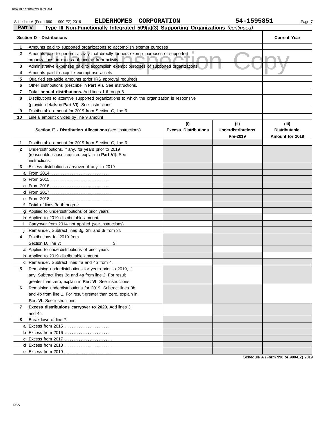|              | <b>ELDERHOMES</b><br><b>CORPORATION</b><br>Schedule A (Form 990 or 990-EZ) 2019                                                          |                             | 54-1595851                            | Page 7                                  |
|--------------|------------------------------------------------------------------------------------------------------------------------------------------|-----------------------------|---------------------------------------|-----------------------------------------|
| Part V       | Type III Non-Functionally Integrated 509(a)(3) Supporting Organizations (continued)                                                      |                             |                                       |                                         |
|              | <b>Section D - Distributions</b>                                                                                                         |                             |                                       | <b>Current Year</b>                     |
| 1            | Amounts paid to supported organizations to accomplish exempt purposes                                                                    |                             |                                       |                                         |
| 2            | Amounts paid to perform activity that directly furthers exempt purposes of supported<br>organizations, in excess of income from activity |                             |                                       |                                         |
| 3            | Administrative expenses paid to accomplish exempt purposes of supported organizations                                                    |                             |                                       |                                         |
| 4            | Amounts paid to acquire exempt-use assets                                                                                                |                             |                                       |                                         |
| 5            | Qualified set-aside amounts (prior IRS approval required)                                                                                |                             |                                       |                                         |
| 6            | Other distributions (describe in Part VI). See instructions.                                                                             |                             |                                       |                                         |
| 7            | Total annual distributions. Add lines 1 through 6.                                                                                       |                             |                                       |                                         |
| 8            | Distributions to attentive supported organizations to which the organization is responsive                                               |                             |                                       |                                         |
|              | (provide details in Part VI). See instructions.                                                                                          |                             |                                       |                                         |
| 9            | Distributable amount for 2019 from Section C, line 6                                                                                     |                             |                                       |                                         |
| 10           | Line 8 amount divided by line 9 amount                                                                                                   |                             |                                       |                                         |
|              |                                                                                                                                          | (i)                         | (ii)                                  | (iii)                                   |
|              | <b>Section E - Distribution Allocations (see instructions)</b>                                                                           | <b>Excess Distributions</b> | <b>Underdistributions</b><br>Pre-2019 | <b>Distributable</b><br>Amount for 2019 |
| 1            | Distributable amount for 2019 from Section C, line 6                                                                                     |                             |                                       |                                         |
| $\mathbf{2}$ | Underdistributions, if any, for years prior to 2019<br>(reasonable cause required-explain in Part VI). See                               |                             |                                       |                                         |
|              | instructions.                                                                                                                            |                             |                                       |                                         |
| 3            | Excess distributions carryover, if any, to 2019                                                                                          |                             |                                       |                                         |
|              |                                                                                                                                          |                             |                                       |                                         |
|              |                                                                                                                                          |                             |                                       |                                         |
|              |                                                                                                                                          |                             |                                       |                                         |
|              |                                                                                                                                          |                             |                                       |                                         |
|              |                                                                                                                                          |                             |                                       |                                         |
|              | f Total of lines 3a through e                                                                                                            |                             |                                       |                                         |
|              | g Applied to underdistributions of prior years                                                                                           |                             |                                       |                                         |
|              | h Applied to 2019 distributable amount                                                                                                   |                             |                                       |                                         |
| Î.           | Carryover from 2014 not applied (see instructions)                                                                                       |                             |                                       |                                         |
| 4            | Remainder. Subtract lines 3g, 3h, and 3i from 3f.<br>Distributions for 2019 from                                                         |                             |                                       |                                         |
|              | \$<br>Section D, line 7:                                                                                                                 |                             |                                       |                                         |
|              | a Applied to underdistributions of prior years                                                                                           |                             |                                       |                                         |
|              | <b>b</b> Applied to 2019 distributable amount                                                                                            |                             |                                       |                                         |
|              | c Remainder. Subtract lines 4a and 4b from 4.                                                                                            |                             |                                       |                                         |
| 5            | Remaining underdistributions for years prior to 2019, if                                                                                 |                             |                                       |                                         |
|              |                                                                                                                                          |                             |                                       |                                         |
|              | any. Subtract lines 3g and 4a from line 2. For result<br>greater than zero, explain in Part VI. See instructions.                        |                             |                                       |                                         |
| 6            | Remaining underdistributions for 2019. Subtract lines 3h                                                                                 |                             |                                       |                                         |
|              | and 4b from line 1. For result greater than zero, explain in                                                                             |                             |                                       |                                         |
|              |                                                                                                                                          |                             |                                       |                                         |
|              | Part VI. See instructions.<br>Excess distributions carryover to 2020. Add lines 3j                                                       |                             |                                       |                                         |
| 7            |                                                                                                                                          |                             |                                       |                                         |
| 8            | and 4c.<br>Breakdown of line 7:                                                                                                          |                             |                                       |                                         |
|              |                                                                                                                                          |                             |                                       |                                         |
|              |                                                                                                                                          |                             |                                       |                                         |
|              |                                                                                                                                          |                             |                                       |                                         |
|              |                                                                                                                                          |                             |                                       |                                         |
|              | e Excess from 2019                                                                                                                       |                             |                                       |                                         |
|              |                                                                                                                                          |                             |                                       |                                         |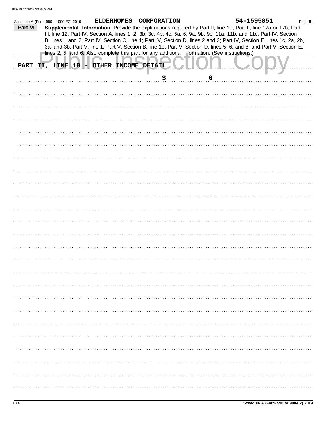|         | Schedule A (Form 990 or 990-EZ) 2019                                                           |  | ELDERHOMES CORPORATION |             | 54-1595851                                                                                                                                                                                                                                                                                                                                                                                                                                                                                | Page 8 |
|---------|------------------------------------------------------------------------------------------------|--|------------------------|-------------|-------------------------------------------------------------------------------------------------------------------------------------------------------------------------------------------------------------------------------------------------------------------------------------------------------------------------------------------------------------------------------------------------------------------------------------------------------------------------------------------|--------|
| Part VI | lines 2, 5, and 6. Also complete this part for any additional information. (See instructions.) |  |                        |             | Supplemental Information. Provide the explanations required by Part II, line 10; Part II, line 17a or 17b; Part<br>III, line 12; Part IV, Section A, lines 1, 2, 3b, 3c, 4b, 4c, 5a, 6, 9a, 9b, 9c, 11a, 11b, and 11c; Part IV, Section<br>B, lines 1 and 2; Part IV, Section C, line 1; Part IV, Section D, lines 2 and 3; Part IV, Section E, lines 1c, 2a, 2b,<br>3a, and 3b; Part V, line 1; Part V, Section B, line 1e; Part V, Section D, lines 5, 6, and 8; and Part V, Section E, |        |
|         | PART II, LINE 10 - OTHER INCOME DETAIL                                                         |  |                        |             |                                                                                                                                                                                                                                                                                                                                                                                                                                                                                           |        |
|         |                                                                                                |  | \$                     | $\mathbf 0$ |                                                                                                                                                                                                                                                                                                                                                                                                                                                                                           |        |
|         |                                                                                                |  |                        |             |                                                                                                                                                                                                                                                                                                                                                                                                                                                                                           |        |
|         |                                                                                                |  |                        |             |                                                                                                                                                                                                                                                                                                                                                                                                                                                                                           |        |
|         |                                                                                                |  |                        |             |                                                                                                                                                                                                                                                                                                                                                                                                                                                                                           |        |
|         |                                                                                                |  |                        |             |                                                                                                                                                                                                                                                                                                                                                                                                                                                                                           |        |
|         |                                                                                                |  |                        |             |                                                                                                                                                                                                                                                                                                                                                                                                                                                                                           |        |
|         |                                                                                                |  |                        |             |                                                                                                                                                                                                                                                                                                                                                                                                                                                                                           |        |
|         |                                                                                                |  |                        |             |                                                                                                                                                                                                                                                                                                                                                                                                                                                                                           |        |
|         |                                                                                                |  |                        |             |                                                                                                                                                                                                                                                                                                                                                                                                                                                                                           |        |
|         |                                                                                                |  |                        |             |                                                                                                                                                                                                                                                                                                                                                                                                                                                                                           |        |
|         |                                                                                                |  |                        |             |                                                                                                                                                                                                                                                                                                                                                                                                                                                                                           |        |
|         |                                                                                                |  |                        |             |                                                                                                                                                                                                                                                                                                                                                                                                                                                                                           |        |
|         |                                                                                                |  |                        |             |                                                                                                                                                                                                                                                                                                                                                                                                                                                                                           |        |
|         |                                                                                                |  |                        |             |                                                                                                                                                                                                                                                                                                                                                                                                                                                                                           |        |
|         |                                                                                                |  |                        |             |                                                                                                                                                                                                                                                                                                                                                                                                                                                                                           |        |
|         |                                                                                                |  |                        |             |                                                                                                                                                                                                                                                                                                                                                                                                                                                                                           |        |
|         |                                                                                                |  |                        |             |                                                                                                                                                                                                                                                                                                                                                                                                                                                                                           |        |
|         |                                                                                                |  |                        |             |                                                                                                                                                                                                                                                                                                                                                                                                                                                                                           |        |
|         |                                                                                                |  |                        |             |                                                                                                                                                                                                                                                                                                                                                                                                                                                                                           |        |
|         |                                                                                                |  |                        |             |                                                                                                                                                                                                                                                                                                                                                                                                                                                                                           |        |
|         |                                                                                                |  |                        |             |                                                                                                                                                                                                                                                                                                                                                                                                                                                                                           |        |
|         |                                                                                                |  |                        |             |                                                                                                                                                                                                                                                                                                                                                                                                                                                                                           |        |
|         |                                                                                                |  |                        |             |                                                                                                                                                                                                                                                                                                                                                                                                                                                                                           |        |
|         |                                                                                                |  |                        |             |                                                                                                                                                                                                                                                                                                                                                                                                                                                                                           |        |
|         |                                                                                                |  |                        |             |                                                                                                                                                                                                                                                                                                                                                                                                                                                                                           |        |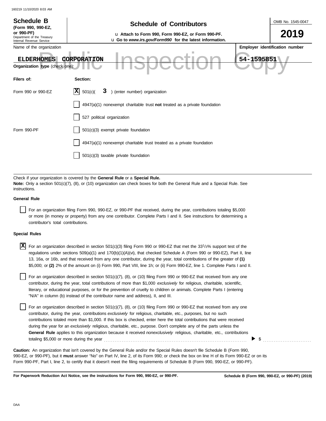| <b>Schedule B</b><br>(Form 990, 990-EZ,                                         | OMB No. 1545-0047<br><b>Schedule of Contributors</b>                                                                                                                                                                                                                                                                                                                                        |
|---------------------------------------------------------------------------------|---------------------------------------------------------------------------------------------------------------------------------------------------------------------------------------------------------------------------------------------------------------------------------------------------------------------------------------------------------------------------------------------|
| or 990-PF)<br>Department of the Treasury<br>Internal Revenue Service            | u Attach to Form 990, Form 990-EZ, or Form 990-PF.<br><b>u</b> Go to www.irs.gov/Form990 for the latest information.                                                                                                                                                                                                                                                                        |
| Name of the organization<br><b>ELDERHOMES</b><br>Organization type (check one): | Employer identification number<br>54-1595851<br>CORPORATION                                                                                                                                                                                                                                                                                                                                 |
| Filers of:                                                                      | Section:                                                                                                                                                                                                                                                                                                                                                                                    |
| Form 990 or 990-EZ                                                              | ΙX<br>) (enter number) organization<br>501(c)<br>3                                                                                                                                                                                                                                                                                                                                          |
|                                                                                 | $4947(a)(1)$ nonexempt charitable trust not treated as a private foundation                                                                                                                                                                                                                                                                                                                 |
|                                                                                 | 527 political organization                                                                                                                                                                                                                                                                                                                                                                  |
| Form 990-PF                                                                     | 501(c)(3) exempt private foundation                                                                                                                                                                                                                                                                                                                                                         |
|                                                                                 | 4947(a)(1) nonexempt charitable trust treated as a private foundation                                                                                                                                                                                                                                                                                                                       |
|                                                                                 | 501(c)(3) taxable private foundation                                                                                                                                                                                                                                                                                                                                                        |
|                                                                                 |                                                                                                                                                                                                                                                                                                                                                                                             |
| instructions.                                                                   | Check if your organization is covered by the General Rule or a Special Rule.<br><b>Note:</b> Only a section 501(c)(7), (8), or (10) organization can check boxes for both the General Rule and a Special Rule. See                                                                                                                                                                          |
| <b>General Rule</b>                                                             |                                                                                                                                                                                                                                                                                                                                                                                             |
| contributor's total contributions.                                              | For an organization filing Form 990, 990-EZ, or 990-PF that received, during the year, contributions totaling \$5,000<br>or more (in money or property) from any one contributor. Complete Parts I and II. See instructions for determining a                                                                                                                                               |
| <b>Special Rules</b>                                                            |                                                                                                                                                                                                                                                                                                                                                                                             |
| X                                                                               | For an organization described in section 501(c)(3) filing Form 990 or 990-EZ that met the 33 <sup>1</sup> /3% support test of the<br>regulations under sections $509(a)(1)$ and $170(b)(1)(A)(vi)$ , that checked Schedule A (Form 990 or 990-EZ), Part II, line<br>13, 16a, or 16b, and that received from any one contributor, during the year, total contributions of the greater of (1) |

| For an organization described in section 501(c)(7), (8), or (10) filing Form 990 or 990-EZ that received from any one     |
|---------------------------------------------------------------------------------------------------------------------------|
| contributor, during the year, total contributions of more than \$1,000 exclusively for religious, charitable, scientific, |
| literary, or educational purposes, or for the prevention of cruelty to children or animals. Complete Parts I (entering    |
| "N/A" in column (b) instead of the contributor name and address), II, and III.                                            |

\$5,000; or **(2)** 2% of the amount on (i) Form 990, Part VIII, line 1h; or (ii) Form 990-EZ, line 1. Complete Parts I and II.

For an organization described in section 501(c)(7), (8), or (10) filing Form 990 or 990-EZ that received from any one contributor, during the year, contributions *exclusively* for religious, charitable, etc., purposes, but no such contributions totaled more than \$1,000. If this box is checked, enter here the total contributions that were received during the year for an *exclusively* religious, charitable, etc., purpose. Don't complete any of the parts unless the **General Rule** applies to this organization because it received *nonexclusively* religious, charitable, etc., contributions totaling \$5,000 or more during the year . . . . . . . . . . . . . . . . . . . . . . . . . . . . . . . . . . . . . . . . . . . . . . . . . . . . . . . . . . . . . . . . . . . . . . . . . . . . . . . .

990-EZ, or 990-PF), but it **must** answer "No" on Part IV, line 2, of its Form 990; or check the box on line H of its Form 990-EZ or on its Form 990-PF, Part I, line 2, to certify that it doesn't meet the filing requirements of Schedule B (Form 990, 990-EZ, or 990-PF). **Caution:** An organization that isn't covered by the General Rule and/or the Special Rules doesn't file Schedule B (Form 990,

**For Paperwork Reduction Act Notice, see the instructions for Form 990, 990-EZ, or 990-PF.**

 $\triangleright$  \$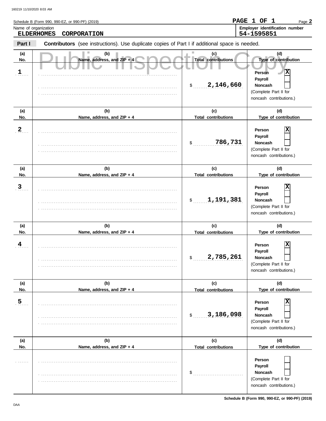|                                 | Schedule B (Form 990, 990-EZ, or 990-PF) (2019)                                                |                                                      | PAGE 1 OF 1<br>Page 2                                                                                                |
|---------------------------------|------------------------------------------------------------------------------------------------|------------------------------------------------------|----------------------------------------------------------------------------------------------------------------------|
|                                 | Name of organization<br><b>ELDERHOMES</b><br>CORPORATION                                       |                                                      | Employer identification number<br>54-1595851                                                                         |
| Part I                          | Contributors (see instructions). Use duplicate copies of Part I if additional space is needed. |                                                      |                                                                                                                      |
| (a)<br>No.<br>$\frac{1}{\cdot}$ | (b)<br>Name, address, and ZIP + 4                                                              | (c)<br><b>Total contributions</b><br>2,146,660<br>\$ | (d)<br>Type of contribution<br>X<br>Person<br>Payroll<br>Noncash<br>(Complete Part II for<br>noncash contributions.) |
| (a)                             | (b)                                                                                            | (c)                                                  | (d)                                                                                                                  |
| No.<br>$\overline{2}$           | Name, address, and ZIP + 4                                                                     | <b>Total contributions</b><br>786,731<br>\$          | Type of contribution<br>X<br>Person<br>Payroll<br>Noncash<br>(Complete Part II for<br>noncash contributions.)        |
| (a)<br>No.                      | (b)<br>Name, address, and ZIP + 4                                                              | (c)<br><b>Total contributions</b>                    | (d)<br>Type of contribution                                                                                          |
| $\mathbf{3}$                    |                                                                                                | 1,191,381<br>\$                                      | X<br>Person<br>Payroll<br>Noncash<br>(Complete Part II for<br>noncash contributions.)                                |
| (a)                             | (b)                                                                                            | (c)                                                  | (d)                                                                                                                  |
| No.<br>$\frac{4}{1}$            | Name, address, and ZIP + 4                                                                     | <b>Total contributions</b><br>2,785,261<br>\$        | Type of contribution<br>X<br>Person<br>Payroll<br>Noncash<br>(Complete Part II for<br>noncash contributions.)        |
| (a)<br>No.                      | (b)<br>Name, address, and ZIP + 4                                                              | (c)<br><b>Total contributions</b>                    | (d)<br>Type of contribution                                                                                          |
| $\overline{5}$                  |                                                                                                | 3,186,098<br>\$                                      | х<br>Person<br>Payroll<br>Noncash<br>(Complete Part II for<br>noncash contributions.)                                |
| (a)<br>No.                      | (b)<br>Name, address, and ZIP + 4                                                              | (c)<br><b>Total contributions</b>                    | (d)<br>Type of contribution                                                                                          |
|                                 |                                                                                                | \$                                                   | Person<br>Payroll<br>Noncash<br>(Complete Part II for                                                                |

. . . . . . . . . . . . . . . . . . . . . . . . . . . . . . . . . . . . . . . . . . . . . . . . . . . . . . . . . . . . . . . . . . . . . . . . . . . . .

noncash contributions.)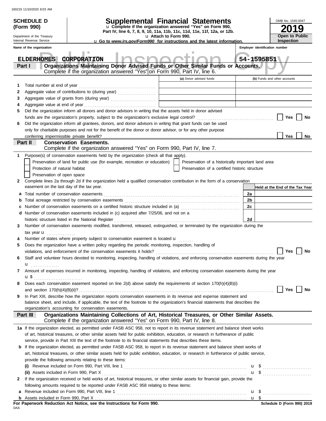|              | <b>SCHEDULE D</b>                                    |                                                                                                                                                                                                                                       | Supplemental Financial Statements                                                                                                      |                                                                                                   |                                                    |  |    |                                 | OMB No. 1545-0047 |               |
|--------------|------------------------------------------------------|---------------------------------------------------------------------------------------------------------------------------------------------------------------------------------------------------------------------------------------|----------------------------------------------------------------------------------------------------------------------------------------|---------------------------------------------------------------------------------------------------|----------------------------------------------------|--|----|---------------------------------|-------------------|---------------|
|              | (Form 990)                                           |                                                                                                                                                                                                                                       | u Complete if the organization answered "Yes" on Form 990,<br>Part IV, line 6, 7, 8, 9, 10, 11a, 11b, 11c, 11d, 11e, 11f, 12a, or 12b. |                                                                                                   |                                                    |  |    |                                 |                   | Ŷ             |
|              | Department of the Treasury                           |                                                                                                                                                                                                                                       |                                                                                                                                        | u Attach to Form 990.<br>u Go to www.irs.gov/Form990 for instructions and the latest information. |                                                    |  |    |                                 | Open to Public    |               |
|              | Internal Revenue Service<br>Name of the organization |                                                                                                                                                                                                                                       |                                                                                                                                        |                                                                                                   |                                                    |  |    | Employer identification number  | <b>Inspection</b> |               |
|              |                                                      | ш                                                                                                                                                                                                                                     |                                                                                                                                        |                                                                                                   |                                                    |  |    |                                 |                   |               |
|              | <b>ELDERHOMES</b>                                    | CORPORATION                                                                                                                                                                                                                           |                                                                                                                                        |                                                                                                   |                                                    |  |    | 54-1595851                      |                   |               |
|              | Part I                                               | Organizations Maintaining Donor Advised Funds or Other Similar Funds or Accounts.                                                                                                                                                     |                                                                                                                                        |                                                                                                   |                                                    |  |    |                                 |                   |               |
|              |                                                      | Complete if the organization answered "Yes" on Form 990, Part IV, line 6.                                                                                                                                                             |                                                                                                                                        |                                                                                                   |                                                    |  |    |                                 |                   |               |
|              |                                                      |                                                                                                                                                                                                                                       |                                                                                                                                        |                                                                                                   | (a) Donor advised funds                            |  |    | (b) Funds and other accounts    |                   |               |
| 1            | Total number at end of year                          |                                                                                                                                                                                                                                       |                                                                                                                                        |                                                                                                   |                                                    |  |    |                                 |                   |               |
| 2            |                                                      |                                                                                                                                                                                                                                       |                                                                                                                                        |                                                                                                   |                                                    |  |    |                                 |                   |               |
| 3            |                                                      |                                                                                                                                                                                                                                       |                                                                                                                                        |                                                                                                   |                                                    |  |    |                                 |                   |               |
| 5            |                                                      | Did the organization inform all donors and donor advisors in writing that the assets held in donor advised                                                                                                                            |                                                                                                                                        |                                                                                                   |                                                    |  |    |                                 |                   |               |
|              |                                                      |                                                                                                                                                                                                                                       |                                                                                                                                        |                                                                                                   |                                                    |  |    |                                 | Yes               | No            |
| 6            |                                                      | Did the organization inform all grantees, donors, and donor advisors in writing that grant funds can be used                                                                                                                          |                                                                                                                                        |                                                                                                   |                                                    |  |    |                                 |                   |               |
|              |                                                      | only for charitable purposes and not for the benefit of the donor or donor advisor, or for any other purpose                                                                                                                          |                                                                                                                                        |                                                                                                   |                                                    |  |    |                                 |                   |               |
|              |                                                      | conferring impermissible private benefit?                                                                                                                                                                                             |                                                                                                                                        |                                                                                                   |                                                    |  |    |                                 | <b>Yes</b>        | No            |
|              | Part II                                              | <b>Conservation Easements.</b>                                                                                                                                                                                                        |                                                                                                                                        |                                                                                                   |                                                    |  |    |                                 |                   |               |
|              |                                                      | Complete if the organization answered "Yes" on Form 990, Part IV, line 7.                                                                                                                                                             |                                                                                                                                        |                                                                                                   |                                                    |  |    |                                 |                   |               |
|              |                                                      | Purpose(s) of conservation easements held by the organization (check all that apply).                                                                                                                                                 |                                                                                                                                        |                                                                                                   |                                                    |  |    |                                 |                   |               |
|              |                                                      | Preservation of land for public use (for example, recreation or education)                                                                                                                                                            |                                                                                                                                        |                                                                                                   | Preservation of a historically important land area |  |    |                                 |                   |               |
|              | Protection of natural habitat                        |                                                                                                                                                                                                                                       |                                                                                                                                        |                                                                                                   | Preservation of a certified historic structure     |  |    |                                 |                   |               |
|              | Preservation of open space                           |                                                                                                                                                                                                                                       |                                                                                                                                        |                                                                                                   |                                                    |  |    |                                 |                   |               |
| $\mathbf{2}$ |                                                      | Complete lines 2a through 2d if the organization held a qualified conservation contribution in the form of a conservation                                                                                                             |                                                                                                                                        |                                                                                                   |                                                    |  |    |                                 |                   |               |
|              |                                                      | easement on the last day of the tax year.                                                                                                                                                                                             |                                                                                                                                        |                                                                                                   |                                                    |  |    | Held at the End of the Tax Year |                   |               |
| а            |                                                      | Total number of conservation easements                                                                                                                                                                                                |                                                                                                                                        |                                                                                                   |                                                    |  | 2a |                                 |                   |               |
|              |                                                      |                                                                                                                                                                                                                                       |                                                                                                                                        |                                                                                                   |                                                    |  | 2b |                                 |                   |               |
|              |                                                      | Number of conservation easements on a certified historic structure included in (a) [[[[[[[[[[[[[[[[[[[[[[[[[]]]]]]]                                                                                                                   |                                                                                                                                        |                                                                                                   |                                                    |  | 2c |                                 |                   |               |
| d            |                                                      | Number of conservation easements included in (c) acquired after 7/25/06, and not on a                                                                                                                                                 |                                                                                                                                        |                                                                                                   |                                                    |  |    |                                 |                   |               |
|              |                                                      | historic structure listed in the National Register                                                                                                                                                                                    |                                                                                                                                        |                                                                                                   |                                                    |  | 2d |                                 |                   |               |
| 3            |                                                      | Number of conservation easements modified, transferred, released, extinguished, or terminated by the organization during the                                                                                                          |                                                                                                                                        |                                                                                                   |                                                    |  |    |                                 |                   |               |
|              | tax year <b>u</b><br>.                               | Number of states where property subject to conservation easement is located u                                                                                                                                                         |                                                                                                                                        |                                                                                                   |                                                    |  |    |                                 |                   |               |
|              |                                                      |                                                                                                                                                                                                                                       |                                                                                                                                        |                                                                                                   |                                                    |  |    |                                 |                   |               |
| 5            |                                                      | Does the organization have a written policy regarding the periodic monitoring, inspection, handling of                                                                                                                                |                                                                                                                                        |                                                                                                   |                                                    |  |    |                                 |                   |               |
| 6            |                                                      | violations, and enforcement of the conservation easements it holds? $\Box$ Yes $\Box$ No<br>Staff and volunteer hours devoted to monitoring, inspecting, handling of violations, and enforcing conservation easements during the year |                                                                                                                                        |                                                                                                   |                                                    |  |    |                                 |                   |               |
|              | <b>u</b>                                             |                                                                                                                                                                                                                                       |                                                                                                                                        |                                                                                                   |                                                    |  |    |                                 |                   |               |
| 7            |                                                      | Amount of expenses incurred in monitoring, inspecting, handling of violations, and enforcing conservation easements during the year                                                                                                   |                                                                                                                                        |                                                                                                   |                                                    |  |    |                                 |                   |               |
|              |                                                      |                                                                                                                                                                                                                                       |                                                                                                                                        |                                                                                                   |                                                    |  |    |                                 |                   |               |
| 8            |                                                      | Does each conservation easement reported on line 2(d) above satisfy the requirements of section 170(h)(4)(B)(i)                                                                                                                       |                                                                                                                                        |                                                                                                   |                                                    |  |    |                                 |                   |               |
|              |                                                      |                                                                                                                                                                                                                                       |                                                                                                                                        |                                                                                                   |                                                    |  |    |                                 | Yes               | $\mathsf{No}$ |
| 9            |                                                      | In Part XIII, describe how the organization reports conservation easements in its revenue and expense statement and                                                                                                                   |                                                                                                                                        |                                                                                                   |                                                    |  |    |                                 |                   |               |
|              |                                                      | balance sheet, and include, if applicable, the text of the footnote to the organization's financial statements that describes the                                                                                                     |                                                                                                                                        |                                                                                                   |                                                    |  |    |                                 |                   |               |
|              |                                                      | organization's accounting for conservation easements.                                                                                                                                                                                 |                                                                                                                                        |                                                                                                   |                                                    |  |    |                                 |                   |               |
|              | Part III                                             | Organizations Maintaining Collections of Art, Historical Treasures, or Other Similar Assets.<br>Complete if the organization answered "Yes" on Form 990, Part IV, line 8.                                                             |                                                                                                                                        |                                                                                                   |                                                    |  |    |                                 |                   |               |
|              |                                                      | 1a If the organization elected, as permitted under FASB ASC 958, not to report in its revenue statement and balance sheet works                                                                                                       |                                                                                                                                        |                                                                                                   |                                                    |  |    |                                 |                   |               |
|              |                                                      | of art, historical treasures, or other similar assets held for public exhibition, education, or research in furtherance of public                                                                                                     |                                                                                                                                        |                                                                                                   |                                                    |  |    |                                 |                   |               |
|              |                                                      | service, provide in Part XIII the text of the footnote to its financial statements that describes these items.                                                                                                                        |                                                                                                                                        |                                                                                                   |                                                    |  |    |                                 |                   |               |
|              |                                                      | <b>b</b> If the organization elected, as permitted under FASB ASC 958, to report in its revenue statement and balance sheet works of                                                                                                  |                                                                                                                                        |                                                                                                   |                                                    |  |    |                                 |                   |               |
|              |                                                      | art, historical treasures, or other similar assets held for public exhibition, education, or research in furtherance of public service,                                                                                               |                                                                                                                                        |                                                                                                   |                                                    |  |    |                                 |                   |               |
|              |                                                      | provide the following amounts relating to these items:                                                                                                                                                                                |                                                                                                                                        |                                                                                                   |                                                    |  |    |                                 |                   |               |
|              |                                                      |                                                                                                                                                                                                                                       |                                                                                                                                        |                                                                                                   |                                                    |  |    | $\mathbf{u}$ \$                 |                   |               |
|              |                                                      | (ii) Assets included in Form 990, Part X                                                                                                                                                                                              |                                                                                                                                        |                                                                                                   |                                                    |  |    | $\mathbf{u}$ \$                 |                   |               |
| 2            |                                                      | If the organization received or held works of art, historical treasures, or other similar assets for financial gain, provide the                                                                                                      |                                                                                                                                        |                                                                                                   |                                                    |  |    |                                 |                   |               |
|              |                                                      | following amounts required to be reported under FASB ASC 958 relating to these items:                                                                                                                                                 |                                                                                                                                        |                                                                                                   |                                                    |  |    |                                 |                   |               |
| а            |                                                      |                                                                                                                                                                                                                                       |                                                                                                                                        |                                                                                                   |                                                    |  |    |                                 |                   |               |
|              |                                                      |                                                                                                                                                                                                                                       |                                                                                                                                        |                                                                                                   |                                                    |  |    |                                 |                   |               |

**For Paperwork Reduction Act Notice, see the Instructions for Form 990.**<br><sub>DAA</sub>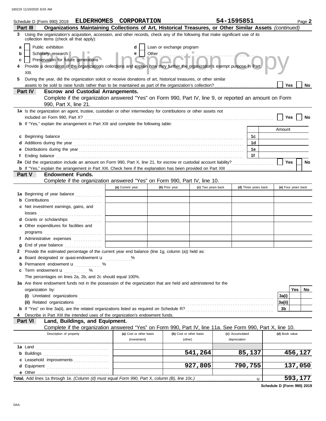|        | Schedule D (Form 990) 2019 ELDERHOMES CORPORATION<br>Organizations Maintaining Collections of Art, Historical Treasures, or Other Similar Assets (continued)<br>Part III                                                            |                         |                                   |                         | 54-1595851      |                      |                | Page 2              |
|--------|-------------------------------------------------------------------------------------------------------------------------------------------------------------------------------------------------------------------------------------|-------------------------|-----------------------------------|-------------------------|-----------------|----------------------|----------------|---------------------|
| 3      | Using the organization's acquisition, accession, and other records, check any of the following that make significant use of its                                                                                                     |                         |                                   |                         |                 |                      |                |                     |
|        | collection items (check all that apply):                                                                                                                                                                                            |                         |                                   |                         |                 |                      |                |                     |
| a<br>b | Public exhibition<br>Scholarly research                                                                                                                                                                                             | d<br>e                  | Loan or exchange program<br>Other |                         |                 |                      |                |                     |
| c      | Preservation for future generations                                                                                                                                                                                                 |                         |                                   |                         |                 |                      |                |                     |
|        | Provide a description of the organization's collections and explain how they further the organization's exempt purpose in Part                                                                                                      |                         |                                   |                         |                 |                      |                |                     |
|        | XIII.                                                                                                                                                                                                                               |                         |                                   |                         |                 |                      |                |                     |
| 5.     | During the year, did the organization solicit or receive donations of art, historical treasures, or other similar                                                                                                                   |                         |                                   |                         |                 |                      |                |                     |
|        | assets to be sold to raise funds rather than to be maintained as part of the organization's collection?                                                                                                                             |                         |                                   |                         |                 |                      | <b>Yes</b>     | No                  |
|        | Part IV<br><b>Escrow and Custodial Arrangements.</b>                                                                                                                                                                                |                         |                                   |                         |                 |                      |                |                     |
|        | Complete if the organization answered "Yes" on Form 990, Part IV, line 9, or reported an amount on Form                                                                                                                             |                         |                                   |                         |                 |                      |                |                     |
|        | 990, Part X, line 21.                                                                                                                                                                                                               |                         |                                   |                         |                 |                      |                |                     |
|        | 1a Is the organization an agent, trustee, custodian or other intermediary for contributions or other assets not                                                                                                                     |                         |                                   |                         |                 |                      |                |                     |
|        |                                                                                                                                                                                                                                     |                         |                                   |                         |                 |                      | Yes            | No                  |
|        | <b>b</b> If "Yes," explain the arrangement in Part XIII and complete the following table:                                                                                                                                           |                         |                                   |                         |                 |                      | Amount         |                     |
|        |                                                                                                                                                                                                                                     |                         |                                   |                         |                 | 1c                   |                |                     |
|        |                                                                                                                                                                                                                                     |                         |                                   |                         |                 | 1d                   |                |                     |
|        |                                                                                                                                                                                                                                     |                         |                                   |                         |                 | 1e                   |                |                     |
|        |                                                                                                                                                                                                                                     |                         |                                   |                         |                 | 1f                   |                |                     |
|        | 2a Did the organization include an amount on Form 990, Part X, line 21, for escrow or custodial account liability?                                                                                                                  |                         |                                   |                         |                 |                      | Yes            | No                  |
|        |                                                                                                                                                                                                                                     |                         |                                   |                         |                 |                      |                |                     |
|        | <b>Endowment Funds.</b><br>Part V                                                                                                                                                                                                   |                         |                                   |                         |                 |                      |                |                     |
|        | Complete if the organization answered "Yes" on Form 990, Part IV, line 10.                                                                                                                                                          |                         |                                   |                         |                 |                      |                |                     |
|        |                                                                                                                                                                                                                                     | (a) Current year        | (b) Prior year                    | (c) Two years back      |                 | (d) Three years back |                | (e) Four years back |
|        | 1a Beginning of year balance                                                                                                                                                                                                        |                         |                                   |                         |                 |                      |                |                     |
|        | <b>b</b> Contributions                                                                                                                                                                                                              |                         |                                   |                         |                 |                      |                |                     |
|        | c Net investment earnings, gains, and                                                                                                                                                                                               |                         |                                   |                         |                 |                      |                |                     |
|        |                                                                                                                                                                                                                                     |                         |                                   |                         |                 |                      |                |                     |
|        | d Grants or scholarships                                                                                                                                                                                                            |                         |                                   |                         |                 |                      |                |                     |
|        | e Other expenditures for facilities and                                                                                                                                                                                             |                         |                                   |                         |                 |                      |                |                     |
|        | f Administrative expenses                                                                                                                                                                                                           |                         |                                   |                         |                 |                      |                |                     |
| a      |                                                                                                                                                                                                                                     |                         |                                   |                         |                 |                      |                |                     |
|        | 2 Provide the estimated percentage of the current year end balance (line 1g, column (a)) held as:                                                                                                                                   |                         |                                   |                         |                 |                      |                |                     |
|        | a Board designated or quasi-endowment u                                                                                                                                                                                             | %                       |                                   |                         |                 |                      |                |                     |
|        | Permanent endowment <b>u</b> %                                                                                                                                                                                                      |                         |                                   |                         |                 |                      |                |                     |
| c      | Term endowment <b>u</b><br>. <b>.</b>                                                                                                                                                                                               |                         |                                   |                         |                 |                      |                |                     |
|        | The percentages on lines 2a, 2b, and 2c should equal 100%.                                                                                                                                                                          |                         |                                   |                         |                 |                      |                |                     |
|        | 3a Are there endowment funds not in the possession of the organization that are held and administered for the                                                                                                                       |                         |                                   |                         |                 |                      |                |                     |
|        | organization by:                                                                                                                                                                                                                    |                         |                                   |                         |                 |                      |                | <b>Yes</b><br>No.   |
|        |                                                                                                                                                                                                                                     |                         |                                   |                         |                 |                      | 3a(i)          |                     |
|        | (ii) Related organizations <b>constants</b> and constant of the constant of the constant of the constant of the constant of the constant of the constant of the constant of the constant of the constant of the constant of the con |                         |                                   |                         |                 |                      | 3a(ii)         |                     |
|        |                                                                                                                                                                                                                                     |                         |                                   |                         |                 |                      | 3b             |                     |
|        | Describe in Part XIII the intended uses of the organization's endowment funds.<br>Part VI<br>Land, Buildings, and Equipment.                                                                                                        |                         |                                   |                         |                 |                      |                |                     |
|        | Complete if the organization answered "Yes" on Form 990, Part IV, line 11a. See Form 990, Part X, line 10.                                                                                                                          |                         |                                   |                         |                 |                      |                |                     |
|        | Description of property                                                                                                                                                                                                             | (a) Cost or other basis |                                   | (b) Cost or other basis | (c) Accumulated |                      | (d) Book value |                     |
|        |                                                                                                                                                                                                                                     | (investment)            |                                   | (other)                 | depreciation    |                      |                |                     |
|        |                                                                                                                                                                                                                                     |                         |                                   |                         |                 |                      |                |                     |
|        |                                                                                                                                                                                                                                     |                         |                                   | 541,264                 |                 | 85,137               |                | 456,127             |
|        | c Leasehold improvements                                                                                                                                                                                                            |                         |                                   |                         |                 |                      |                |                     |
|        |                                                                                                                                                                                                                                     |                         |                                   | 927,805                 |                 | 790,755              |                | 137,050             |
|        |                                                                                                                                                                                                                                     |                         |                                   |                         |                 |                      |                |                     |
|        | Total. Add lines 1a through 1e. (Column (d) must equal Form 990, Part X, column (B), line 10c.)                                                                                                                                     |                         |                                   |                         |                 | u                    |                | 593,177             |

**Schedule D (Form 990) 2019**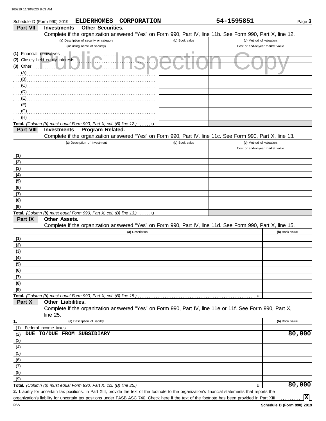| <b>Investments - Other Securities.</b><br>Part VII<br>Complete if the organization answered "Yes" on Form 990, Part IV, line 11b. See Form 990, Part X, line 12.<br>(a) Description of security or category<br>(b) Book value<br>(c) Method of valuation:<br>(including name of security)<br>Cost or end-of-year market value<br>(1) Financial derivatives<br>(2) Closely held equity interests<br>$(3)$ Other<br>(A)<br>(B)<br>(C)<br>(D) | Page 3         |
|--------------------------------------------------------------------------------------------------------------------------------------------------------------------------------------------------------------------------------------------------------------------------------------------------------------------------------------------------------------------------------------------------------------------------------------------|----------------|
|                                                                                                                                                                                                                                                                                                                                                                                                                                            |                |
|                                                                                                                                                                                                                                                                                                                                                                                                                                            |                |
|                                                                                                                                                                                                                                                                                                                                                                                                                                            |                |
|                                                                                                                                                                                                                                                                                                                                                                                                                                            |                |
|                                                                                                                                                                                                                                                                                                                                                                                                                                            |                |
|                                                                                                                                                                                                                                                                                                                                                                                                                                            |                |
|                                                                                                                                                                                                                                                                                                                                                                                                                                            |                |
|                                                                                                                                                                                                                                                                                                                                                                                                                                            |                |
|                                                                                                                                                                                                                                                                                                                                                                                                                                            |                |
|                                                                                                                                                                                                                                                                                                                                                                                                                                            |                |
| (E)                                                                                                                                                                                                                                                                                                                                                                                                                                        |                |
| (F)                                                                                                                                                                                                                                                                                                                                                                                                                                        |                |
| (G)                                                                                                                                                                                                                                                                                                                                                                                                                                        |                |
| (H)                                                                                                                                                                                                                                                                                                                                                                                                                                        |                |
| Total. (Column (b) must equal Form 990, Part X, col. (B) line 12.)<br>u                                                                                                                                                                                                                                                                                                                                                                    |                |
| Investments - Program Related.<br>Part VIII                                                                                                                                                                                                                                                                                                                                                                                                |                |
| Complete if the organization answered "Yes" on Form 990, Part IV, line 11c. See Form 990, Part X, line 13.                                                                                                                                                                                                                                                                                                                                 |                |
| (a) Description of investment<br>(b) Book value<br>(c) Method of valuation:                                                                                                                                                                                                                                                                                                                                                                |                |
| Cost or end-of-year market value                                                                                                                                                                                                                                                                                                                                                                                                           |                |
| (1)                                                                                                                                                                                                                                                                                                                                                                                                                                        |                |
| (2)                                                                                                                                                                                                                                                                                                                                                                                                                                        |                |
| (3)                                                                                                                                                                                                                                                                                                                                                                                                                                        |                |
| (4)<br>(5)                                                                                                                                                                                                                                                                                                                                                                                                                                 |                |
| (6)                                                                                                                                                                                                                                                                                                                                                                                                                                        |                |
| (7)                                                                                                                                                                                                                                                                                                                                                                                                                                        |                |
| (8)                                                                                                                                                                                                                                                                                                                                                                                                                                        |                |
| (9)                                                                                                                                                                                                                                                                                                                                                                                                                                        |                |
| Total. (Column (b) must equal Form 990, Part X, col. (B) line 13.)<br>u                                                                                                                                                                                                                                                                                                                                                                    |                |
| Part IX<br>Other Assets.                                                                                                                                                                                                                                                                                                                                                                                                                   |                |
| Complete if the organization answered "Yes" on Form 990, Part IV, line 11d. See Form 990, Part X, line 15.                                                                                                                                                                                                                                                                                                                                 |                |
| (a) Description                                                                                                                                                                                                                                                                                                                                                                                                                            | (b) Book value |
| (1)                                                                                                                                                                                                                                                                                                                                                                                                                                        |                |
| (2)                                                                                                                                                                                                                                                                                                                                                                                                                                        |                |
| (3)                                                                                                                                                                                                                                                                                                                                                                                                                                        |                |
| (4)                                                                                                                                                                                                                                                                                                                                                                                                                                        |                |
| (5)                                                                                                                                                                                                                                                                                                                                                                                                                                        |                |
| (6)                                                                                                                                                                                                                                                                                                                                                                                                                                        |                |
| (7)<br>(8)                                                                                                                                                                                                                                                                                                                                                                                                                                 |                |
| (9)                                                                                                                                                                                                                                                                                                                                                                                                                                        |                |
| Total. (Column (b) must equal Form 990, Part X, col. (B) line 15.)<br>u                                                                                                                                                                                                                                                                                                                                                                    |                |
| Other Liabilities.<br>Part X                                                                                                                                                                                                                                                                                                                                                                                                               |                |
| Complete if the organization answered "Yes" on Form 990, Part IV, line 11e or 11f. See Form 990, Part X,                                                                                                                                                                                                                                                                                                                                   |                |
| line 25.                                                                                                                                                                                                                                                                                                                                                                                                                                   |                |
| 1.<br>(a) Description of liability                                                                                                                                                                                                                                                                                                                                                                                                         | (b) Book value |
| (1)<br>Federal income taxes                                                                                                                                                                                                                                                                                                                                                                                                                |                |
| DUE TO/DUE FROM SUBSIDIARY<br>(2)                                                                                                                                                                                                                                                                                                                                                                                                          | 80,000         |
| (3)                                                                                                                                                                                                                                                                                                                                                                                                                                        |                |
| (4)                                                                                                                                                                                                                                                                                                                                                                                                                                        |                |
| (5)                                                                                                                                                                                                                                                                                                                                                                                                                                        |                |
| (6)                                                                                                                                                                                                                                                                                                                                                                                                                                        |                |
| (7)<br>(8)                                                                                                                                                                                                                                                                                                                                                                                                                                 |                |
| (9)                                                                                                                                                                                                                                                                                                                                                                                                                                        |                |
| Total. (Column (b) must equal Form 990, Part X, col. (B) line 25.)<br>u                                                                                                                                                                                                                                                                                                                                                                    | 80,000         |

Liability for uncertain tax positions. In Part XIII, provide the text of the footnote to the organization's financial statements that reports the **2.** organization's liability for uncertain tax positions under FASB ASC 740. Check here if the text of the footnote has been provided in Part XIII

**X**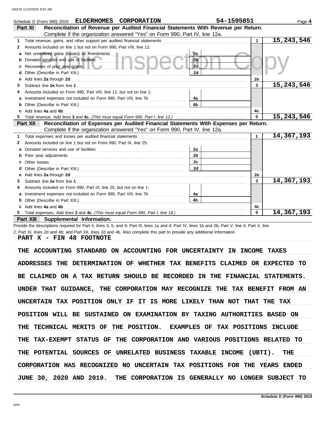|    | Schedule D (Form 990) 2019 ELDERHOMES CORPORATION                                                                                                                                                                                   | 54-1595851     |              | Page 4       |
|----|-------------------------------------------------------------------------------------------------------------------------------------------------------------------------------------------------------------------------------------|----------------|--------------|--------------|
|    | Reconciliation of Revenue per Audited Financial Statements With Revenue per Return.<br>Part XI                                                                                                                                      |                |              |              |
|    | Complete if the organization answered "Yes" on Form 990, Part IV, line 12a.                                                                                                                                                         |                |              |              |
| 1. |                                                                                                                                                                                                                                     |                | $\mathbf{1}$ | 15, 243, 546 |
| 2  | Amounts included on line 1 but not on Form 990, Part VIII, line 12:                                                                                                                                                                 |                |              |              |
| а  | Net unrealized gains (losses) on investments                                                                                                                                                                                        | 2a             |              |              |
|    | Donated services and use of facilities <b>with the service of the service</b> of the service of the service of the service of the service of the service of the service of the service of the service of the service of the service | 2 <sub>b</sub> |              |              |
| с  | Recoveries of prior year grants <b>All According to the Contract of According Prior</b>                                                                                                                                             | 2c             |              |              |
| d  |                                                                                                                                                                                                                                     | 2d             |              |              |
| е  | Add lines 2a through 2d [11] Add [12] Add lines 2a through 2d [12] Add lines 2a through 2d [12] Add lines 2a through 2d [12] Add and the set of the set of the set of the set of the set of the set of the set of the set of t      |                | 2e           |              |
|    |                                                                                                                                                                                                                                     |                | 3            | 15, 243, 546 |
|    | Amounts included on Form 990, Part VIII, line 12, but not on line 1:                                                                                                                                                                |                |              |              |
| а  | Investment expenses not included on Form 990, Part VIII, line 7b [100] [100] [100] [100] [100] [100] [100] [100] [100] [100] [100] [100] [100] [100] [100] [100] [100] [100] [100] [100] [100] [100] [100] [100] [100] [100] [      | 4a             |              |              |
| b  |                                                                                                                                                                                                                                     | 4 <sub>b</sub> |              |              |
|    | Add lines 4a and 4b                                                                                                                                                                                                                 |                | 4c           |              |
|    |                                                                                                                                                                                                                                     |                | 5            | 15, 243, 546 |
|    | Reconciliation of Expenses per Audited Financial Statements With Expenses per Return.<br>Part XII                                                                                                                                   |                |              |              |
|    | Complete if the organization answered "Yes" on Form 990, Part IV, line 12a.                                                                                                                                                         |                |              |              |
| 1. | Total expenses and losses per audited financial statements                                                                                                                                                                          |                | $\mathbf 1$  | 14,367,193   |
| 2  | Amounts included on line 1 but not on Form 990, Part IX, line 25:                                                                                                                                                                   |                |              |              |
| а  |                                                                                                                                                                                                                                     | 2a             |              |              |
|    |                                                                                                                                                                                                                                     | 2 <sub>b</sub> |              |              |
| с  |                                                                                                                                                                                                                                     | 2c             |              |              |
| d  |                                                                                                                                                                                                                                     | 2d             |              |              |
|    |                                                                                                                                                                                                                                     |                | 2e           |              |
|    |                                                                                                                                                                                                                                     |                | 3            | 14,367,193   |
|    | Amounts included on Form 990, Part IX, line 25, but not on line 1:                                                                                                                                                                  |                |              |              |
| а  |                                                                                                                                                                                                                                     | 4a             |              |              |
|    |                                                                                                                                                                                                                                     | 4 <sub>b</sub> |              |              |
|    | Add lines 4a and 4b                                                                                                                                                                                                                 |                | 4с           |              |
|    |                                                                                                                                                                                                                                     |                | 5            | 14,367,193   |

**Part XIII Supplemental Information.**

Provide the descriptions required for Part II, lines 3, 5, and 9; Part III, lines 1a and 4; Part IV, lines 1b and 2b; Part V, line 4; Part X, line 2; Part XI, lines 2d and 4b; and Part XII, lines 2d and 4b. Also complete this part to provide any additional information.

PART X - FIN 48 FOOTNOTE

THE ACCOUNTING STANDARD ON ACCOUNTING FOR UNCERTAINTY IN INCOME TAXES ADDRESSES THE DETERMINATION OF WHETHER TAX BENEFITS CLAIMED OR EXPECTED TO BE CLAIMED ON A TAX RETURN SHOULD BE RECORDED IN THE FINANCIAL STATEMENTS. UNDER THAT GUIDANCE, THE CORPORATION MAY RECOGNIZE THE TAX BENEFIT FROM AN UNCERTAIN TAX POSITION ONLY IF IT IS MORE LIKELY THAN NOT THAT THE TAX POSITION WILL BE SUSTAINED ON EXAMINATION BY TAXING AUTHORITIES BASED ON THE POTENTIAL SOURCES OF UNRELATED BUSINESS TAXABLE INCOME (UBTI). THE THE TECHNICAL MERITS OF THE POSITION. EXAMPLES OF TAX POSITIONS INCLUDE THE TAX-EXEMPT STATUS OF THE CORPORATION AND VARIOUS POSITIONS RELATED TO CORPORATION HAS RECOGNIZED NO UNCERTAIN TAX POSITIONS FOR THE YEARS ENDED JUNE 30, 2020 AND 2019. THE CORPORATION IS GENERALLY NO LONGER SUBJECT TO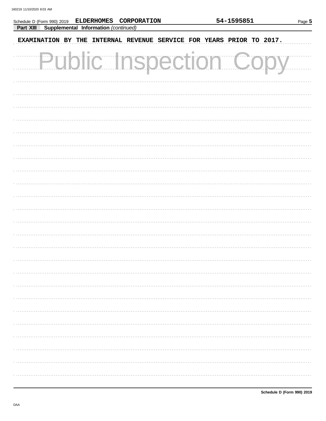| Schedule D (Form 990) 2019 ELDERHOMES CORPORATION                    | 54-1595851 |  |  |  |  |
|----------------------------------------------------------------------|------------|--|--|--|--|
| Supplemental Information (continued)<br>Part XIII                    |            |  |  |  |  |
| EXAMINATION BY THE INTERNAL REVENUE SERVICE FOR YEARS PRIOR TO 2017. |            |  |  |  |  |
| <b>Public Inspection Co</b>                                          |            |  |  |  |  |
|                                                                      |            |  |  |  |  |
|                                                                      |            |  |  |  |  |
|                                                                      |            |  |  |  |  |
|                                                                      |            |  |  |  |  |
|                                                                      |            |  |  |  |  |
|                                                                      |            |  |  |  |  |
|                                                                      |            |  |  |  |  |
|                                                                      |            |  |  |  |  |
|                                                                      |            |  |  |  |  |
|                                                                      |            |  |  |  |  |
|                                                                      |            |  |  |  |  |
|                                                                      |            |  |  |  |  |
|                                                                      |            |  |  |  |  |
|                                                                      |            |  |  |  |  |
|                                                                      |            |  |  |  |  |
|                                                                      |            |  |  |  |  |
|                                                                      |            |  |  |  |  |
|                                                                      |            |  |  |  |  |
|                                                                      |            |  |  |  |  |
|                                                                      |            |  |  |  |  |
|                                                                      |            |  |  |  |  |
|                                                                      |            |  |  |  |  |
|                                                                      |            |  |  |  |  |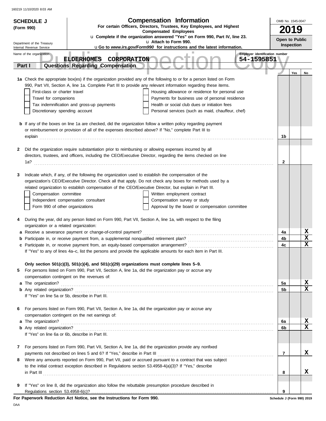|   | <b>SCHEDULE J</b>                                |                                                                                                         | <b>Compensation Information</b>                                                                                                                                                                                                | OMB No. 1545-0047          |                   |    |  |  |
|---|--------------------------------------------------|---------------------------------------------------------------------------------------------------------|--------------------------------------------------------------------------------------------------------------------------------------------------------------------------------------------------------------------------------|----------------------------|-------------------|----|--|--|
|   | (Form 990)                                       | For certain Officers, Directors, Trustees, Key Employees, and Highest<br><b>Compensated Employees</b>   |                                                                                                                                                                                                                                |                            |                   |    |  |  |
|   |                                                  |                                                                                                         | u Complete if the organization answered "Yes" on Form 990, Part IV, line 23.                                                                                                                                                   |                            | 2019              |    |  |  |
|   | Department of the Treasury                       |                                                                                                         | u Attach to Form 990.                                                                                                                                                                                                          | Open to Public             |                   |    |  |  |
|   | Internal Revenue Service                         |                                                                                                         | uGo to www.irs.gov/Form990 for instructions and the latest information.                                                                                                                                                        |                            | <b>Inspection</b> |    |  |  |
|   | Name of the organization                         | ELDERHOMES CORPORATION                                                                                  | Employer identification number<br>54-1595851                                                                                                                                                                                   |                            |                   |    |  |  |
|   | Part I                                           | Questions Regarding Compensation                                                                        |                                                                                                                                                                                                                                |                            |                   |    |  |  |
|   |                                                  |                                                                                                         |                                                                                                                                                                                                                                |                            | Yes               | No |  |  |
|   |                                                  |                                                                                                         | 1a Check the appropriate box(es) if the organization provided any of the following to or for a person listed on Form                                                                                                           |                            |                   |    |  |  |
|   |                                                  |                                                                                                         | 990, Part VII, Section A, line 1a. Complete Part III to provide any relevant information regarding these items.                                                                                                                |                            |                   |    |  |  |
|   | First-class or charter travel                    |                                                                                                         | Housing allowance or residence for personal use                                                                                                                                                                                |                            |                   |    |  |  |
|   | Travel for companions                            |                                                                                                         | Payments for business use of personal residence                                                                                                                                                                                |                            |                   |    |  |  |
|   |                                                  | Tax indemnification and gross-up payments                                                               | Health or social club dues or initiation fees                                                                                                                                                                                  |                            |                   |    |  |  |
|   | Discretionary spending account                   |                                                                                                         | Personal services (such as maid, chauffeur, chef)                                                                                                                                                                              |                            |                   |    |  |  |
|   |                                                  |                                                                                                         |                                                                                                                                                                                                                                |                            |                   |    |  |  |
|   |                                                  | or reimbursement or provision of all of the expenses described above? If "No," complete Part III to     | <b>b</b> If any of the boxes on line 1a are checked, did the organization follow a written policy regarding payment                                                                                                            |                            |                   |    |  |  |
|   |                                                  |                                                                                                         |                                                                                                                                                                                                                                | 1b                         |                   |    |  |  |
|   |                                                  |                                                                                                         | explain continuous contract and continuous contract and contract and continuous contract and contract and contract and contract and contract and contract and contract and contract and contract and contract and contract and |                            |                   |    |  |  |
| 2 |                                                  | Did the organization require substantiation prior to reimbursing or allowing expenses incurred by all   |                                                                                                                                                                                                                                |                            |                   |    |  |  |
|   |                                                  |                                                                                                         | directors, trustees, and officers, including the CEO/Executive Director, regarding the items checked on line                                                                                                                   |                            |                   |    |  |  |
|   |                                                  |                                                                                                         |                                                                                                                                                                                                                                | 2                          |                   |    |  |  |
|   |                                                  |                                                                                                         |                                                                                                                                                                                                                                |                            |                   |    |  |  |
| 3 |                                                  | Indicate which, if any, of the following the organization used to establish the compensation of the     |                                                                                                                                                                                                                                |                            |                   |    |  |  |
|   |                                                  |                                                                                                         | organization's CEO/Executive Director. Check all that apply. Do not check any boxes for methods used by a                                                                                                                      |                            |                   |    |  |  |
|   |                                                  | related organization to establish compensation of the CEO/Executive Director, but explain in Part III.  |                                                                                                                                                                                                                                |                            |                   |    |  |  |
|   | Compensation committee                           |                                                                                                         | Written employment contract                                                                                                                                                                                                    |                            |                   |    |  |  |
|   |                                                  | Independent compensation consultant                                                                     | Compensation survey or study                                                                                                                                                                                                   |                            |                   |    |  |  |
|   | Form 990 of other organizations                  |                                                                                                         | Approval by the board or compensation committee                                                                                                                                                                                |                            |                   |    |  |  |
| 4 |                                                  |                                                                                                         | During the year, did any person listed on Form 990, Part VII, Section A, line 1a, with respect to the filing                                                                                                                   |                            |                   |    |  |  |
|   | organization or a related organization:          |                                                                                                         |                                                                                                                                                                                                                                |                            |                   |    |  |  |
|   |                                                  | a Receive a severance payment or change-of-control payment?                                             |                                                                                                                                                                                                                                | 4a                         |                   | х  |  |  |
|   |                                                  |                                                                                                         |                                                                                                                                                                                                                                | 4b                         |                   | X  |  |  |
|   |                                                  |                                                                                                         |                                                                                                                                                                                                                                | 4c                         |                   | X  |  |  |
|   |                                                  |                                                                                                         | If "Yes" to any of lines 4a-c, list the persons and provide the applicable amounts for each item in Part III.                                                                                                                  |                            |                   |    |  |  |
|   |                                                  |                                                                                                         |                                                                                                                                                                                                                                |                            |                   |    |  |  |
|   |                                                  | Only section $501(c)(3)$ , $501(c)(4)$ , and $501(c)(29)$ organizations must complete lines $5-9$ .     |                                                                                                                                                                                                                                |                            |                   |    |  |  |
| 5 |                                                  | For persons listed on Form 990, Part VII, Section A, line 1a, did the organization pay or accrue any    |                                                                                                                                                                                                                                |                            |                   |    |  |  |
|   |                                                  | compensation contingent on the revenues of:                                                             |                                                                                                                                                                                                                                |                            |                   | X  |  |  |
|   |                                                  |                                                                                                         |                                                                                                                                                                                                                                | 5a<br>5b                   |                   | x  |  |  |
|   | If "Yes" on line 5a or 5b, describe in Part III. |                                                                                                         |                                                                                                                                                                                                                                |                            |                   |    |  |  |
|   |                                                  |                                                                                                         |                                                                                                                                                                                                                                |                            |                   |    |  |  |
| 6 |                                                  | For persons listed on Form 990, Part VII, Section A, line 1a, did the organization pay or accrue any    |                                                                                                                                                                                                                                |                            |                   |    |  |  |
|   |                                                  | compensation contingent on the net earnings of:                                                         |                                                                                                                                                                                                                                |                            |                   |    |  |  |
|   | a The organization?                              |                                                                                                         |                                                                                                                                                                                                                                | 6a                         |                   | X  |  |  |
|   |                                                  |                                                                                                         |                                                                                                                                                                                                                                | 6b                         |                   | x  |  |  |
|   | If "Yes" on line 6a or 6b, describe in Part III. |                                                                                                         |                                                                                                                                                                                                                                |                            |                   |    |  |  |
|   |                                                  |                                                                                                         |                                                                                                                                                                                                                                |                            |                   |    |  |  |
| 7 |                                                  | For persons listed on Form 990, Part VII, Section A, line 1a, did the organization provide any nonfixed |                                                                                                                                                                                                                                |                            |                   |    |  |  |
|   |                                                  | payments not described on lines 5 and 6? If "Yes," describe in Part III                                 |                                                                                                                                                                                                                                | $\overline{7}$             |                   | x  |  |  |
| 8 |                                                  | to the initial contract exception described in Regulations section 53.4958-4(a)(3)? If "Yes," describe  | Were any amounts reported on Form 990, Part VII, paid or accrued pursuant to a contract that was subject                                                                                                                       |                            |                   |    |  |  |
|   |                                                  |                                                                                                         |                                                                                                                                                                                                                                | 8                          |                   | x  |  |  |
|   |                                                  |                                                                                                         | $\ $ n Part III $\ $                                                                                                                                                                                                           |                            |                   |    |  |  |
| 9 |                                                  | If "Yes" on line 8, did the organization also follow the rebuttable presumption procedure described in  |                                                                                                                                                                                                                                |                            |                   |    |  |  |
|   |                                                  |                                                                                                         |                                                                                                                                                                                                                                | 9                          |                   |    |  |  |
|   |                                                  | For Paperwork Reduction Act Notice, see the Instructions for Form 990.                                  |                                                                                                                                                                                                                                | Schedule J (Form 990) 2019 |                   |    |  |  |

DAA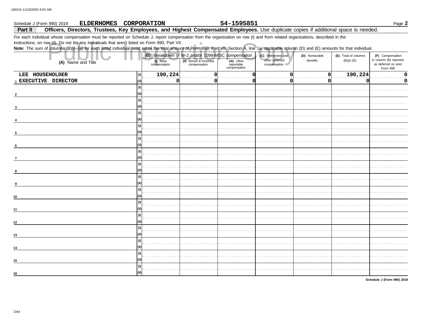### 54-1595851 Schedule J (Form 990) 2019 **ELDERHOMES** CORPORATION Part II Officers, Directors, Trustees, Key Employees, and Highest Compensated Employees. Use duplicate copies if additional space is needed.

 $\mathbb{R}^2$ 

For each individual whose compensation must be reported on Schedule J, report compensation from the organization on row (i) and from related organizations, described in the

instructions, on row (ii). Do not list any individuals that aren't listed on Form 990, Part VII.

Note: The sum of columns (B)(i)-(iii) for each listed individual must equal the total amount of Form 990, Part VII, Section A, line 1a, applicable column (D) and (E) amounts for that individual.

| (A) Name and Title           | (i) Base<br>compensation | (ii) Bonus & incentive<br>compensation | (B) Breakdown of W-2 and/or 1099-MISC compensation<br>(iii) Other<br>reportable<br>compensation | (C) Retirement and<br>other deferred<br>compensation | (D) Nontaxable<br>benefits | (E) Total of columns<br>$(B)(i)$ - $(D)$ | (F) Compensation<br>in column (B) reported<br>as deferred on prior |
|------------------------------|--------------------------|----------------------------------------|-------------------------------------------------------------------------------------------------|------------------------------------------------------|----------------------------|------------------------------------------|--------------------------------------------------------------------|
|                              |                          |                                        |                                                                                                 |                                                      |                            |                                          | Form 990                                                           |
| LEE HOUSEHOLDER<br>(i)       | 190,224                  |                                        |                                                                                                 | r                                                    | $\Omega$                   | 190,224                                  | 0                                                                  |
| 1 EXECUTIVE DIRECTOR<br>(ii) | $\Omega$                 |                                        |                                                                                                 | O                                                    | 0                          | O                                        | 0                                                                  |
| (i)                          |                          |                                        |                                                                                                 |                                                      |                            |                                          |                                                                    |
|                              |                          |                                        |                                                                                                 |                                                      |                            |                                          |                                                                    |
| (i)                          |                          |                                        |                                                                                                 |                                                      |                            |                                          |                                                                    |
|                              |                          |                                        |                                                                                                 |                                                      |                            |                                          |                                                                    |
|                              |                          |                                        |                                                                                                 |                                                      |                            |                                          |                                                                    |
|                              |                          |                                        |                                                                                                 |                                                      |                            |                                          |                                                                    |
| (i)                          |                          |                                        |                                                                                                 |                                                      |                            |                                          |                                                                    |
| 5                            |                          |                                        |                                                                                                 |                                                      |                            |                                          |                                                                    |
| (i)                          |                          |                                        |                                                                                                 |                                                      |                            |                                          |                                                                    |
| 6                            |                          |                                        |                                                                                                 |                                                      |                            |                                          |                                                                    |
| (i)                          |                          |                                        |                                                                                                 |                                                      |                            |                                          |                                                                    |
| $\overline{7}$               |                          |                                        |                                                                                                 |                                                      |                            |                                          |                                                                    |
|                              |                          |                                        |                                                                                                 |                                                      |                            |                                          |                                                                    |
| m                            |                          |                                        |                                                                                                 |                                                      |                            |                                          |                                                                    |
| (i)                          |                          |                                        |                                                                                                 |                                                      |                            |                                          |                                                                    |
|                              |                          |                                        |                                                                                                 |                                                      |                            |                                          |                                                                    |
| (i)                          |                          |                                        |                                                                                                 |                                                      |                            |                                          |                                                                    |
| (ii)                         |                          |                                        |                                                                                                 |                                                      |                            |                                          |                                                                    |
| 10<br>(i)                    |                          |                                        |                                                                                                 |                                                      |                            |                                          |                                                                    |
|                              |                          |                                        |                                                                                                 |                                                      |                            |                                          |                                                                    |
| 11                           |                          |                                        |                                                                                                 |                                                      |                            |                                          |                                                                    |
| (i)                          |                          |                                        |                                                                                                 |                                                      |                            |                                          |                                                                    |
| 12                           |                          |                                        |                                                                                                 |                                                      |                            |                                          |                                                                    |
| (i)                          |                          |                                        |                                                                                                 |                                                      |                            |                                          |                                                                    |
| 13                           |                          |                                        |                                                                                                 |                                                      |                            |                                          |                                                                    |
| (i)                          |                          |                                        |                                                                                                 |                                                      |                            |                                          |                                                                    |
| 14                           |                          |                                        |                                                                                                 |                                                      |                            |                                          |                                                                    |
| (i)                          |                          |                                        |                                                                                                 |                                                      |                            |                                          |                                                                    |
| 15                           |                          |                                        |                                                                                                 |                                                      |                            |                                          |                                                                    |
| (i)                          |                          |                                        |                                                                                                 |                                                      |                            |                                          |                                                                    |
| 16                           |                          |                                        |                                                                                                 |                                                      |                            |                                          |                                                                    |

Schedule J (Form 990) 2019

Page 2

DAA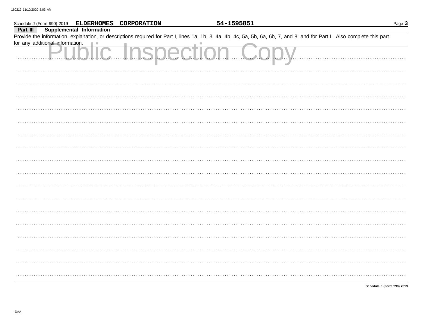|          |                                 |                                 | Schedule J (Form 990) 2019 ELDERHOMES CORPORATION | 54-1595851                                                                                                                                                                 | Page 3                     |
|----------|---------------------------------|---------------------------------|---------------------------------------------------|----------------------------------------------------------------------------------------------------------------------------------------------------------------------------|----------------------------|
| Part III |                                 | <b>Supplemental Information</b> |                                                   |                                                                                                                                                                            |                            |
|          |                                 |                                 |                                                   | Provide the information, explanation, or descriptions required for Part I, lines 1a, 1b, 3, 4a, 4b, 4c, 5a, 5b, 6a, 6b, 7, and 8, and for Part II. Also complete this part |                            |
|          | for any additional information. |                                 |                                                   |                                                                                                                                                                            |                            |
|          |                                 |                                 | <b>IC Inspecti</b>                                |                                                                                                                                                                            |                            |
|          |                                 |                                 |                                                   |                                                                                                                                                                            |                            |
|          |                                 |                                 |                                                   |                                                                                                                                                                            |                            |
|          |                                 |                                 |                                                   |                                                                                                                                                                            |                            |
|          |                                 |                                 |                                                   |                                                                                                                                                                            |                            |
|          |                                 |                                 |                                                   |                                                                                                                                                                            |                            |
|          |                                 |                                 |                                                   |                                                                                                                                                                            |                            |
|          |                                 |                                 |                                                   |                                                                                                                                                                            |                            |
|          |                                 |                                 |                                                   |                                                                                                                                                                            |                            |
|          |                                 |                                 |                                                   |                                                                                                                                                                            |                            |
|          |                                 |                                 |                                                   |                                                                                                                                                                            |                            |
|          |                                 |                                 |                                                   |                                                                                                                                                                            |                            |
|          |                                 |                                 |                                                   |                                                                                                                                                                            |                            |
|          |                                 |                                 |                                                   |                                                                                                                                                                            |                            |
|          |                                 |                                 |                                                   |                                                                                                                                                                            |                            |
|          |                                 |                                 |                                                   |                                                                                                                                                                            |                            |
|          |                                 |                                 |                                                   |                                                                                                                                                                            |                            |
|          |                                 |                                 |                                                   |                                                                                                                                                                            |                            |
|          |                                 |                                 |                                                   |                                                                                                                                                                            | Schedule J (Form 990) 2019 |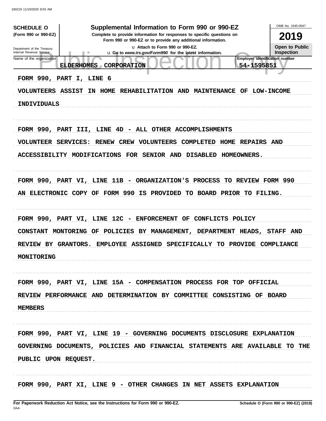| <b>SCHEDULE O</b><br>(Form 990 or 990-EZ)<br>Department of the Treasury<br>Internal Revenue Service<br>Name of the organization<br>FORM 990, PART I, LINE 6<br><b>VOLUNTEERS ASSIST</b><br>INDIVIDUALS | Supplemental Information to Form 990 or 990-EZ<br>Complete to provide information for responses to specific questions on<br>Form 990 or 990-EZ or to provide any additional information.<br>La Attach to Form 990 or 990-EZ.<br>u Go to www.irs.gov/Form990 for the latest information.<br>CORPORATION<br><b>ELDERHOMES</b><br>$\sqrt{2}$<br>IN HOME<br>REHABILITATION AND<br><b>MAINTENANCE</b><br>OF | OMB No. 1545-0047<br>2019<br>Open to Public<br><b>Inspection</b><br><b>Employer identification number</b><br>54-1595851<br><b>LOW-INCOME</b> |
|--------------------------------------------------------------------------------------------------------------------------------------------------------------------------------------------------------|--------------------------------------------------------------------------------------------------------------------------------------------------------------------------------------------------------------------------------------------------------------------------------------------------------------------------------------------------------------------------------------------------------|----------------------------------------------------------------------------------------------------------------------------------------------|
|                                                                                                                                                                                                        | FORM 990, PART III, LINE 4D - ALL OTHER ACCOMPLISHMENTS                                                                                                                                                                                                                                                                                                                                                |                                                                                                                                              |
| VOLUNTEER                                                                                                                                                                                              | SERVICES:<br><b>VOLUNTEERS</b><br>HOME<br>RENEW CREW<br>COMPLETED                                                                                                                                                                                                                                                                                                                                      | <b>REPAIRS AND</b>                                                                                                                           |
|                                                                                                                                                                                                        | ACCESSIBILITY MODIFICATIONS<br>FOR<br><b>SENIOR AND</b><br><b>DISABLED</b><br>HOMEOWNERS.                                                                                                                                                                                                                                                                                                              |                                                                                                                                              |
| AN                                                                                                                                                                                                     | FORM 990, PART VI, LINE 11B - ORGANIZATION'S PROCESS<br>ELECTRONIC COPY OF FORM 990 IS<br><b>PROVIDED</b><br>TO BOARD PRIOR TO FILING.                                                                                                                                                                                                                                                                 | TO REVIEW FORM 990                                                                                                                           |
|                                                                                                                                                                                                        | FORM 990, PART VI, LINE 12C - ENFORCEMENT<br>OF<br>CONFLICTS POLICY                                                                                                                                                                                                                                                                                                                                    |                                                                                                                                              |
| <b>CONSTANT</b>                                                                                                                                                                                        | POLICIES<br>MANAGEMENT,<br>MONTORING<br>OF<br>BY<br><b>DEPARTMENT</b>                                                                                                                                                                                                                                                                                                                                  | HEADS,<br>AND<br><b>STAFF</b>                                                                                                                |
| REVIEW BY GRANTORS.<br>MONITORING                                                                                                                                                                      | <b>ASSIGNED</b><br><b>EMPLOYEE</b><br><b>SPECIFICALLY</b><br><b>PROVIDE</b><br>TO.                                                                                                                                                                                                                                                                                                                     | COMPLIANCE                                                                                                                                   |
|                                                                                                                                                                                                        | FORM 990, PART VI, LINE 15A - COMPENSATION PROCESS FOR TOP OFFICIAL                                                                                                                                                                                                                                                                                                                                    |                                                                                                                                              |
|                                                                                                                                                                                                        | REVIEW PERFORMANCE AND DETERMINATION BY COMMITTEE CONSISTING OF BOARD                                                                                                                                                                                                                                                                                                                                  |                                                                                                                                              |
| <b>MEMBERS</b>                                                                                                                                                                                         |                                                                                                                                                                                                                                                                                                                                                                                                        |                                                                                                                                              |
|                                                                                                                                                                                                        |                                                                                                                                                                                                                                                                                                                                                                                                        |                                                                                                                                              |
|                                                                                                                                                                                                        | FORM 990, PART VI, LINE 19 - GOVERNING DOCUMENTS DISCLOSURE EXPLANATION                                                                                                                                                                                                                                                                                                                                |                                                                                                                                              |
| PUBLIC UPON REQUEST.                                                                                                                                                                                   | GOVERNING DOCUMENTS, POLICIES AND FINANCIAL STATEMENTS ARE AVAILABLE TO THE                                                                                                                                                                                                                                                                                                                            |                                                                                                                                              |
|                                                                                                                                                                                                        | FORM 990, PART XI, LINE 9 - OTHER CHANGES IN NET ASSETS EXPLANATION                                                                                                                                                                                                                                                                                                                                    |                                                                                                                                              |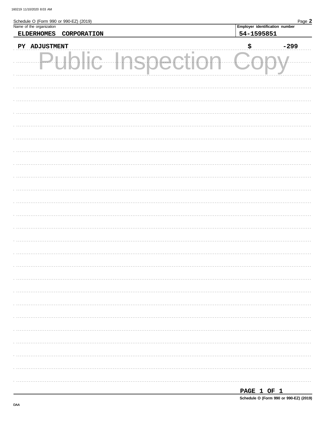| Schedule O (Form 990 or 990-EZ) (2019)<br>Name of the organization | Employer identification number | Page 2 |
|--------------------------------------------------------------------|--------------------------------|--------|
| <b>ELDERHOMES</b><br>CORPORATION                                   | 54-1595851                     |        |
| PY ADJUSTMENT                                                      | \$                             | $-299$ |
|                                                                    |                                |        |
|                                                                    |                                |        |
|                                                                    |                                |        |
|                                                                    |                                |        |
|                                                                    |                                |        |
|                                                                    |                                |        |
|                                                                    |                                |        |
|                                                                    |                                |        |
|                                                                    |                                |        |
|                                                                    |                                |        |
|                                                                    |                                |        |
|                                                                    |                                |        |
|                                                                    |                                |        |
|                                                                    |                                |        |
|                                                                    |                                |        |
|                                                                    |                                |        |
|                                                                    |                                |        |
|                                                                    |                                |        |
|                                                                    |                                |        |
|                                                                    |                                |        |
|                                                                    |                                |        |
|                                                                    |                                |        |
|                                                                    |                                |        |
|                                                                    |                                |        |
|                                                                    |                                |        |
|                                                                    |                                |        |

| . .<br>. .<br>______ |  |  |
|----------------------|--|--|
|                      |  |  |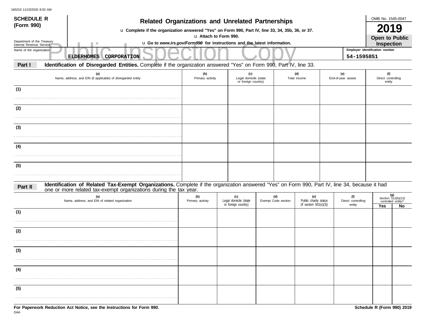| <b>SCHEDULE R</b>                                      | <b>Related Organizations and Unrelated Partnerships</b>                                                                                       |                                                                                                   |                                                     |                            |                     |                                                        |                           |                           | OMB No. 1545-0047                                 |    |  |
|--------------------------------------------------------|-----------------------------------------------------------------------------------------------------------------------------------------------|---------------------------------------------------------------------------------------------------|-----------------------------------------------------|----------------------------|---------------------|--------------------------------------------------------|---------------------------|---------------------------|---------------------------------------------------|----|--|
| (Form 990)                                             | u Complete if the organization answered "Yes" on Form 990, Part IV, line 33, 34, 35b, 36, or 37.                                              |                                                                                                   |                                                     |                            |                     |                                                        |                           |                           | 2019                                              |    |  |
| Department of the Treasury<br>Internal Revenue Service |                                                                                                                                               | u Attach to Form 990.<br>u Go to www.irs.gov/Form990 for instructions and the latest information. |                                                     |                            |                     |                                                        |                           |                           |                                                   |    |  |
| Name of the organization                               | CORPORATION<br><b>ELDERHOMES</b>                                                                                                              |                                                                                                   |                                                     |                            |                     |                                                        |                           | 54-1595851                | Inspection<br>Employer identification number      |    |  |
| Part I                                                 | Identification of Disregarded Entities. Complete if the organization answered "Yes" on Form 990, Part IV, line 33.                            |                                                                                                   |                                                     |                            |                     |                                                        |                           |                           |                                                   |    |  |
|                                                        | (a)<br>Name, address, and EIN (if applicable) of disregarded entity                                                                           | (b)<br>Primary activity                                                                           | (c)<br>Legal domicile (state<br>or foreign country) |                            | (d)<br>Total income |                                                        | (e)<br>End-of-year assets |                           | (f)<br>Direct controlling<br>entity               |    |  |
| (1)                                                    |                                                                                                                                               |                                                                                                   |                                                     |                            |                     |                                                        |                           |                           |                                                   |    |  |
| (2)                                                    |                                                                                                                                               |                                                                                                   |                                                     |                            |                     |                                                        |                           |                           |                                                   |    |  |
| (3)                                                    |                                                                                                                                               |                                                                                                   |                                                     |                            |                     |                                                        |                           |                           |                                                   |    |  |
|                                                        |                                                                                                                                               |                                                                                                   |                                                     |                            |                     |                                                        |                           |                           |                                                   |    |  |
| (4)                                                    |                                                                                                                                               |                                                                                                   |                                                     |                            |                     |                                                        |                           |                           |                                                   |    |  |
| (5)                                                    |                                                                                                                                               |                                                                                                   |                                                     |                            |                     |                                                        |                           |                           |                                                   |    |  |
| Part II                                                | Identification of Related Tax-Exempt Organizations. Complete if the organization answered "Yes" on Form 990, Part IV, line 34, because it had |                                                                                                   |                                                     |                            |                     |                                                        |                           |                           |                                                   |    |  |
|                                                        | one or more related tax-exempt organizations during the tax year.<br>(a)<br>Name, address, and EIN of related organization                    | (b)<br>Primary activity                                                                           | (c)<br>Legal domicile (state                        | (d)<br>Exempt Code section |                     | (e)<br>Public charity status<br>(if section 501(c)(3)) |                           | (f)<br>Direct controlling | (g)<br>Section $512(b)(13)$<br>controlled entity? |    |  |
| (1)                                                    |                                                                                                                                               |                                                                                                   | or foreign country)                                 |                            |                     |                                                        |                           | entity                    | Yes                                               | No |  |
| (2)                                                    |                                                                                                                                               |                                                                                                   |                                                     |                            |                     |                                                        |                           |                           |                                                   |    |  |
|                                                        |                                                                                                                                               |                                                                                                   |                                                     |                            |                     |                                                        |                           |                           |                                                   |    |  |
| (3)                                                    |                                                                                                                                               |                                                                                                   |                                                     |                            |                     |                                                        |                           |                           |                                                   |    |  |
| (4)                                                    |                                                                                                                                               |                                                                                                   |                                                     |                            |                     |                                                        |                           |                           |                                                   |    |  |
| (5)                                                    |                                                                                                                                               |                                                                                                   |                                                     |                            |                     |                                                        |                           |                           |                                                   |    |  |
|                                                        |                                                                                                                                               |                                                                                                   |                                                     |                            |                     |                                                        |                           |                           |                                                   |    |  |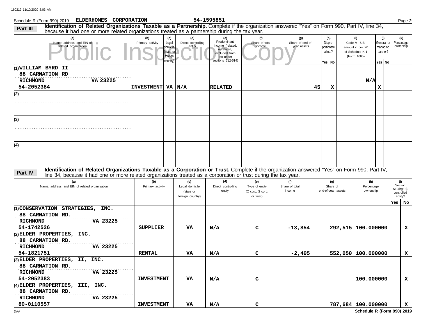| Schedule R (Form 990) 2019 ELDERHOMES CORPORATION                                                                                                                                                                                                                           |                                                                                         |                                                        | 54-1595851                                                                                              |                                                        |                                        |                                 |                                       |                                                                         |                                                       |     | Page 2                                                |
|-----------------------------------------------------------------------------------------------------------------------------------------------------------------------------------------------------------------------------------------------------------------------------|-----------------------------------------------------------------------------------------|--------------------------------------------------------|---------------------------------------------------------------------------------------------------------|--------------------------------------------------------|----------------------------------------|---------------------------------|---------------------------------------|-------------------------------------------------------------------------|-------------------------------------------------------|-----|-------------------------------------------------------|
| Identification of Related Organizations Taxable as a Partnership. Complete if the organization answered "Yes" on Form 990, Part IV, line 34,<br>Part III<br>because it had one or more related organizations treated as a partnership during the tax year.                  |                                                                                         |                                                        |                                                                                                         |                                                        |                                        |                                 |                                       |                                                                         |                                                       |     |                                                       |
| (a)<br>Name, address, and EIN of<br>related organization                                                                                                                                                                                                                    | (c)<br>(b)<br>Primary activity<br>Legal<br>domicile<br>(state or<br>foreign<br>country) | (d)<br>Direct controlling<br>entity                    | (e)<br>Predominant<br>income (related.<br>unrelated,<br>excluded from<br>tax under<br>sections 512-514) | (f)<br>Share of total<br>income                        | (g)<br>Share of end-of-<br>year assets | Dispro-<br>portionate<br>Yes No | (h)<br>alloc.?                        | (i)<br>Code V-UBI<br>amount in box 20<br>of Schedule K-1<br>(Form 1065) | (j)<br>General or<br>managing<br>partner?<br>Yes   No |     | (k)<br>Percentage<br>ownership                        |
| (1) WILLIAM BYRD II<br><b>88 CARNATION RD</b><br>VA 23225<br><b>RICHMOND</b><br>54-2052384                                                                                                                                                                                  | <b>INVESTMENT</b>                                                                       | VA $N/A$                                               | <b>RELATED</b>                                                                                          |                                                        |                                        | 45                              | x                                     | N/A                                                                     | X                                                     |     |                                                       |
| (2)                                                                                                                                                                                                                                                                         |                                                                                         |                                                        |                                                                                                         |                                                        |                                        |                                 |                                       |                                                                         |                                                       |     |                                                       |
| (3)                                                                                                                                                                                                                                                                         |                                                                                         |                                                        |                                                                                                         |                                                        |                                        |                                 |                                       |                                                                         |                                                       |     |                                                       |
| (4)                                                                                                                                                                                                                                                                         |                                                                                         |                                                        |                                                                                                         |                                                        |                                        |                                 |                                       |                                                                         |                                                       |     |                                                       |
| Identification of Related Organizations Taxable as a Corporation or Trust. Complete if the organization answered "Yes" on Form 990, Part IV,<br>Part IV<br>line 34, because it had one or more related organizations treated as a corporation or trust during the tax year. |                                                                                         |                                                        |                                                                                                         |                                                        |                                        |                                 |                                       |                                                                         |                                                       |     |                                                       |
| (a)<br>Name, address, and EIN of related organization                                                                                                                                                                                                                       | (b)<br>Primary activity                                                                 | (c)<br>Legal domicile<br>(state or<br>foreign country) | (d)<br>Direct controlling<br>entity                                                                     | (e)<br>Type of entity<br>(C corp, S corp,<br>or trust) | (f)<br>Share of total<br>income        |                                 | (g)<br>Share of<br>end-of-year assets | (h)<br>Percentage<br>ownership                                          |                                                       |     | (i)<br>Section<br>512(b)(13)<br>controlled<br>entity? |
| (1) CONSERVATION STRATEGIES, INC.<br>88 CARNATION RD.<br><b>RICHMOND</b><br>VA 23225<br>54-1742526                                                                                                                                                                          | <b>SUPPLIER</b>                                                                         | VA                                                     | N/A                                                                                                     | C                                                      | $-13,854$                              |                                 | 292,515 100.000000                    |                                                                         |                                                       | Yes | No<br>x                                               |
| (2) ELDER PROPERTIES, INC.<br>88 CARNATION RD.<br><b>RICHMOND</b><br>VA 23225<br>54-1821751                                                                                                                                                                                 | <b>RENTAL</b>                                                                           | VA                                                     | N/A                                                                                                     | с                                                      | $-2,495$                               |                                 | 552,050 100.000000                    |                                                                         |                                                       |     | x                                                     |
| (3) ELDER PROPERTIES, II, INC.<br>88 CARNATION RD.<br><b>RICHMOND</b><br>VA 23225<br>54-2052383                                                                                                                                                                             | <b>INVESTMENT</b>                                                                       | VA                                                     | N/A                                                                                                     | с                                                      |                                        |                                 |                                       | 100.000000                                                              |                                                       |     | x                                                     |
| (4) ELDER PROPERTIES, III, INC.<br>88 CARNATION RD.<br>VA 23225<br><b>RICHMOND</b><br>80-0110557                                                                                                                                                                            | <b>INVESTMENT</b>                                                                       | VA                                                     | N/A                                                                                                     | с                                                      |                                        |                                 | 787,684 100.000000                    |                                                                         |                                                       |     | $\mathbf{x}$                                          |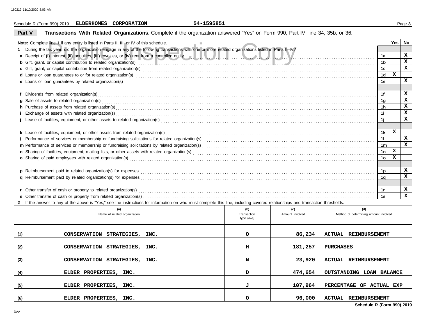## **Schedule R (Form 990) 2019 ELDERHOMES CORPORATION** 54-1595851 **Page 3**

# **Part V Transactions With Related Organizations.** Complete if the organization answered "Yes" on Form 990, Part IV, line 34, 35b, or 36.

| <b>Note:</b> Complete line 1 if any entity is listed in Parts II, III, or IV of this schedule.                                                                                                                                      |     |     |     |                | <b>Yes</b>  | No           |
|-------------------------------------------------------------------------------------------------------------------------------------------------------------------------------------------------------------------------------------|-----|-----|-----|----------------|-------------|--------------|
| During the tax year, did the organization engage in any of the following transactions with one or more related organizations listed in Parts II-IV?                                                                                 |     |     |     |                |             |              |
|                                                                                                                                                                                                                                     |     |     |     | 1a             |             | $\mathbf{x}$ |
| b Gift, grant, or capital contribution to related organization(s) entertainment and contribution to related organization(s)                                                                                                         |     |     |     | 1b             |             | $\mathbf{x}$ |
|                                                                                                                                                                                                                                     |     |     |     | 1 <sub>c</sub> |             | X            |
| d Loans or loan guarantees to or for related organization(s) encourance contained and contained a contained and contained a contained a contained and contained a contact or for related organization(s) encourance and contac      |     |     |     | 1 <sub>d</sub> | $\mathbf x$ |              |
|                                                                                                                                                                                                                                     |     |     |     | 1e             |             | $\mathbf{x}$ |
|                                                                                                                                                                                                                                     |     |     |     |                |             |              |
|                                                                                                                                                                                                                                     |     |     |     |                |             | x            |
|                                                                                                                                                                                                                                     |     |     |     | 1g             |             | x            |
| h Purchase of assets from related organization(s) encourance contains and contains a container and a contact or an electronic contact or an electronic contact or an electronic contact or any contact or electronic contact o      |     |     |     | 1h             |             | x            |
|                                                                                                                                                                                                                                     |     |     |     | 1i             |             | x            |
|                                                                                                                                                                                                                                     |     |     |     | 1j             |             | x            |
|                                                                                                                                                                                                                                     |     |     |     |                |             |              |
|                                                                                                                                                                                                                                     |     |     |     | 1k             | X           |              |
|                                                                                                                                                                                                                                     |     |     |     | 11             |             | $\mathbf x$  |
|                                                                                                                                                                                                                                     |     |     |     |                |             | $\mathbf x$  |
|                                                                                                                                                                                                                                     |     |     |     |                | x           |              |
| o Sharing of paid employees with related organization(s) encourance contact the contract contact and started organization(s) encourance contact the contact contact and started organization(s) encourance contact and started      |     |     |     | 1 <sub>o</sub> | x           |              |
|                                                                                                                                                                                                                                     |     |     |     |                |             |              |
| p Reimbursement paid to related organization(s) for expenses <b>construction and construction</b> construction and and reference or construction of the relation of the expenses construction of the expenses and construction of t |     |     |     | 1p             |             | x            |
|                                                                                                                                                                                                                                     |     |     |     | 1q             |             | x            |
|                                                                                                                                                                                                                                     |     |     |     |                |             |              |
|                                                                                                                                                                                                                                     |     |     |     | 1r             |             | x            |
|                                                                                                                                                                                                                                     |     |     |     |                |             | $\mathbf{x}$ |
| 2 If the answer to any of the above is "Yes," see the instructions for information on who must complete this line, including covered relationships and transaction thresholds.                                                      |     |     |     |                |             |              |
| (a)                                                                                                                                                                                                                                 | (b) | (c) | (d) |                |             |              |
| Name of related organization<br>Method of determining amount involved<br>Amount involved<br>Transaction                                                                                                                             |     |     |     |                |             |              |

|     | (a)<br>Name of related organization     | (b)<br>Transaction<br>$type(a-s)$ | (C)<br>Amount involved | (d)<br>Method of determining amount involved |
|-----|-----------------------------------------|-----------------------------------|------------------------|----------------------------------------------|
| (1) | <b>CONSERVATION</b><br>STRATEGIES, INC. | $\circ$                           | 86,234                 | ACTUAL<br>REIMBURSEMENT                      |
| (2) | CONSERVATION STRATEGIES, INC.           | н                                 | 181,257                | <b>PURCHASES</b>                             |
| (3) | CONSERVATION STRATEGIES, INC.           | N                                 | 23,920                 | <b>ACTUAL REIMBURSEMENT</b>                  |
| (4) | ELDER PROPERTIES, INC.                  | D                                 | 474,654                | <b>OUTSTANDING</b><br><b>LOAN BALANCE</b>    |
| (5) | ELDER PROPERTIES, INC.                  | J                                 | 107,964                | PERCENTAGE OF ACTUAL EXP                     |
| (6) | ELDER PROPERTIES, INC.                  | $\Omega$                          | 96,000                 | ACTUAL<br>REIMBURSEMENT                      |

**Schedule R (Form 990) 2019**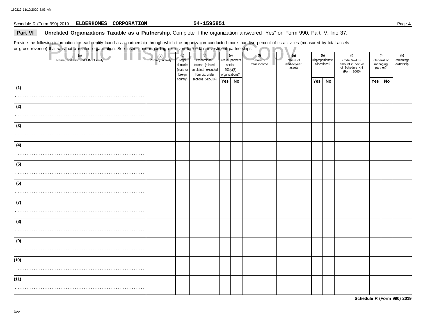## **Schedule R (Form 990) 2019 ELDERHOMES CORPORATION** 54-1595851 **Page 4**

## Part VI **Unrelated Organizations Taxable as a Partnership.** Complete if the organization answered "Yes" on Form 990, Part IV, line 37.

Provide the following information for each entity taxed as a partnership through which the organization conducted more than five percent of its activities (measured by total assets or gross revenue) that was not a related organization. See instructions regarding exclusion for certain investment partnerships.

|      | Provide the following information for each entity taxed as a partnership through which the organization conducted more than five percent of its activities (measured by total assets<br>or gross revenue) that was not a related organization. See instructions regarding exclusion for certain investment partnerships. |     |  |                  |                                                  |                                                                                 |                                                                   |  |                                 |                                          |                                         |    |                                                                         |                                           |    |                                |
|------|--------------------------------------------------------------------------------------------------------------------------------------------------------------------------------------------------------------------------------------------------------------------------------------------------------------------------|-----|--|------------------|--------------------------------------------------|---------------------------------------------------------------------------------|-------------------------------------------------------------------|--|---------------------------------|------------------------------------------|-----------------------------------------|----|-------------------------------------------------------------------------|-------------------------------------------|----|--------------------------------|
|      | (a)<br>Name, address, and EIN of entity                                                                                                                                                                                                                                                                                  | (b) |  | Primary activity | (c)<br>Legal<br>domicile<br>(state or<br>foreign | (d)<br>Predominant<br>income (related,<br>unrelated, excluded<br>from tax under | (e)<br>Are all partners<br>section<br>501(c)(3)<br>organizations? |  | (1)<br>Share of<br>total income | (g)<br>Share of<br>end-of-year<br>assets | (h)<br>Disproportionate<br>allocations? |    | (i)<br>Code V-UBI<br>amount in box 20<br>of Schedule K-1<br>(Form 1065) | (j)<br>General or<br>managing<br>partner? |    | (k)<br>Percentage<br>ownership |
|      |                                                                                                                                                                                                                                                                                                                          |     |  |                  | country)                                         | sections 512-514)                                                               | Yes   No                                                          |  |                                 |                                          | Yes                                     | No |                                                                         | Yes                                       | No |                                |
| (1)  |                                                                                                                                                                                                                                                                                                                          |     |  |                  |                                                  |                                                                                 |                                                                   |  |                                 |                                          |                                         |    |                                                                         |                                           |    |                                |
| (2)  |                                                                                                                                                                                                                                                                                                                          |     |  |                  |                                                  |                                                                                 |                                                                   |  |                                 |                                          |                                         |    |                                                                         |                                           |    |                                |
|      |                                                                                                                                                                                                                                                                                                                          |     |  |                  |                                                  |                                                                                 |                                                                   |  |                                 |                                          |                                         |    |                                                                         |                                           |    |                                |
| (3)  |                                                                                                                                                                                                                                                                                                                          |     |  |                  |                                                  |                                                                                 |                                                                   |  |                                 |                                          |                                         |    |                                                                         |                                           |    |                                |
|      |                                                                                                                                                                                                                                                                                                                          |     |  |                  |                                                  |                                                                                 |                                                                   |  |                                 |                                          |                                         |    |                                                                         |                                           |    |                                |
| (4)  |                                                                                                                                                                                                                                                                                                                          |     |  |                  |                                                  |                                                                                 |                                                                   |  |                                 |                                          |                                         |    |                                                                         |                                           |    |                                |
| (5)  |                                                                                                                                                                                                                                                                                                                          |     |  |                  |                                                  |                                                                                 |                                                                   |  |                                 |                                          |                                         |    |                                                                         |                                           |    |                                |
|      |                                                                                                                                                                                                                                                                                                                          |     |  |                  |                                                  |                                                                                 |                                                                   |  |                                 |                                          |                                         |    |                                                                         |                                           |    |                                |
| (6)  |                                                                                                                                                                                                                                                                                                                          |     |  |                  |                                                  |                                                                                 |                                                                   |  |                                 |                                          |                                         |    |                                                                         |                                           |    |                                |
| (7)  |                                                                                                                                                                                                                                                                                                                          |     |  |                  |                                                  |                                                                                 |                                                                   |  |                                 |                                          |                                         |    |                                                                         |                                           |    |                                |
|      |                                                                                                                                                                                                                                                                                                                          |     |  |                  |                                                  |                                                                                 |                                                                   |  |                                 |                                          |                                         |    |                                                                         |                                           |    |                                |
| (8)  |                                                                                                                                                                                                                                                                                                                          |     |  |                  |                                                  |                                                                                 |                                                                   |  |                                 |                                          |                                         |    |                                                                         |                                           |    |                                |
| (9)  |                                                                                                                                                                                                                                                                                                                          |     |  |                  |                                                  |                                                                                 |                                                                   |  |                                 |                                          |                                         |    |                                                                         |                                           |    |                                |
| (10) |                                                                                                                                                                                                                                                                                                                          |     |  |                  |                                                  |                                                                                 |                                                                   |  |                                 |                                          |                                         |    |                                                                         |                                           |    |                                |
|      |                                                                                                                                                                                                                                                                                                                          |     |  |                  |                                                  |                                                                                 |                                                                   |  |                                 |                                          |                                         |    |                                                                         |                                           |    |                                |
| (11) |                                                                                                                                                                                                                                                                                                                          |     |  |                  |                                                  |                                                                                 |                                                                   |  |                                 |                                          |                                         |    |                                                                         |                                           |    |                                |
|      |                                                                                                                                                                                                                                                                                                                          |     |  |                  |                                                  |                                                                                 |                                                                   |  |                                 |                                          |                                         |    |                                                                         |                                           |    |                                |

**Schedule R (Form 990) 2019**